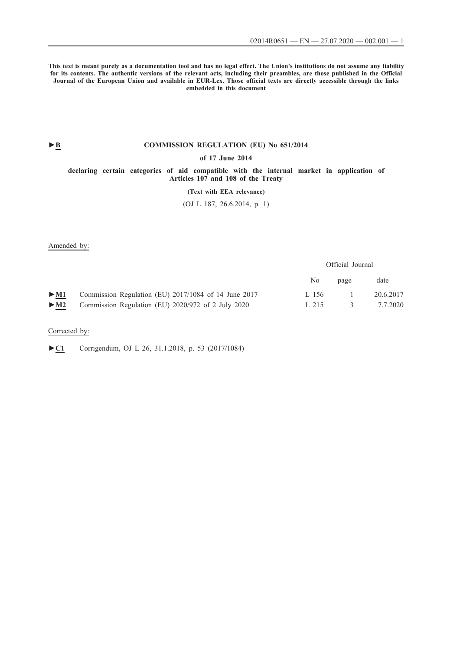**This text is meant purely as a documentation tool and has no legal effect. The Union's institutions do not assume any liability for its contents. The authentic versions of the relevant acts, including their preambles, are those published in the Official Journal of the European Union and available in EUR-Lex. Those official texts are directly accessible through the links embedded in this document**

### ► **B COMMISSION REGULATION** (EU) No 651/2014

### **[of 17 June 2014](http://data.europa.eu/eli/reg/2014/651/oj/eng)**

**[declaring certain categories of aid compatible with the internal market in application of](http://data.europa.eu/eli/reg/2014/651/oj/eng) [Articles 107 and 108 of the Treaty](http://data.europa.eu/eli/reg/2014/651/oj/eng)**

### **[\(Text with EEA relevance\)](http://data.europa.eu/eli/reg/2014/651/oj/eng)**

[\(OJ L 187, 26.6.2014, p. 1\)](http://data.europa.eu/eli/reg/2014/651/oj/eng)

#### Amended by:

|        |                                                                               | Official Journal |      |           |
|--------|-------------------------------------------------------------------------------|------------------|------|-----------|
|        |                                                                               | No.              | page | date      |
|        | $\blacktriangleright$ M1 Commission Regulation (EU) 2017/1084 of 14 June 2017 | L 156            |      | 20.6.2017 |
| $>$ M2 | Commission Regulation (EU) 2020/972 of 2 July 2020                            | 1. 215           |      | 7.7.2020  |

### Corrected by:

[►](http://data.europa.eu/eli/reg/2017/1084/corrigendum/2018-01-31/oj/eng)**[C1](http://data.europa.eu/eli/reg/2017/1084/corrigendum/2018-01-31/oj/eng)** [Corrigendum, OJ L 26, 31.1.2018, p. 53 \(2017/1084\)](http://data.europa.eu/eli/reg/2017/1084/corrigendum/2018-01-31/oj/eng)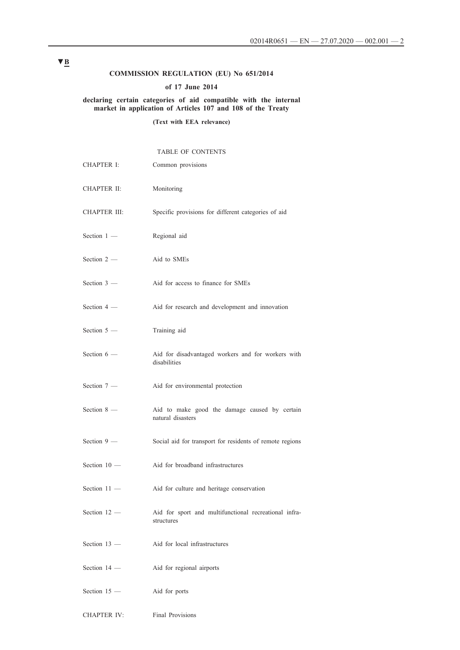# **COMMISSION REGULATION (EU) No 651/2014**

### **of 17 June 2014**

#### **declaring certain categories of aid compatible with the internal market in application of Articles 107 and 108 of the Treaty**

**(Text with EEA relevance)**

### TABLE OF CONTENTS

| <b>CHAPTER I:</b> | Common provisions                                                   |
|-------------------|---------------------------------------------------------------------|
| CHAPTER II:       | Monitoring                                                          |
| CHAPTER III:      | Specific provisions for different categories of aid                 |
| Section $1 -$     | Regional aid                                                        |
| Section $2 -$     | Aid to SMEs                                                         |
| Section $3 -$     | Aid for access to finance for SMEs                                  |
| Section $4-$      | Aid for research and development and innovation                     |
| Section $5 -$     | Training aid                                                        |
| Section $6-$      | Aid for disadvantaged workers and for workers with<br>disabilities  |
| Section $7-$      | Aid for environmental protection                                    |
| Section $8-$      | Aid to make good the damage caused by certain<br>natural disasters  |
| Section $9-$      | Social aid for transport for residents of remote regions            |
| Section $10 -$    | Aid for broadband infrastructures                                   |
| Section 11-       | Aid for culture and heritage conservation                           |
| Section 12 -      | Aid for sport and multifunctional recreational infra-<br>structures |
| Section $13 -$    | Aid for local infrastructures                                       |
| Section $14 -$    | Aid for regional airports                                           |
| Section $15 -$    | Aid for ports                                                       |
| CHAPTER IV:       | Final Provisions                                                    |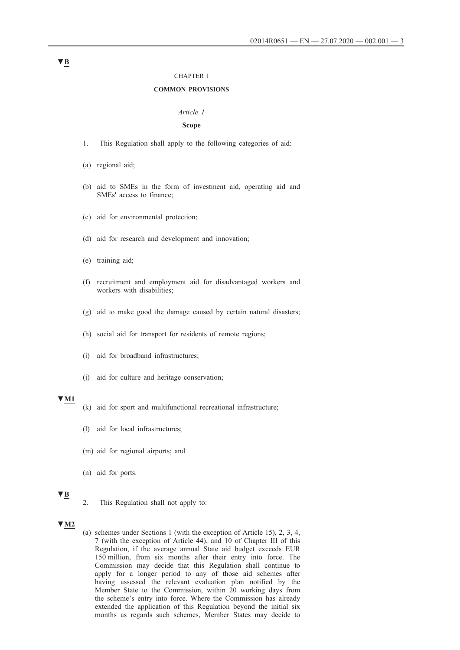#### CHAPTER I

### **COMMON PROVISIONS**

#### *Article 1*

### **Scope**

- <span id="page-2-0"></span>1. This Regulation shall apply to the following categories of aid:
- (a) regional aid;
- (b) aid to SMEs in the form of investment aid, operating aid and SMEs' access to finance;
- (c) aid for environmental protection;
- (d) aid for research and development and innovation;
- (e) training aid;
- (f) recruitment and employment aid for disadvantaged workers and workers with disabilities;
- (g) aid to make good the damage caused by certain natural disasters;
- (h) social aid for transport for residents of remote regions;
- (i) aid for broadband infrastructures;
- (j) aid for culture and heritage conservation;

#### **▼M1**

- (k) aid for sport and multifunctional recreational infrastructure;
- (l) aid for local infrastructures;
- (m) aid for regional airports; and
- (n) aid for ports.

### **▼B**

2. This Regulation shall not apply to:

### **▼M2**

(a) schemes under Sections 1 (with the exception of Article 15), 2, 3, 4, 7 (with the exception of Article 44), and 10 of Chapter III of this Regulation, if the average annual State aid budget exceeds EUR 150 million, from six months after their entry into force. The Commission may decide that this Regulation shall continue to apply for a longer period to any of those aid schemes after having assessed the relevant evaluation plan notified by the Member State to the Commission, within 20 working days from the scheme's entry into force. Where the Commission has already extended the application of this Regulation beyond the initial six months as regards such schemes, Member States may decide to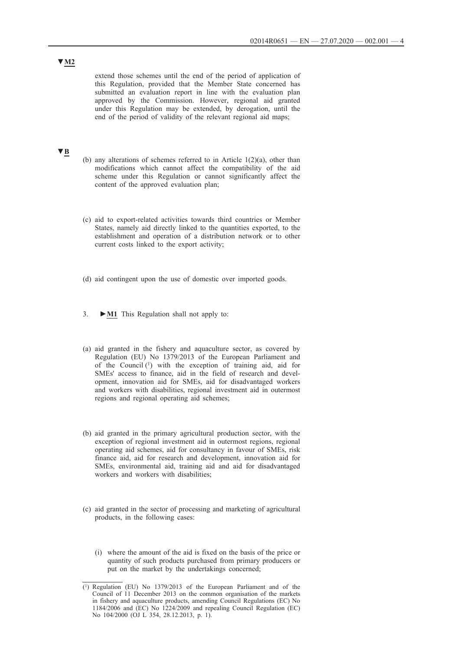extend those schemes until the end of the period of application of this Regulation, provided that the Member State concerned has submitted an evaluation report in line with the evaluation plan approved by the Commission. However, regional aid granted under this Regulation may be extended, by derogation, until the end of the period of validity of the relevant regional aid maps;

### **▼B**

- (b) any alterations of schemes referred to in Article  $1(2)(a)$ , other than modifications which cannot affect the compatibility of the aid scheme under this Regulation or cannot significantly affect the content of the approved evaluation plan;
- (c) aid to export-related activities towards third countries or Member States, namely aid directly linked to the quantities exported, to the establishment and operation of a distribution network or to other current costs linked to the export activity;
- (d) aid contingent upon the use of domestic over imported goods.
- 3. **►M1** This Regulation shall not apply to:
- (a) aid granted in the fishery and aquaculture sector, as covered by Regulation (EU) No 1379/2013 of the European Parliament and of the Council (1) with the exception of training aid, aid for SMEs' access to finance, aid in the field of research and development, innovation aid for SMEs, aid for disadvantaged workers and workers with disabilities, regional investment aid in outermost regions and regional operating aid schemes;
- (b) aid granted in the primary agricultural production sector, with the exception of regional investment aid in outermost regions, regional operating aid schemes, aid for consultancy in favour of SMEs, risk finance aid, aid for research and development, innovation aid for SMEs, environmental aid, training aid and aid for disadvantaged workers and workers with disabilities;
- (c) aid granted in the sector of processing and marketing of agricultural products, in the following cases:
	- (i) where the amount of the aid is fixed on the basis of the price or quantity of such products purchased from primary producers or put on the market by the undertakings concerned;

# **▼M2**

<sup>(1)</sup> Regulation (EU) No 1379/2013 of the European Parliament and of the Council of 11 December 2013 on the common organisation of the markets in fishery and aquaculture products, amending Council Regulations (EC) No 1184/2006 and (EC) No 1224/2009 and repealing Council Regulation (EC) No 104/2000 (OJ L 354, 28.12.2013, p. 1).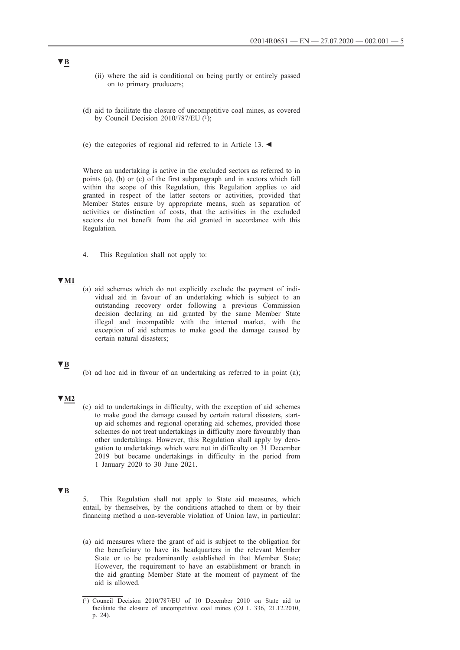- (ii) where the aid is conditional on being partly or entirely passed on to primary producers;
- (d) aid to facilitate the closure of uncompetitive coal mines, as covered by Council Decision  $2010/787/EU$  (1);
- (e) the categories of regional aid referred to in Article 13. ◄

Where an undertaking is active in the excluded sectors as referred to in points (a), (b) or (c) of the first subparagraph and in sectors which fall within the scope of this Regulation, this Regulation applies to aid granted in respect of the latter sectors or activities, provided that Member States ensure by appropriate means, such as separation of activities or distinction of costs, that the activities in the excluded sectors do not benefit from the aid granted in accordance with this Regulation.

4. This Regulation shall not apply to:

### **▼M1**

(a) aid schemes which do not explicitly exclude the payment of individual aid in favour of an undertaking which is subject to an outstanding recovery order following a previous Commission decision declaring an aid granted by the same Member State illegal and incompatible with the internal market, with the exception of aid schemes to make good the damage caused by certain natural disasters;

### **▼B**

(b) ad hoc aid in favour of an undertaking as referred to in point (a);

### **▼M2**

(c) aid to undertakings in difficulty, with the exception of aid schemes to make good the damage caused by certain natural disasters, startup aid schemes and regional operating aid schemes, provided those schemes do not treat undertakings in difficulty more favourably than other undertakings. However, this Regulation shall apply by derogation to undertakings which were not in difficulty on 31 December 2019 but became undertakings in difficulty in the period from 1 January 2020 to 30 June 2021.

# **▼B**

5. This Regulation shall not apply to State aid measures, which entail, by themselves, by the conditions attached to them or by their financing method a non-severable violation of Union law, in particular:

(a) aid measures where the grant of aid is subject to the obligation for the beneficiary to have its headquarters in the relevant Member State or to be predominantly established in that Member State; However, the requirement to have an establishment or branch in the aid granting Member State at the moment of payment of the aid is allowed.

<sup>(1)</sup> Council Decision 2010/787/EU of 10 December 2010 on State aid to facilitate the closure of uncompetitive coal mines (OJ L 336, 21.12.2010, p. 24).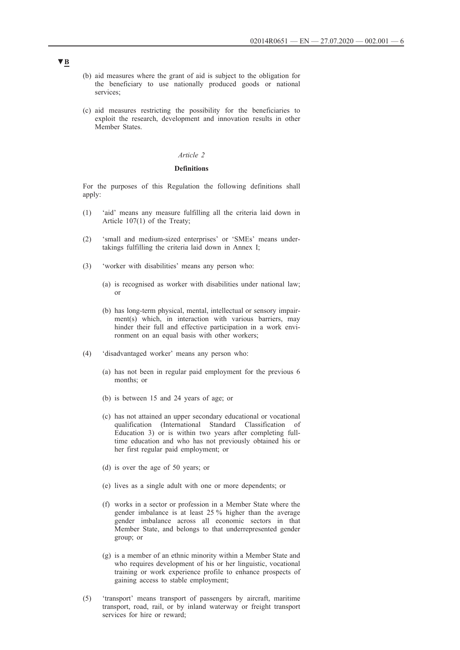- (b) aid measures where the grant of aid is subject to the obligation for the beneficiary to use nationally produced goods or national services;
- (c) aid measures restricting the possibility for the beneficiaries to exploit the research, development and innovation results in other Member States.

### *Article 2*

#### **Definitions**

For the purposes of this Regulation the following definitions shall apply:

- (1) 'aid' means any measure fulfilling all the criteria laid down in Article 107(1) of the Treaty;
- (2) 'small and medium-sized enterprises' or 'SMEs' means undertakings fulfilling the criteria laid down in Annex I;
- (3) 'worker with disabilities' means any person who:
	- (a) is recognised as worker with disabilities under national law; or
	- (b) has long-term physical, mental, intellectual or sensory impairment(s) which, in interaction with various barriers, may hinder their full and effective participation in a work environment on an equal basis with other workers;
- (4) 'disadvantaged worker' means any person who:
	- (a) has not been in regular paid employment for the previous 6 months; or
	- (b) is between 15 and 24 years of age; or
	- (c) has not attained an upper secondary educational or vocational qualification (International Standard Classification of Education 3) or is within two years after completing fulltime education and who has not previously obtained his or her first regular paid employment; or
	- (d) is over the age of 50 years; or
	- (e) lives as a single adult with one or more dependents; or
	- (f) works in a sector or profession in a Member State where the gender imbalance is at least 25 % higher than the average gender imbalance across all economic sectors in that Member State, and belongs to that underrepresented gender group; or
	- (g) is a member of an ethnic minority within a Member State and who requires development of his or her linguistic, vocational training or work experience profile to enhance prospects of gaining access to stable employment;
- (5) 'transport' means transport of passengers by aircraft, maritime transport, road, rail, or by inland waterway or freight transport services for hire or reward;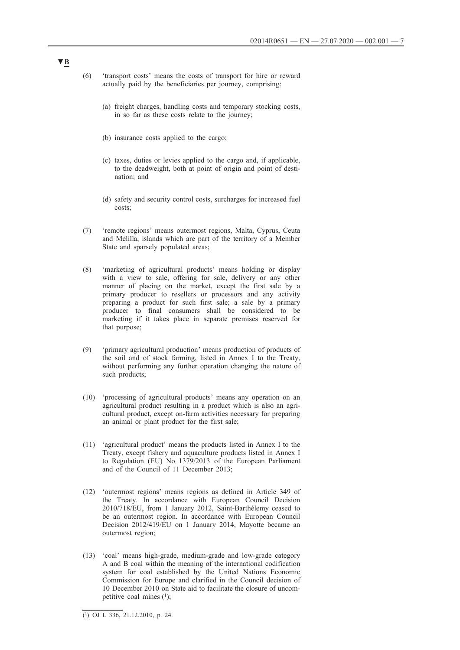- (6) 'transport costs' means the costs of transport for hire or reward actually paid by the beneficiaries per journey, comprising:
	- (a) freight charges, handling costs and temporary stocking costs, in so far as these costs relate to the journey;
	- (b) insurance costs applied to the cargo;
	- (c) taxes, duties or levies applied to the cargo and, if applicable, to the deadweight, both at point of origin and point of destination; and
	- (d) safety and security control costs, surcharges for increased fuel costs;
- (7) 'remote regions' means outermost regions, Malta, Cyprus, Ceuta and Melilla, islands which are part of the territory of a Member State and sparsely populated areas;
- (8) 'marketing of agricultural products' means holding or display with a view to sale, offering for sale, delivery or any other manner of placing on the market, except the first sale by a primary producer to resellers or processors and any activity preparing a product for such first sale; a sale by a primary producer to final consumers shall be considered to be marketing if it takes place in separate premises reserved for that purpose;
- (9) 'primary agricultural production' means production of products of the soil and of stock farming, listed in Annex I to the Treaty, without performing any further operation changing the nature of such products;
- (10) 'processing of agricultural products' means any operation on an agricultural product resulting in a product which is also an agricultural product, except on-farm activities necessary for preparing an animal or plant product for the first sale;
- (11) 'agricultural product' means the products listed in Annex I to the Treaty, except fishery and aquaculture products listed in Annex I to Regulation (EU) No 1379/2013 of the European Parliament and of the Council of 11 December 2013;
- (12) 'outermost regions' means regions as defined in Article 349 of the Treaty. In accordance with European Council Decision 2010/718/EU, from 1 January 2012, Saint-Barthélemy ceased to be an outermost region. In accordance with European Council Decision 2012/419/EU on 1 January 2014, Mayotte became an outermost region;
- (13) 'coal' means high-grade, medium-grade and low-grade category A and B coal within the meaning of the international codification system for coal established by the United Nations Economic Commission for Europe and clarified in the Council decision of 10 December 2010 on State aid to facilitate the closure of uncompetitive coal mines  $(1)$ ;

 $\overline{(^1)}$  OJ L 336, 21.12.2010, p. 24.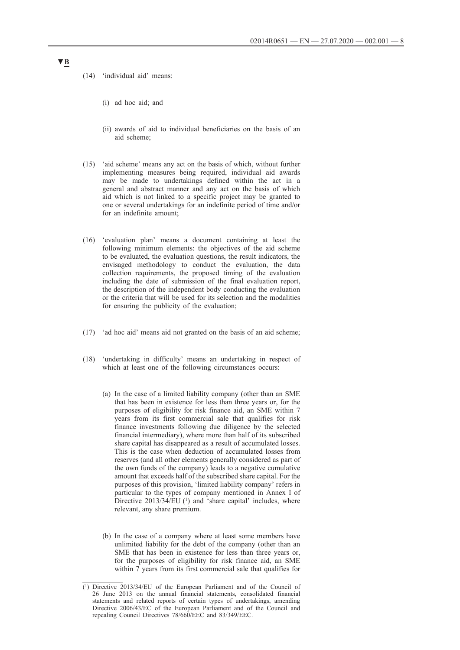(14) 'individual aid' means:

- (i) ad hoc aid; and
- (ii) awards of aid to individual beneficiaries on the basis of an aid scheme;
- (15) 'aid scheme' means any act on the basis of which, without further implementing measures being required, individual aid awards may be made to undertakings defined within the act in a general and abstract manner and any act on the basis of which aid which is not linked to a specific project may be granted to one or several undertakings for an indefinite period of time and/or for an indefinite amount;
- (16) 'evaluation plan' means a document containing at least the following minimum elements: the objectives of the aid scheme to be evaluated, the evaluation questions, the result indicators, the envisaged methodology to conduct the evaluation, the data collection requirements, the proposed timing of the evaluation including the date of submission of the final evaluation report, the description of the independent body conducting the evaluation or the criteria that will be used for its selection and the modalities for ensuring the publicity of the evaluation;
- (17) 'ad hoc aid' means aid not granted on the basis of an aid scheme;
- (18) 'undertaking in difficulty' means an undertaking in respect of which at least one of the following circumstances occurs:
	- (a) In the case of a limited liability company (other than an SME that has been in existence for less than three years or, for the purposes of eligibility for risk finance aid, an SME within 7 years from its first commercial sale that qualifies for risk finance investments following due diligence by the selected financial intermediary), where more than half of its subscribed share capital has disappeared as a result of accumulated losses. This is the case when deduction of accumulated losses from reserves (and all other elements generally considered as part of the own funds of the company) leads to a negative cumulative amount that exceeds half of the subscribed share capital. For the purposes of this provision, 'limited liability company' refers in particular to the types of company mentioned in Annex I of Directive 2013/34/EU (1) and 'share capital' includes, where relevant, any share premium.
	- (b) In the case of a company where at least some members have unlimited liability for the debt of the company (other than an SME that has been in existence for less than three years or, for the purposes of eligibility for risk finance aid, an SME within 7 years from its first commercial sale that qualifies for

<sup>(1)</sup> Directive 2013/34/EU of the European Parliament and of the Council of 26 June 2013 on the annual financial statements, consolidated financial statements and related reports of certain types of undertakings, amending Directive 2006/43/EC of the European Parliament and of the Council and repealing Council Directives 78/660/EEC and 83/349/EEC.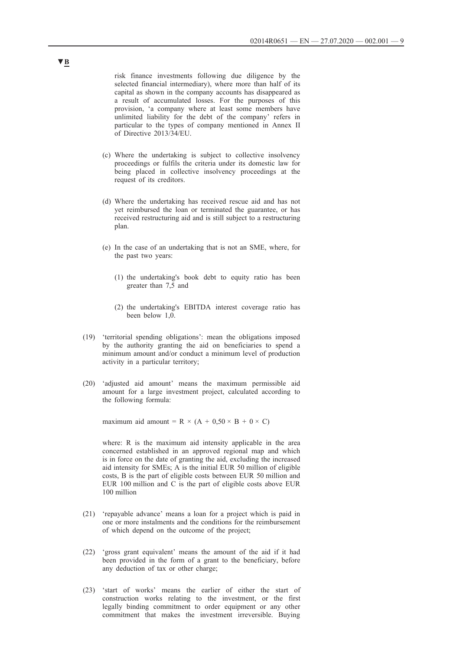risk finance investments following due diligence by the selected financial intermediary), where more than half of its capital as shown in the company accounts has disappeared as a result of accumulated losses. For the purposes of this provision, 'a company where at least some members have unlimited liability for the debt of the company' refers in particular to the types of company mentioned in Annex II of Directive 2013/34/EU.

- (c) Where the undertaking is subject to collective insolvency proceedings or fulfils the criteria under its domestic law for being placed in collective insolvency proceedings at the request of its creditors.
- (d) Where the undertaking has received rescue aid and has not yet reimbursed the loan or terminated the guarantee, or has received restructuring aid and is still subject to a restructuring plan.
- (e) In the case of an undertaking that is not an SME, where, for the past two years:
	- (1) the undertaking's book debt to equity ratio has been greater than 7,5 and
	- (2) the undertaking's EBITDA interest coverage ratio has been below 1,0.
- (19) 'territorial spending obligations': mean the obligations imposed by the authority granting the aid on beneficiaries to spend a minimum amount and/or conduct a minimum level of production activity in a particular territory;
- (20) 'adjusted aid amount' means the maximum permissible aid amount for a large investment project, calculated according to the following formula:

maximum aid amount =  $R \times (A + 0.50 \times B + 0 \times C)$ 

where: R is the maximum aid intensity applicable in the area concerned established in an approved regional map and which is in force on the date of granting the aid, excluding the increased aid intensity for SMEs; A is the initial EUR 50 million of eligible costs, B is the part of eligible costs between EUR 50 million and EUR 100 million and C is the part of eligible costs above EUR 100 million

- (21) 'repayable advance' means a loan for a project which is paid in one or more instalments and the conditions for the reimbursement of which depend on the outcome of the project;
- (22) 'gross grant equivalent' means the amount of the aid if it had been provided in the form of a grant to the beneficiary, before any deduction of tax or other charge;
- (23) 'start of works' means the earlier of either the start of construction works relating to the investment, or the first legally binding commitment to order equipment or any other commitment that makes the investment irreversible. Buying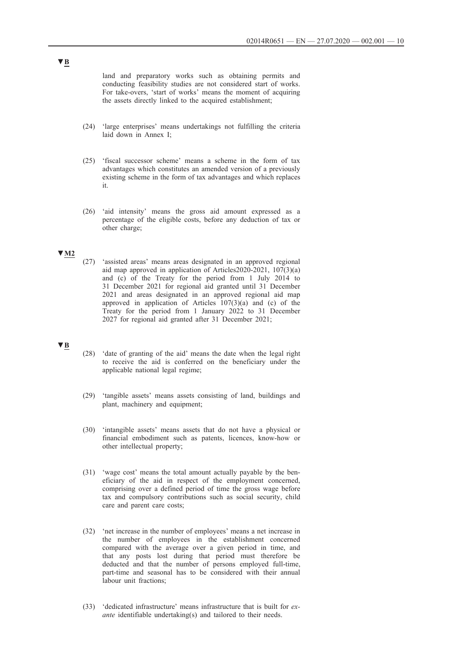land and preparatory works such as obtaining permits and conducting feasibility studies are not considered start of works. For take-overs, 'start of works' means the moment of acquiring the assets directly linked to the acquired establishment;

- (24) 'large enterprises' means undertakings not fulfilling the criteria laid down in Annex I;
- (25) 'fiscal successor scheme' means a scheme in the form of tax advantages which constitutes an amended version of a previously existing scheme in the form of tax advantages and which replaces it.
- (26) 'aid intensity' means the gross aid amount expressed as a percentage of the eligible costs, before any deduction of tax or other charge;

### **▼M2**

(27) 'assisted areas' means areas designated in an approved regional aid map approved in application of Articles2020-2021, 107(3)(a) and (c) of the Treaty for the period from 1 July 2014 to 31 December 2021 for regional aid granted until 31 December 2021 and areas designated in an approved regional aid map approved in application of Articles  $107(3)(a)$  and (c) of the Treaty for the period from 1 January 2022 to 31 December 2027 for regional aid granted after 31 December 2021;

### **▼B**

- (28) 'date of granting of the aid' means the date when the legal right to receive the aid is conferred on the beneficiary under the applicable national legal regime;
- (29) 'tangible assets' means assets consisting of land, buildings and plant, machinery and equipment;
- (30) 'intangible assets' means assets that do not have a physical or financial embodiment such as patents, licences, know-how or other intellectual property;
- (31) 'wage cost' means the total amount actually payable by the beneficiary of the aid in respect of the employment concerned, comprising over a defined period of time the gross wage before tax and compulsory contributions such as social security, child care and parent care costs;
- (32) 'net increase in the number of employees' means a net increase in the number of employees in the establishment concerned compared with the average over a given period in time, and that any posts lost during that period must therefore be deducted and that the number of persons employed full-time, part-time and seasonal has to be considered with their annual labour unit fractions;
- (33) 'dedicated infrastructure' means infrastructure that is built for *exante* identifiable undertaking(s) and tailored to their needs.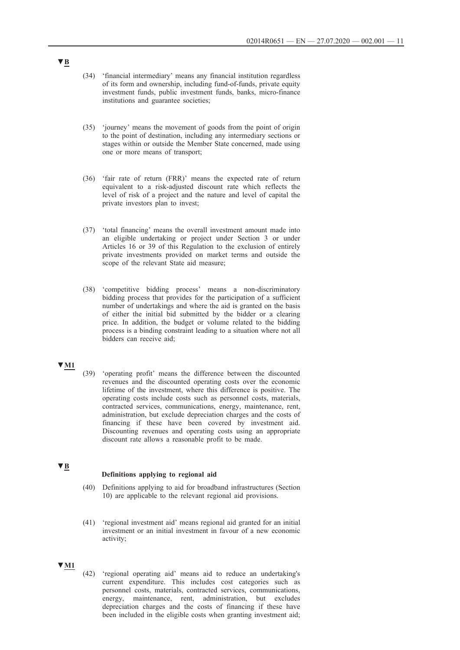- (34) 'financial intermediary' means any financial institution regardless of its form and ownership, including fund-of-funds, private equity investment funds, public investment funds, banks, micro-finance institutions and guarantee societies;
- (35) 'journey' means the movement of goods from the point of origin to the point of destination, including any intermediary sections or stages within or outside the Member State concerned, made using one or more means of transport;
- (36) 'fair rate of return (FRR)' means the expected rate of return equivalent to a risk-adjusted discount rate which reflects the level of risk of a project and the nature and level of capital the private investors plan to invest;
- (37) 'total financing' means the overall investment amount made into an eligible undertaking or project under Section 3 or under Articles 16 or 39 of this Regulation to the exclusion of entirely private investments provided on market terms and outside the scope of the relevant State aid measure;
- (38) 'competitive bidding process' means a non-discriminatory bidding process that provides for the participation of a sufficient number of undertakings and where the aid is granted on the basis of either the initial bid submitted by the bidder or a clearing price. In addition, the budget or volume related to the bidding process is a binding constraint leading to a situation where not all bidders can receive aid;

### **▼M1**

(39) 'operating profit' means the difference between the discounted revenues and the discounted operating costs over the economic lifetime of the investment, where this difference is positive. The operating costs include costs such as personnel costs, materials, contracted services, communications, energy, maintenance, rent, administration, but exclude depreciation charges and the costs of financing if these have been covered by investment aid. Discounting revenues and operating costs using an appropriate discount rate allows a reasonable profit to be made.

### **▼B**

#### **Definitions applying to regional aid**

- (40) Definitions applying to aid for broadband infrastructures (Section 10) are applicable to the relevant regional aid provisions.
- (41) 'regional investment aid' means regional aid granted for an initial investment or an initial investment in favour of a new economic activity;

### **▼M1**

(42) 'regional operating aid' means aid to reduce an undertaking's current expenditure. This includes cost categories such as personnel costs, materials, contracted services, communications, energy, maintenance, rent, administration, but excludes depreciation charges and the costs of financing if these have been included in the eligible costs when granting investment aid;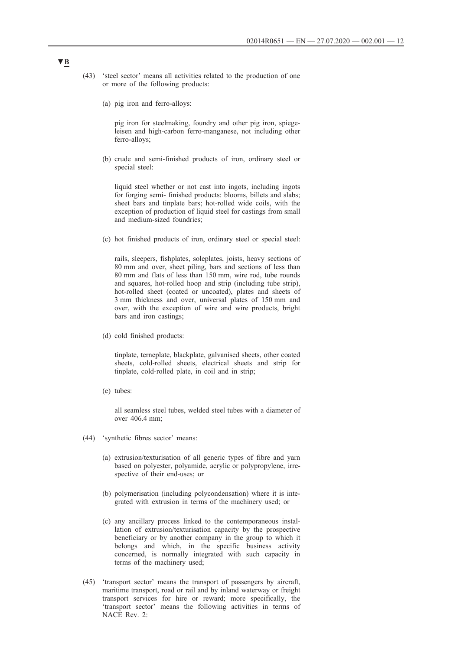- (43) 'steel sector' means all activities related to the production of one or more of the following products:
	- (a) pig iron and ferro-alloys:

pig iron for steelmaking, foundry and other pig iron, spiegeleisen and high-carbon ferro-manganese, not including other ferro-alloys;

(b) crude and semi-finished products of iron, ordinary steel or special steel:

liquid steel whether or not cast into ingots, including ingots for forging semi- finished products: blooms, billets and slabs; sheet bars and tinplate bars; hot-rolled wide coils, with the exception of production of liquid steel for castings from small and medium-sized foundries;

(c) hot finished products of iron, ordinary steel or special steel:

rails, sleepers, fishplates, soleplates, joists, heavy sections of 80 mm and over, sheet piling, bars and sections of less than 80 mm and flats of less than 150 mm, wire rod, tube rounds and squares, hot-rolled hoop and strip (including tube strip), hot-rolled sheet (coated or uncoated), plates and sheets of 3 mm thickness and over, universal plates of 150 mm and over, with the exception of wire and wire products, bright bars and iron castings;

(d) cold finished products:

tinplate, terneplate, blackplate, galvanised sheets, other coated sheets, cold-rolled sheets, electrical sheets and strip for tinplate, cold-rolled plate, in coil and in strip;

(e) tubes:

all seamless steel tubes, welded steel tubes with a diameter of over 406.4 mm;

- (44) 'synthetic fibres sector' means:
	- (a) extrusion/texturisation of all generic types of fibre and yarn based on polyester, polyamide, acrylic or polypropylene, irrespective of their end-uses; or
	- (b) polymerisation (including polycondensation) where it is integrated with extrusion in terms of the machinery used; or
	- (c) any ancillary process linked to the contemporaneous installation of extrusion/texturisation capacity by the prospective beneficiary or by another company in the group to which it belongs and which, in the specific business activity concerned, is normally integrated with such capacity in terms of the machinery used;
- (45) 'transport sector' means the transport of passengers by aircraft, maritime transport, road or rail and by inland waterway or freight transport services for hire or reward; more specifically, the 'transport sector' means the following activities in terms of NACE Rev. 2: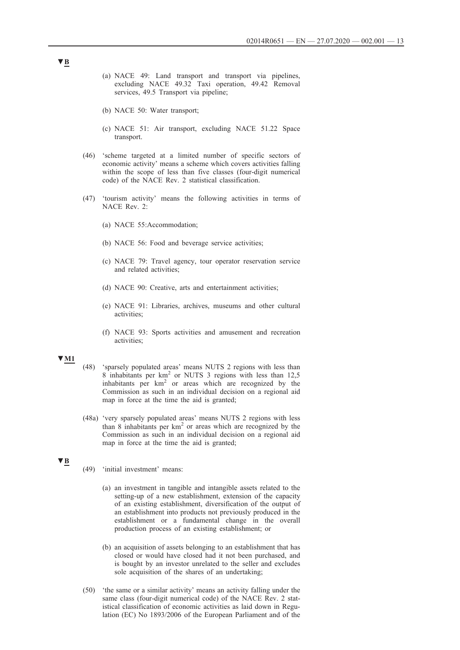- (a) NACE 49: Land transport and transport via pipelines, excluding NACE 49.32 Taxi operation, 49.42 Removal services, 49.5 Transport via pipeline;
- (b) NACE 50: Water transport;
- (c) NACE 51: Air transport, excluding NACE 51.22 Space transport.
- (46) 'scheme targeted at a limited number of specific sectors of economic activity' means a scheme which covers activities falling within the scope of less than five classes (four-digit numerical code) of the NACE Rev. 2 statistical classification.
- (47) 'tourism activity' means the following activities in terms of NACE Rev. 2:
	- (a) NACE 55:Accommodation;
	- (b) NACE 56: Food and beverage service activities;
	- (c) NACE 79: Travel agency, tour operator reservation service and related activities;
	- (d) NACE 90: Creative, arts and entertainment activities;
	- (e) NACE 91: Libraries, archives, museums and other cultural activities;
	- (f) NACE 93: Sports activities and amusement and recreation activities;

#### **▼M1**

- (48) 'sparsely populated areas' means NUTS 2 regions with less than 8 inhabitants per km<sup>2</sup> or NUTS 3 regions with less than 12,5 inhabitants per  $km^2$  or areas which are recognized by the Commission as such in an individual decision on a regional aid map in force at the time the aid is granted;
- (48a) 'very sparsely populated areas' means NUTS 2 regions with less than 8 inhabitants per  $km^2$  or areas which are recognized by the Commission as such in an individual decision on a regional aid map in force at the time the aid is granted;

### **▼B**

(49) 'initial investment' means:

- (a) an investment in tangible and intangible assets related to the setting-up of a new establishment, extension of the capacity of an existing establishment, diversification of the output of an establishment into products not previously produced in the establishment or a fundamental change in the overall production process of an existing establishment; or
- (b) an acquisition of assets belonging to an establishment that has closed or would have closed had it not been purchased, and is bought by an investor unrelated to the seller and excludes sole acquisition of the shares of an undertaking;
- (50) 'the same or a similar activity' means an activity falling under the same class (four-digit numerical code) of the NACE Rev. 2 statistical classification of economic activities as laid down in Regulation (EC) No 1893/2006 of the European Parliament and of the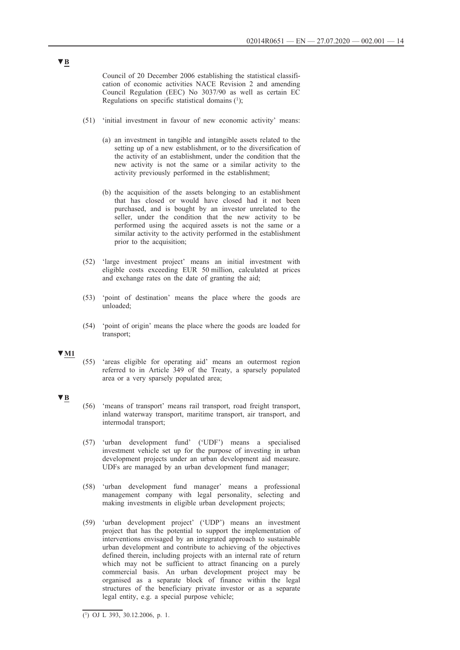Council of 20 December 2006 establishing the statistical classification of economic activities NACE Revision 2 and amending Council Regulation (EEC) No 3037/90 as well as certain EC Regulations on specific statistical domains  $(1)$ ;

- (51) 'initial investment in favour of new economic activity' means:
	- (a) an investment in tangible and intangible assets related to the setting up of a new establishment, or to the diversification of the activity of an establishment, under the condition that the new activity is not the same or a similar activity to the activity previously performed in the establishment;
	- (b) the acquisition of the assets belonging to an establishment that has closed or would have closed had it not been purchased, and is bought by an investor unrelated to the seller, under the condition that the new activity to be performed using the acquired assets is not the same or a similar activity to the activity performed in the establishment prior to the acquisition;
- (52) 'large investment project' means an initial investment with eligible costs exceeding EUR 50 million, calculated at prices and exchange rates on the date of granting the aid;
- (53) 'point of destination' means the place where the goods are unloaded;
- (54) 'point of origin' means the place where the goods are loaded for transport;

#### **▼M1**

(55) 'areas eligible for operating aid' means an outermost region referred to in Article 349 of the Treaty, a sparsely populated area or a very sparsely populated area;

### **▼B**

- (56) 'means of transport' means rail transport, road freight transport, inland waterway transport, maritime transport, air transport, and intermodal transport;
- (57) 'urban development fund' ('UDF') means a specialised investment vehicle set up for the purpose of investing in urban development projects under an urban development aid measure. UDFs are managed by an urban development fund manager;
- (58) 'urban development fund manager' means a professional management company with legal personality, selecting and making investments in eligible urban development projects;
- (59) 'urban development project' ('UDP') means an investment project that has the potential to support the implementation of interventions envisaged by an integrated approach to sustainable urban development and contribute to achieving of the objectives defined therein, including projects with an internal rate of return which may not be sufficient to attract financing on a purely commercial basis. An urban development project may be organised as a separate block of finance within the legal structures of the beneficiary private investor or as a separate legal entity, e.g. a special purpose vehicle;

 $\overline{(^1)}$  OJ L 393, 30.12.2006, p. 1.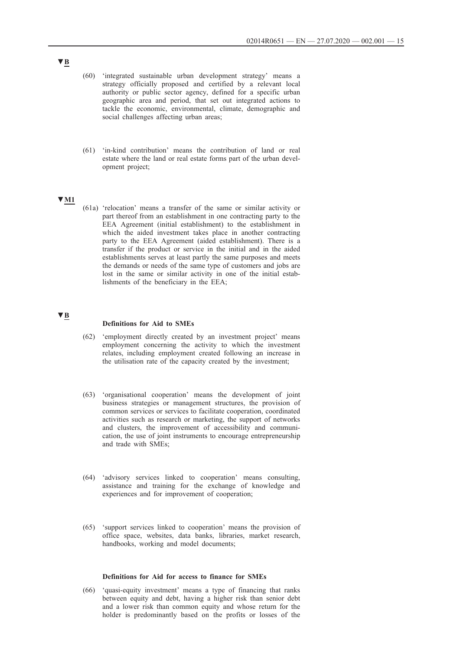- (60) 'integrated sustainable urban development strategy' means a strategy officially proposed and certified by a relevant local authority or public sector agency, defined for a specific urban geographic area and period, that set out integrated actions to tackle the economic, environmental, climate, demographic and social challenges affecting urban areas;
- (61) 'in-kind contribution' means the contribution of land or real estate where the land or real estate forms part of the urban development project;

### **▼M1**

(61a) 'relocation' means a transfer of the same or similar activity or part thereof from an establishment in one contracting party to the EEA Agreement (initial establishment) to the establishment in which the aided investment takes place in another contracting party to the EEA Agreement (aided establishment). There is a transfer if the product or service in the initial and in the aided establishments serves at least partly the same purposes and meets the demands or needs of the same type of customers and jobs are lost in the same or similar activity in one of the initial establishments of the beneficiary in the EEA;

### **▼B**

#### **Definitions for Aid to SMEs**

- (62) 'employment directly created by an investment project' means employment concerning the activity to which the investment relates, including employment created following an increase in the utilisation rate of the capacity created by the investment;
- (63) 'organisational cooperation' means the development of joint business strategies or management structures, the provision of common services or services to facilitate cooperation, coordinated activities such as research or marketing, the support of networks and clusters, the improvement of accessibility and communication, the use of joint instruments to encourage entrepreneurship and trade with SMEs;
- (64) 'advisory services linked to cooperation' means consulting, assistance and training for the exchange of knowledge and experiences and for improvement of cooperation;
- (65) 'support services linked to cooperation' means the provision of office space, websites, data banks, libraries, market research, handbooks, working and model documents;

#### **Definitions for Aid for access to finance for SMEs**

(66) 'quasi-equity investment' means a type of financing that ranks between equity and debt, having a higher risk than senior debt and a lower risk than common equity and whose return for the holder is predominantly based on the profits or losses of the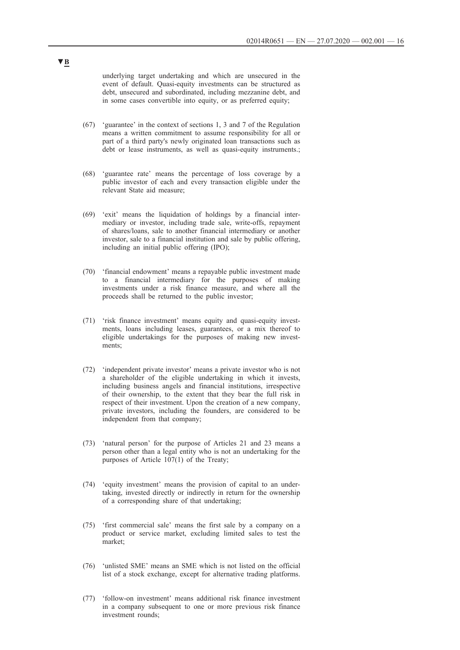underlying target undertaking and which are unsecured in the event of default. Quasi-equity investments can be structured as debt, unsecured and subordinated, including mezzanine debt, and in some cases convertible into equity, or as preferred equity;

- (67) 'guarantee' in the context of sections 1, 3 and 7 of the Regulation means a written commitment to assume responsibility for all or part of a third party's newly originated loan transactions such as debt or lease instruments, as well as quasi-equity instruments.;
- (68) 'guarantee rate' means the percentage of loss coverage by a public investor of each and every transaction eligible under the relevant State aid measure;
- (69) 'exit' means the liquidation of holdings by a financial intermediary or investor, including trade sale, write-offs, repayment of shares/loans, sale to another financial intermediary or another investor, sale to a financial institution and sale by public offering, including an initial public offering (IPO);
- (70) 'financial endowment' means a repayable public investment made to a financial intermediary for the purposes of making investments under a risk finance measure, and where all the proceeds shall be returned to the public investor;
- (71) 'risk finance investment' means equity and quasi-equity investments, loans including leases, guarantees, or a mix thereof to eligible undertakings for the purposes of making new investments;
- (72) 'independent private investor' means a private investor who is not a shareholder of the eligible undertaking in which it invests, including business angels and financial institutions, irrespective of their ownership, to the extent that they bear the full risk in respect of their investment. Upon the creation of a new company, private investors, including the founders, are considered to be independent from that company;
- (73) 'natural person' for the purpose of Articles 21 and 23 means a person other than a legal entity who is not an undertaking for the purposes of Article 107(1) of the Treaty;
- (74) 'equity investment' means the provision of capital to an undertaking, invested directly or indirectly in return for the ownership of a corresponding share of that undertaking;
- (75) 'first commercial sale' means the first sale by a company on a product or service market, excluding limited sales to test the market;
- (76) 'unlisted SME' means an SME which is not listed on the official list of a stock exchange, except for alternative trading platforms.
- (77) 'follow-on investment' means additional risk finance investment in a company subsequent to one or more previous risk finance investment rounds: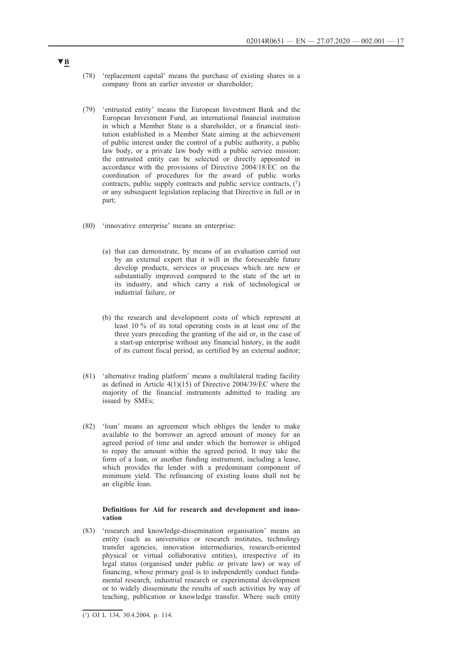- (78) 'replacement capital' means the purchase of existing shares in a company from an earlier investor or shareholder;
- (79) 'entrusted entity' means the European Investment Bank and the European Investment Fund, an international financial institution in which a Member State is a shareholder, or a financial institution established in a Member State aiming at the achievement of public interest under the control of a public authority, a public law body, or a private law body with a public service mission: the entrusted entity can be selected or directly appointed in accordance with the provisions of Directive 2004/18/EC on the coordination of procedures for the award of public works contracts, public supply contracts and public service contracts,  $(1)$ or any subsequent legislation replacing that Directive in full or in part;
- (80) 'innovative enterprise' means an enterprise:
	- (a) that can demonstrate, by means of an evaluation carried out by an external expert that it will in the foreseeable future develop products, services or processes which are new or substantially improved compared to the state of the art in its industry, and which carry a risk of technological or industrial failure, or
	- (b) the research and development costs of which represent at least 10 % of its total operating costs in at least one of the three years preceding the granting of the aid or, in the case of a start-up enterprise without any financial history, in the audit of its current fiscal period, as certified by an external auditor;
- (81) 'alternative trading platform' means a multilateral trading facility as defined in Article 4(1)(15) of Directive 2004/39/EC where the majority of the financial instruments admitted to trading are issued by SMEs;
- (82) 'loan' means an agreement which obliges the lender to make available to the borrower an agreed amount of money for an agreed period of time and under which the borrower is obliged to repay the amount within the agreed period. It may take the form of a loan, or another funding instrument, including a lease, which provides the lender with a predominant component of minimum yield. The refinancing of existing loans shall not be an eligible loan.

#### **Definitions for Aid for research and development and innovation**

(83) 'research and knowledge-dissemination organisation' means an entity (such as universities or research institutes, technology transfer agencies, innovation intermediaries, research-oriented physical or virtual collaborative entities), irrespective of its legal status (organised under public or private law) or way of financing, whose primary goal is to independently conduct fundamental research, industrial research or experimental development or to widely disseminate the results of such activities by way of teaching, publication or knowledge transfer. Where such entity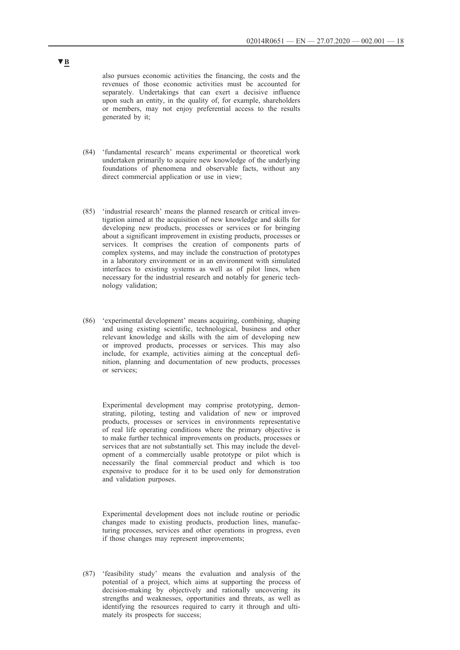also pursues economic activities the financing, the costs and the revenues of those economic activities must be accounted for separately. Undertakings that can exert a decisive influence upon such an entity, in the quality of, for example, shareholders or members, may not enjoy preferential access to the results generated by it;

- (84) 'fundamental research' means experimental or theoretical work undertaken primarily to acquire new knowledge of the underlying foundations of phenomena and observable facts, without any direct commercial application or use in view;
- (85) 'industrial research' means the planned research or critical investigation aimed at the acquisition of new knowledge and skills for developing new products, processes or services or for bringing about a significant improvement in existing products, processes or services. It comprises the creation of components parts of complex systems, and may include the construction of prototypes in a laboratory environment or in an environment with simulated interfaces to existing systems as well as of pilot lines, when necessary for the industrial research and notably for generic technology validation;
- (86) 'experimental development' means acquiring, combining, shaping and using existing scientific, technological, business and other relevant knowledge and skills with the aim of developing new or improved products, processes or services. This may also include, for example, activities aiming at the conceptual definition, planning and documentation of new products, processes or services;

Experimental development may comprise prototyping, demonstrating, piloting, testing and validation of new or improved products, processes or services in environments representative of real life operating conditions where the primary objective is to make further technical improvements on products, processes or services that are not substantially set. This may include the development of a commercially usable prototype or pilot which is necessarily the final commercial product and which is too expensive to produce for it to be used only for demonstration and validation purposes.

Experimental development does not include routine or periodic changes made to existing products, production lines, manufacturing processes, services and other operations in progress, even if those changes may represent improvements;

(87) 'feasibility study' means the evaluation and analysis of the potential of a project, which aims at supporting the process of decision-making by objectively and rationally uncovering its strengths and weaknesses, opportunities and threats, as well as identifying the resources required to carry it through and ultimately its prospects for success;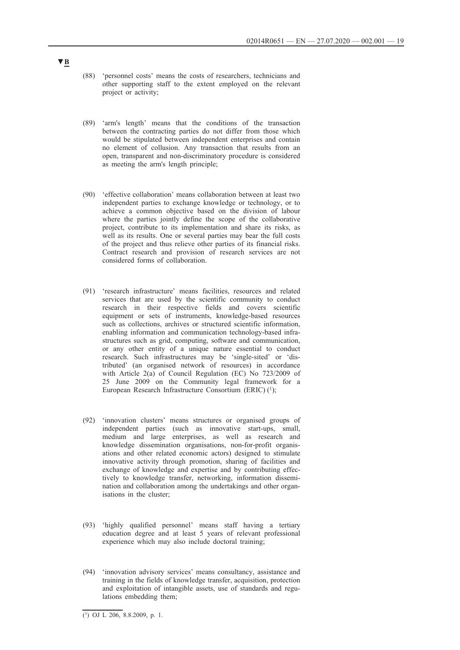- (88) 'personnel costs' means the costs of researchers, technicians and other supporting staff to the extent employed on the relevant project or activity;
- (89) 'arm's length' means that the conditions of the transaction between the contracting parties do not differ from those which would be stipulated between independent enterprises and contain no element of collusion. Any transaction that results from an open, transparent and non-discriminatory procedure is considered as meeting the arm's length principle;
- (90) 'effective collaboration' means collaboration between at least two independent parties to exchange knowledge or technology, or to achieve a common objective based on the division of labour where the parties jointly define the scope of the collaborative project, contribute to its implementation and share its risks, as well as its results. One or several parties may bear the full costs of the project and thus relieve other parties of its financial risks. Contract research and provision of research services are not considered forms of collaboration.
- (91) 'research infrastructure' means facilities, resources and related services that are used by the scientific community to conduct research in their respective fields and covers scientific equipment or sets of instruments, knowledge-based resources such as collections, archives or structured scientific information, enabling information and communication technology-based infrastructures such as grid, computing, software and communication, or any other entity of a unique nature essential to conduct research. Such infrastructures may be 'single-sited' or 'distributed' (an organised network of resources) in accordance with Article 2(a) of Council Regulation (EC) No 723/2009 of 25 June 2009 on the Community legal framework for a European Research Infrastructure Consortium (ERIC) (1);
- (92) 'innovation clusters' means structures or organised groups of independent parties (such as innovative start-ups, small, medium and large enterprises, as well as research and knowledge dissemination organisations, non-for-profit organisations and other related economic actors) designed to stimulate innovative activity through promotion, sharing of facilities and exchange of knowledge and expertise and by contributing effectively to knowledge transfer, networking, information dissemination and collaboration among the undertakings and other organisations in the cluster;
- (93) 'highly qualified personnel' means staff having a tertiary education degree and at least 5 years of relevant professional experience which may also include doctoral training;
- (94) 'innovation advisory services' means consultancy, assistance and training in the fields of knowledge transfer, acquisition, protection and exploitation of intangible assets, use of standards and regulations embedding them;

 $(1)$  OJ L 206, 8.8.2009, p. 1.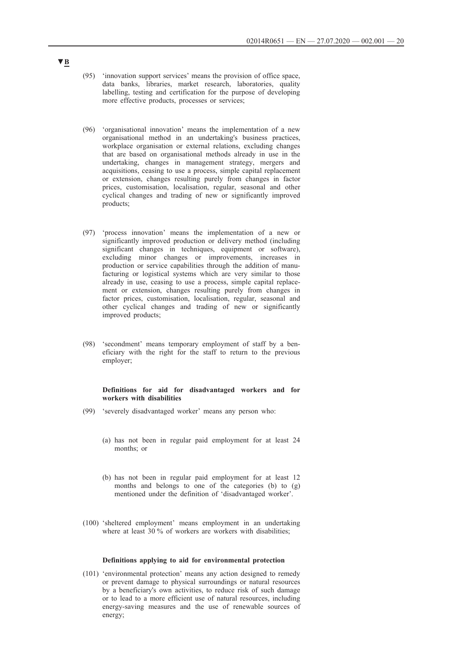- (95) 'innovation support services' means the provision of office space, data banks, libraries, market research, laboratories, quality labelling, testing and certification for the purpose of developing more effective products, processes or services;
- (96) 'organisational innovation' means the implementation of a new organisational method in an undertaking's business practices, workplace organisation or external relations, excluding changes that are based on organisational methods already in use in the undertaking, changes in management strategy, mergers and acquisitions, ceasing to use a process, simple capital replacement or extension, changes resulting purely from changes in factor prices, customisation, localisation, regular, seasonal and other cyclical changes and trading of new or significantly improved products;
- (97) 'process innovation' means the implementation of a new or significantly improved production or delivery method (including significant changes in techniques, equipment or software), excluding minor changes or improvements, increases in production or service capabilities through the addition of manufacturing or logistical systems which are very similar to those already in use, ceasing to use a process, simple capital replacement or extension, changes resulting purely from changes in factor prices, customisation, localisation, regular, seasonal and other cyclical changes and trading of new or significantly improved products;
- (98) 'secondment' means temporary employment of staff by a beneficiary with the right for the staff to return to the previous employer;

**Definitions for aid for disadvantaged workers and for workers with disabilities**

- (99) 'severely disadvantaged worker' means any person who:
	- (a) has not been in regular paid employment for at least 24 months; or
	- (b) has not been in regular paid employment for at least 12 months and belongs to one of the categories (b) to  $(g)$ mentioned under the definition of 'disadvantaged worker'.
- (100) 'sheltered employment' means employment in an undertaking where at least 30 % of workers are workers with disabilities;

#### **Definitions applying to aid for environmental protection**

(101) 'environmental protection' means any action designed to remedy or prevent damage to physical surroundings or natural resources by a beneficiary's own activities, to reduce risk of such damage or to lead to a more efficient use of natural resources, including energy-saving measures and the use of renewable sources of energy;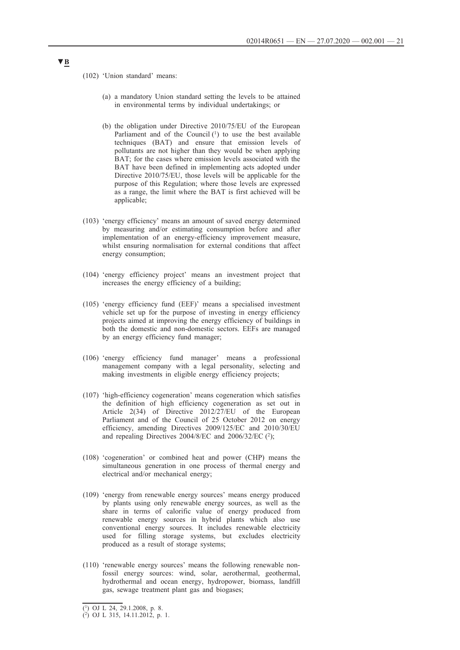(102) 'Union standard' means:

- (a) a mandatory Union standard setting the levels to be attained in environmental terms by individual undertakings; or
- (b) the obligation under Directive 2010/75/EU of the European Parliament and of the Council  $(1)$  to use the best available techniques (BAT) and ensure that emission levels of pollutants are not higher than they would be when applying BAT; for the cases where emission levels associated with the BAT have been defined in implementing acts adopted under Directive 2010/75/EU, those levels will be applicable for the purpose of this Regulation; where those levels are expressed as a range, the limit where the BAT is first achieved will be applicable;
- (103) 'energy efficiency' means an amount of saved energy determined by measuring and/or estimating consumption before and after implementation of an energy-efficiency improvement measure, whilst ensuring normalisation for external conditions that affect energy consumption;
- (104) 'energy efficiency project' means an investment project that increases the energy efficiency of a building;
- (105) 'energy efficiency fund (EEF)' means a specialised investment vehicle set up for the purpose of investing in energy efficiency projects aimed at improving the energy efficiency of buildings in both the domestic and non-domestic sectors. EEFs are managed by an energy efficiency fund manager;
- (106) 'energy efficiency fund manager' means a professional management company with a legal personality, selecting and making investments in eligible energy efficiency projects;
- (107) 'high-efficiency cogeneration' means cogeneration which satisfies the definition of high efficiency cogeneration as set out in Article 2(34) of Directive 2012/27/EU of the European Parliament and of the Council of 25 October 2012 on energy efficiency, amending Directives 2009/125/EC and 2010/30/EU and repealing Directives 2004/8/EC and 2006/32/EC (2);
- (108) 'cogeneration' or combined heat and power (CHP) means the simultaneous generation in one process of thermal energy and electrical and/or mechanical energy;
- (109) 'energy from renewable energy sources' means energy produced by plants using only renewable energy sources, as well as the share in terms of calorific value of energy produced from renewable energy sources in hybrid plants which also use conventional energy sources. It includes renewable electricity used for filling storage systems, but excludes electricity produced as a result of storage systems;
- (110) 'renewable energy sources' means the following renewable nonfossil energy sources: wind, solar, aerothermal, geothermal, hydrothermal and ocean energy, hydropower, biomass, landfill gas, sewage treatment plant gas and biogases;

<sup>(1)</sup> OJ L 24, 29.1.2008, p. 8.

<sup>(2)</sup> OJ L 315, 14.11.2012, p. 1.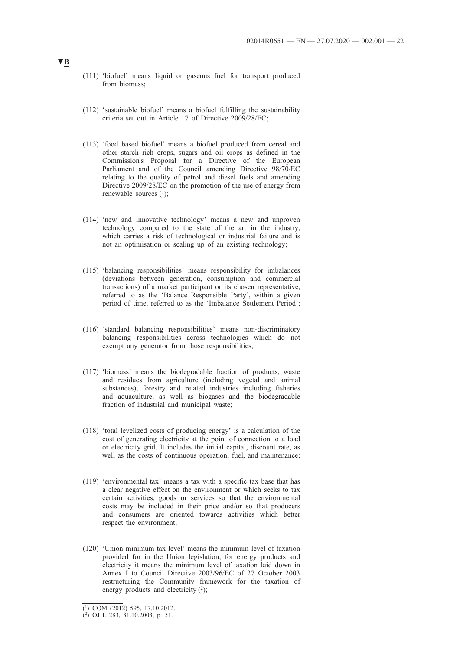- (111) 'biofuel' means liquid or gaseous fuel for transport produced from biomass;
- (112) 'sustainable biofuel' means a biofuel fulfilling the sustainability criteria set out in Article 17 of Directive 2009/28/EC;
- (113) 'food based biofuel' means a biofuel produced from cereal and other starch rich crops, sugars and oil crops as defined in the Commission's Proposal for a Directive of the European Parliament and of the Council amending Directive 98/70/EC relating to the quality of petrol and diesel fuels and amending Directive 2009/28/EC on the promotion of the use of energy from renewable sources  $(1)$ ;
- (114) 'new and innovative technology' means a new and unproven technology compared to the state of the art in the industry, which carries a risk of technological or industrial failure and is not an optimisation or scaling up of an existing technology;
- (115) 'balancing responsibilities' means responsibility for imbalances (deviations between generation, consumption and commercial transactions) of a market participant or its chosen representative, referred to as the 'Balance Responsible Party', within a given period of time, referred to as the 'Imbalance Settlement Period';
- (116) 'standard balancing responsibilities' means non-discriminatory balancing responsibilities across technologies which do not exempt any generator from those responsibilities;
- (117) 'biomass' means the biodegradable fraction of products, waste and residues from agriculture (including vegetal and animal substances), forestry and related industries including fisheries and aquaculture, as well as biogases and the biodegradable fraction of industrial and municipal waste;
- (118) 'total levelized costs of producing energy' is a calculation of the cost of generating electricity at the point of connection to a load or electricity grid. It includes the initial capital, discount rate, as well as the costs of continuous operation, fuel, and maintenance;
- (119) 'environmental tax' means a tax with a specific tax base that has a clear negative effect on the environment or which seeks to tax certain activities, goods or services so that the environmental costs may be included in their price and/or so that producers and consumers are oriented towards activities which better respect the environment;
- (120) 'Union minimum tax level' means the minimum level of taxation provided for in the Union legislation; for energy products and electricity it means the minimum level of taxation laid down in Annex I to Council Directive 2003/96/EC of 27 October 2003 restructuring the Community framework for the taxation of energy products and electricity  $(2)$ ;

<sup>(1)</sup> COM (2012) 595, 17.10.2012.

<sup>(2)</sup> OJ L 283, 31.10.2003, p. 51.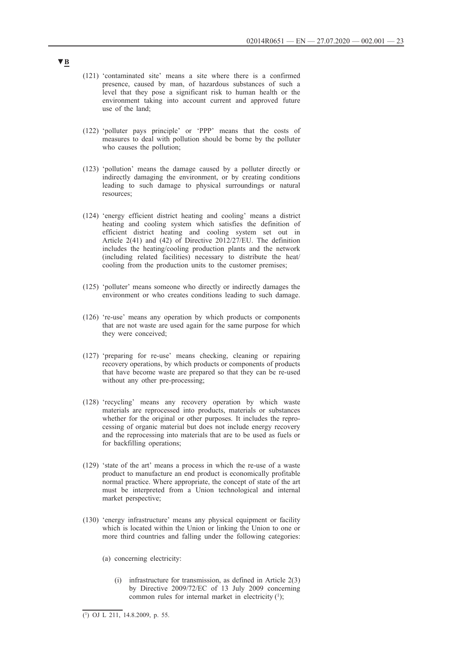- (121) 'contaminated site' means a site where there is a confirmed presence, caused by man, of hazardous substances of such a level that they pose a significant risk to human health or the environment taking into account current and approved future use of the land;
- (122) 'polluter pays principle' or 'PPP' means that the costs of measures to deal with pollution should be borne by the polluter who causes the pollution;
- (123) 'pollution' means the damage caused by a polluter directly or indirectly damaging the environment, or by creating conditions leading to such damage to physical surroundings or natural resources;
- (124) 'energy efficient district heating and cooling' means a district heating and cooling system which satisfies the definition of efficient district heating and cooling system set out in Article 2(41) and (42) of Directive 2012/27/EU. The definition includes the heating/cooling production plants and the network (including related facilities) necessary to distribute the heat/ cooling from the production units to the customer premises;
- (125) 'polluter' means someone who directly or indirectly damages the environment or who creates conditions leading to such damage.
- (126) 're-use' means any operation by which products or components that are not waste are used again for the same purpose for which they were conceived;
- (127) 'preparing for re-use' means checking, cleaning or repairing recovery operations, by which products or components of products that have become waste are prepared so that they can be re-used without any other pre-processing;
- (128) 'recycling' means any recovery operation by which waste materials are reprocessed into products, materials or substances whether for the original or other purposes. It includes the reprocessing of organic material but does not include energy recovery and the reprocessing into materials that are to be used as fuels or for backfilling operations;
- (129) 'state of the art' means a process in which the re-use of a waste product to manufacture an end product is economically profitable normal practice. Where appropriate, the concept of state of the art must be interpreted from a Union technological and internal market perspective;
- (130) 'energy infrastructure' means any physical equipment or facility which is located within the Union or linking the Union to one or more third countries and falling under the following categories:
	- (a) concerning electricity:
		- (i) infrastructure for transmission, as defined in Article 2(3) by Directive 2009/72/EC of 13 July 2009 concerning common rules for internal market in electricity  $(1)$ ;

 $(1)$  OJ L 211, 14.8.2009, p. 55.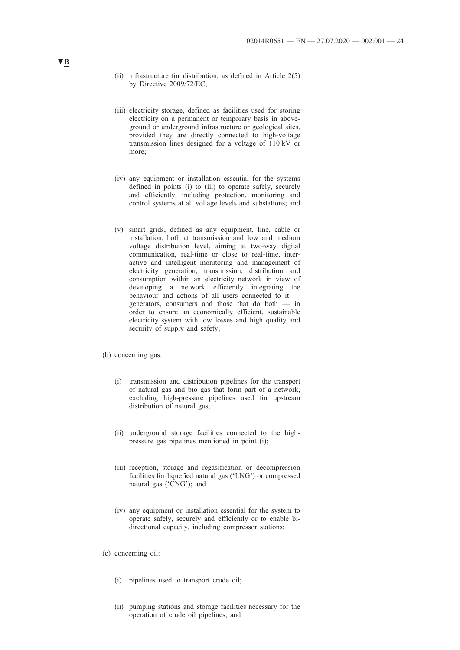- (ii) infrastructure for distribution, as defined in Article 2(5) by Directive 2009/72/EC;
- (iii) electricity storage, defined as facilities used for storing electricity on a permanent or temporary basis in aboveground or underground infrastructure or geological sites, provided they are directly connected to high-voltage transmission lines designed for a voltage of 110 kV or more;
- (iv) any equipment or installation essential for the systems defined in points (i) to (iii) to operate safely, securely and efficiently, including protection, monitoring and control systems at all voltage levels and substations; and
- (v) smart grids, defined as any equipment, line, cable or installation, both at transmission and low and medium voltage distribution level, aiming at two-way digital communication, real-time or close to real-time, interactive and intelligent monitoring and management of electricity generation, transmission, distribution and consumption within an electricity network in view of developing a network efficiently integrating the behaviour and actions of all users connected to it generators, consumers and those that do both — in order to ensure an economically efficient, sustainable electricity system with low losses and high quality and security of supply and safety;
- (b) concerning gas:
	- (i) transmission and distribution pipelines for the transport of natural gas and bio gas that form part of a network, excluding high-pressure pipelines used for upstream distribution of natural gas;
	- (ii) underground storage facilities connected to the highpressure gas pipelines mentioned in point (i);
	- (iii) reception, storage and regasification or decompression facilities for liquefied natural gas ('LNG') or compressed natural gas ('CNG'); and
	- (iv) any equipment or installation essential for the system to operate safely, securely and efficiently or to enable bidirectional capacity, including compressor stations;
- (c) concerning oil:
	- (i) pipelines used to transport crude oil;
	- (ii) pumping stations and storage facilities necessary for the operation of crude oil pipelines; and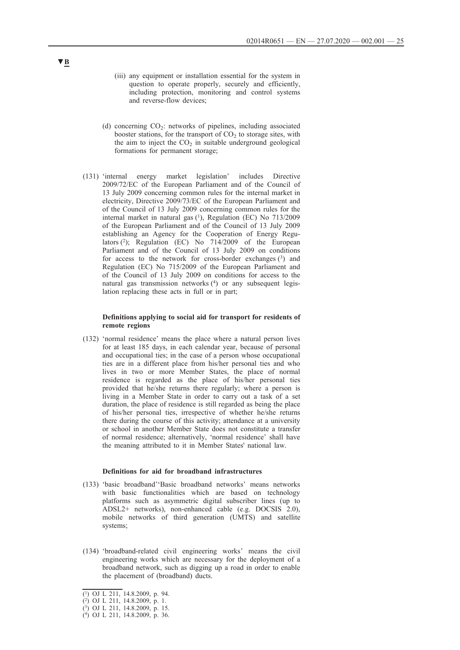- (iii) any equipment or installation essential for the system in question to operate properly, securely and efficiently, including protection, monitoring and control systems and reverse-flow devices;
- (d) concerning  $CO<sub>2</sub>$ : networks of pipelines, including associated booster stations, for the transport of  $CO<sub>2</sub>$  to storage sites, with the aim to inject the  $CO<sub>2</sub>$  in suitable underground geological formations for permanent storage;
- (131) 'internal energy market legislation' includes Directive 2009/72/EC of the European Parliament and of the Council of 13 July 2009 concerning common rules for the internal market in electricity, Directive 2009/73/EC of the European Parliament and of the Council of 13 July 2009 concerning common rules for the internal market in natural gas  $(1)$ , Regulation (EC) No 713/2009 of the European Parliament and of the Council of 13 July 2009 establishing an Agency for the Cooperation of Energy Regulators (2); Regulation (EC) No 714/2009 of the European Parliament and of the Council of 13 July 2009 on conditions for access to the network for cross-border exchanges (3) and Regulation (EC) No 715/2009 of the European Parliament and of the Council of 13 July 2009 on conditions for access to the natural gas transmission networks  $(4)$  or any subsequent legislation replacing these acts in full or in part;

#### **Definitions applying to social aid for transport for residents of remote regions**

(132) 'normal residence' means the place where a natural person lives for at least 185 days, in each calendar year, because of personal and occupational ties; in the case of a person whose occupational ties are in a different place from his/her personal ties and who lives in two or more Member States, the place of normal residence is regarded as the place of his/her personal ties provided that he/she returns there regularly; where a person is living in a Member State in order to carry out a task of a set duration, the place of residence is still regarded as being the place of his/her personal ties, irrespective of whether he/she returns there during the course of this activity; attendance at a university or school in another Member State does not constitute a transfer of normal residence; alternatively, 'normal residence' shall have the meaning attributed to it in Member States' national law.

#### **Definitions for aid for broadband infrastructures**

- (133) 'basic broadband''Basic broadband networks' means networks with basic functionalities which are based on technology platforms such as asymmetric digital subscriber lines (up to ADSL2+ networks), non-enhanced cable (e.g. DOCSIS 2.0), mobile networks of third generation (UMTS) and satellite systems;
- (134) 'broadband-related civil engineering works' means the civil engineering works which are necessary for the deployment of a broadband network, such as digging up a road in order to enable the placement of (broadband) ducts.

<sup>(1)</sup> OJ L 211, 14.8.2009, p. 94.

 $(2)$  OJ L 211, 14.8.2009, p. 1.

<sup>(3)</sup> OJ L 211, 14.8.2009, p. 15.

<sup>(4)</sup> OJ L 211, 14.8.2009, p. 36.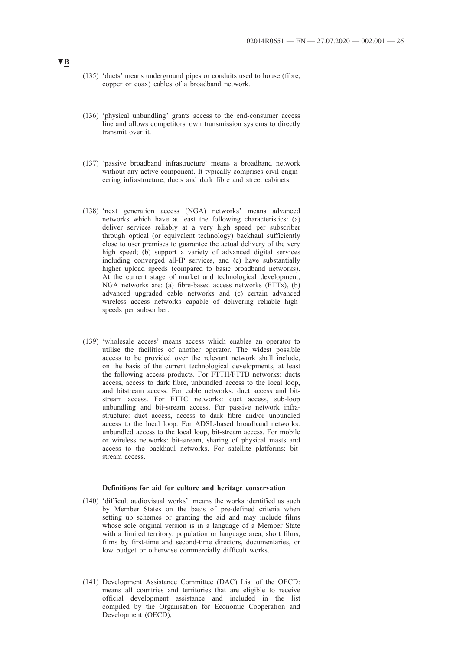- (135) 'ducts' means underground pipes or conduits used to house (fibre, copper or coax) cables of a broadband network.
- (136) 'physical unbundling' grants access to the end-consumer access line and allows competitors' own transmission systems to directly transmit over it.
- (137) 'passive broadband infrastructure' means a broadband network without any active component. It typically comprises civil engineering infrastructure, ducts and dark fibre and street cabinets.
- (138) 'next generation access (NGA) networks' means advanced networks which have at least the following characteristics: (a) deliver services reliably at a very high speed per subscriber through optical (or equivalent technology) backhaul sufficiently close to user premises to guarantee the actual delivery of the very high speed; (b) support a variety of advanced digital services including converged all-IP services, and (c) have substantially higher upload speeds (compared to basic broadband networks). At the current stage of market and technological development, NGA networks are: (a) fibre-based access networks (FTTx), (b) advanced upgraded cable networks and (c) certain advanced wireless access networks capable of delivering reliable highspeeds per subscriber.
- (139) 'wholesale access' means access which enables an operator to utilise the facilities of another operator. The widest possible access to be provided over the relevant network shall include, on the basis of the current technological developments, at least the following access products. For FTTH/FTTB networks: ducts access, access to dark fibre, unbundled access to the local loop, and bitstream access. For cable networks: duct access and bitstream access. For FTTC networks: duct access, sub-loop unbundling and bit-stream access. For passive network infrastructure: duct access, access to dark fibre and/or unbundled access to the local loop. For ADSL-based broadband networks: unbundled access to the local loop, bit-stream access. For mobile or wireless networks: bit-stream, sharing of physical masts and access to the backhaul networks. For satellite platforms: bitstream access.

#### **Definitions for aid for culture and heritage conservation**

- (140) 'difficult audiovisual works': means the works identified as such by Member States on the basis of pre-defined criteria when setting up schemes or granting the aid and may include films whose sole original version is in a language of a Member State with a limited territory, population or language area, short films, films by first-time and second-time directors, documentaries, or low budget or otherwise commercially difficult works.
- (141) Development Assistance Committee (DAC) List of the OECD: means all countries and territories that are eligible to receive official development assistance and included in the list compiled by the Organisation for Economic Cooperation and Development (OECD);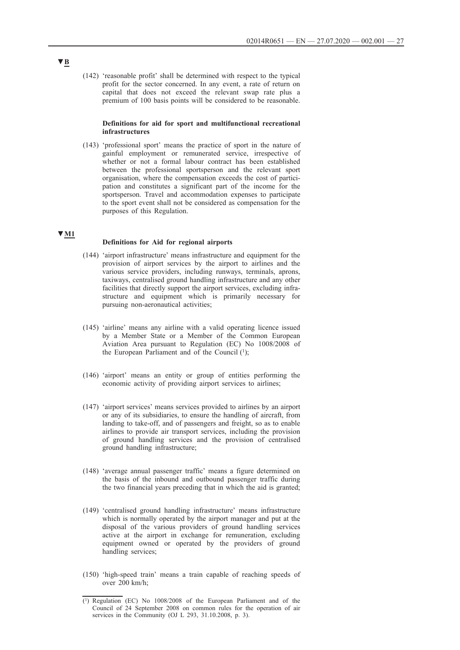(142) 'reasonable profit' shall be determined with respect to the typical profit for the sector concerned. In any event, a rate of return on capital that does not exceed the relevant swap rate plus a premium of 100 basis points will be considered to be reasonable.

#### **Definitions for aid for sport and multifunctional recreational infrastructures**

(143) 'professional sport' means the practice of sport in the nature of gainful employment or remunerated service, irrespective of whether or not a formal labour contract has been established between the professional sportsperson and the relevant sport organisation, where the compensation exceeds the cost of participation and constitutes a significant part of the income for the sportsperson. Travel and accommodation expenses to participate to the sport event shall not be considered as compensation for the purposes of this Regulation.

### **▼M1**

#### **Definitions for Aid for regional airports**

- (144) 'airport infrastructure' means infrastructure and equipment for the provision of airport services by the airport to airlines and the various service providers, including runways, terminals, aprons, taxiways, centralised ground handling infrastructure and any other facilities that directly support the airport services, excluding infrastructure and equipment which is primarily necessary for pursuing non-aeronautical activities;
- (145) 'airline' means any airline with a valid operating licence issued by a Member State or a Member of the Common European Aviation Area pursuant to Regulation (EC) No 1008/2008 of the European Parliament and of the Council  $(1)$ ;
- (146) 'airport' means an entity or group of entities performing the economic activity of providing airport services to airlines;
- (147) 'airport services' means services provided to airlines by an airport or any of its subsidiaries, to ensure the handling of aircraft, from landing to take-off, and of passengers and freight, so as to enable airlines to provide air transport services, including the provision of ground handling services and the provision of centralised ground handling infrastructure;
- (148) 'average annual passenger traffic' means a figure determined on the basis of the inbound and outbound passenger traffic during the two financial years preceding that in which the aid is granted;
- (149) 'centralised ground handling infrastructure' means infrastructure which is normally operated by the airport manager and put at the disposal of the various providers of ground handling services active at the airport in exchange for remuneration, excluding equipment owned or operated by the providers of ground handling services;
- (150) 'high-speed train' means a train capable of reaching speeds of over 200 km/h;

<sup>(1)</sup> Regulation (EC) No 1008/2008 of the European Parliament and of the Council of 24 September 2008 on common rules for the operation of air services in the Community (OJ L 293, 31.10.2008, p. 3).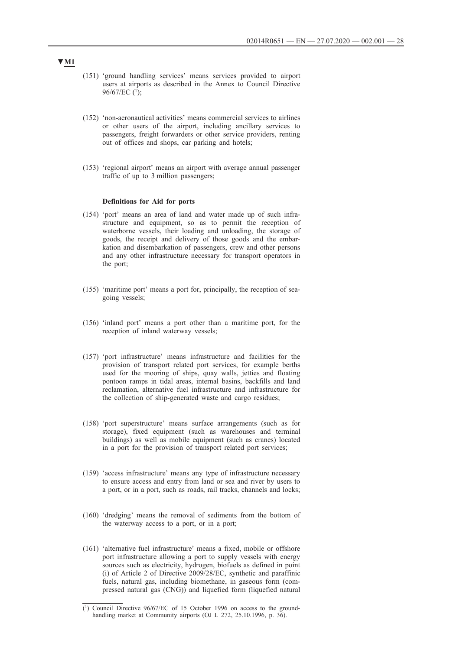- (151) 'ground handling services' means services provided to airport users at airports as described in the Annex to Council Directive 96/67/EC (1);
- (152) 'non-aeronautical activities' means commercial services to airlines or other users of the airport, including ancillary services to passengers, freight forwarders or other service providers, renting out of offices and shops, car parking and hotels;
- (153) 'regional airport' means an airport with average annual passenger traffic of up to 3 million passengers;

### **Definitions for Aid for ports**

- (154) 'port' means an area of land and water made up of such infrastructure and equipment, so as to permit the reception of waterborne vessels, their loading and unloading, the storage of goods, the receipt and delivery of those goods and the embarkation and disembarkation of passengers, crew and other persons and any other infrastructure necessary for transport operators in the port;
- (155) 'maritime port' means a port for, principally, the reception of seagoing vessels;
- (156) 'inland port' means a port other than a maritime port, for the reception of inland waterway vessels;
- (157) 'port infrastructure' means infrastructure and facilities for the provision of transport related port services, for example berths used for the mooring of ships, quay walls, jetties and floating pontoon ramps in tidal areas, internal basins, backfills and land reclamation, alternative fuel infrastructure and infrastructure for the collection of ship-generated waste and cargo residues;
- (158) 'port superstructure' means surface arrangements (such as for storage), fixed equipment (such as warehouses and terminal buildings) as well as mobile equipment (such as cranes) located in a port for the provision of transport related port services;
- (159) 'access infrastructure' means any type of infrastructure necessary to ensure access and entry from land or sea and river by users to a port, or in a port, such as roads, rail tracks, channels and locks;
- (160) 'dredging' means the removal of sediments from the bottom of the waterway access to a port, or in a port;
- (161) 'alternative fuel infrastructure' means a fixed, mobile or offshore port infrastructure allowing a port to supply vessels with energy sources such as electricity, hydrogen, biofuels as defined in point (i) of Article 2 of Directive 2009/28/EC, synthetic and paraffinic fuels, natural gas, including biomethane, in gaseous form (compressed natural gas (CNG)) and liquefied form (liquefied natural

### **▼M1**

<sup>(1)</sup> Council Directive 96/67/EC of 15 October 1996 on access to the groundhandling market at Community airports (OJ L 272, 25.10.1996, p. 36).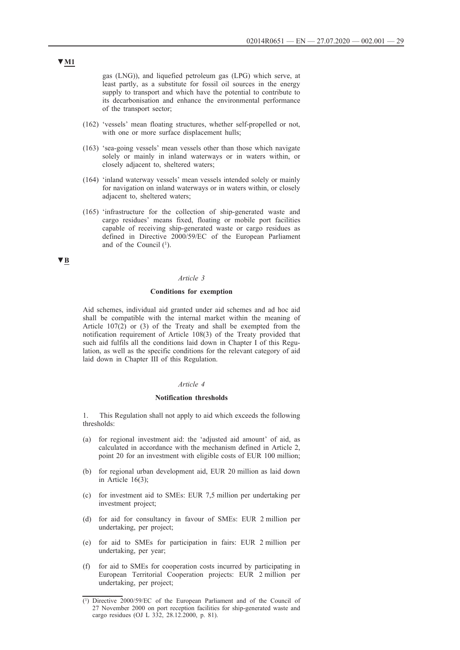gas (LNG)), and liquefied petroleum gas (LPG) which serve, at least partly, as a substitute for fossil oil sources in the energy supply to transport and which have the potential to contribute to its decarbonisation and enhance the environmental performance of the transport sector;

- (162) 'vessels' mean floating structures, whether self-propelled or not, with one or more surface displacement hulls;
- (163) 'sea-going vessels' mean vessels other than those which navigate solely or mainly in inland waterways or in waters within, or closely adjacent to, sheltered waters;
- (164) 'inland waterway vessels' mean vessels intended solely or mainly for navigation on inland waterways or in waters within, or closely adjacent to, sheltered waters;
- (165) 'infrastructure for the collection of ship-generated waste and cargo residues' means fixed, floating or mobile port facilities capable of receiving ship-generated waste or cargo residues as defined in Directive 2000/59/EC of the European Parliament and of the Council  $(1)$ .

### **▼B**

#### *Article 3*

#### **Conditions for exemption**

Aid schemes, individual aid granted under aid schemes and ad hoc aid shall be compatible with the internal market within the meaning of Article 107(2) or (3) of the Treaty and shall be exempted from the notification requirement of Article 108(3) of the Treaty provided that such aid fulfils all the conditions laid down in Chapter I of this Regulation, as well as the specific conditions for the relevant category of aid laid down in Chapter III of this Regulation.

### *Article 4*

#### **Notification thresholds**

1. This Regulation shall not apply to aid which exceeds the following thresholds:

- (a) for regional investment aid: the 'adjusted aid amount' of aid, as calculated in accordance with the mechanism defined in Article 2, point 20 for an investment with eligible costs of EUR 100 million;
- (b) for regional urban development aid, EUR 20 million as laid down in Article 16(3);
- (c) for investment aid to SMEs: EUR 7,5 million per undertaking per investment project;
- (d) for aid for consultancy in favour of SMEs: EUR 2 million per undertaking, per project;
- (e) for aid to SMEs for participation in fairs: EUR 2 million per undertaking, per year;
- (f) for aid to SMEs for cooperation costs incurred by participating in European Territorial Cooperation projects: EUR 2 million per undertaking, per project;

### **▼M1**

<sup>(1)</sup> Directive 2000/59/EC of the European Parliament and of the Council of 27 November 2000 on port reception facilities for ship-generated waste and cargo residues (OJ L 332, 28.12.2000, p. 81).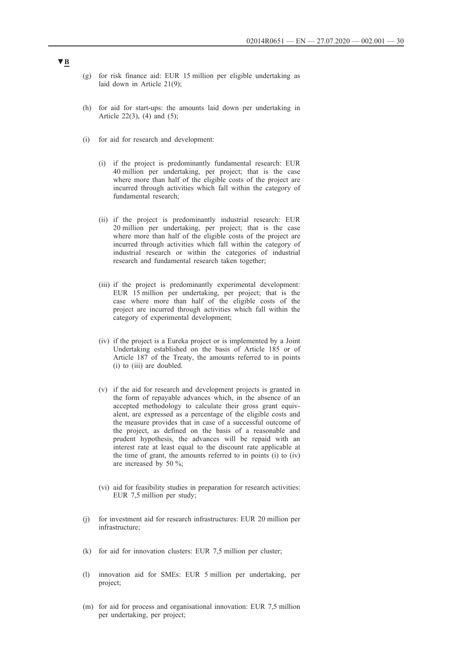- (g) for risk finance aid: EUR 15 million per eligible undertaking as laid down in Article 21(9);
- (h) for aid for start-ups: the amounts laid down per undertaking in Article 22(3), (4) and (5);
- (i) for aid for research and development:
	- (i) if the project is predominantly fundamental research: EUR 40 million per undertaking, per project; that is the case where more than half of the eligible costs of the project are incurred through activities which fall within the category of fundamental research;
	- (ii) if the project is predominantly industrial research: EUR 20 million per undertaking, per project; that is the case where more than half of the eligible costs of the project are incurred through activities which fall within the category of industrial research or within the categories of industrial research and fundamental research taken together;
	- (iii) if the project is predominantly experimental development: EUR 15 million per undertaking, per project; that is the case where more than half of the eligible costs of the project are incurred through activities which fall within the category of experimental development;
	- (iv) if the project is a Eureka project or is implemented by a Joint Undertaking established on the basis of Article 185 or of Article 187 of the Treaty, the amounts referred to in points (i) to (iii) are doubled.
	- (v) if the aid for research and development projects is granted in the form of repayable advances which, in the absence of an accepted methodology to calculate their gross grant equivalent, are expressed as a percentage of the eligible costs and the measure provides that in case of a successful outcome of the project, as defined on the basis of a reasonable and prudent hypothesis, the advances will be repaid with an interest rate at least equal to the discount rate applicable at the time of grant, the amounts referred to in points (i) to (iv) are increased by 50 %;
	- (vi) aid for feasibility studies in preparation for research activities: EUR 7,5 million per study;
- (j) for investment aid for research infrastructures: EUR 20 million per infrastructure;
- (k) for aid for innovation clusters: EUR 7,5 million per cluster;
- (l) innovation aid for SMEs: EUR 5 million per undertaking, per project;
- (m) for aid for process and organisational innovation: EUR 7,5 million per undertaking, per project;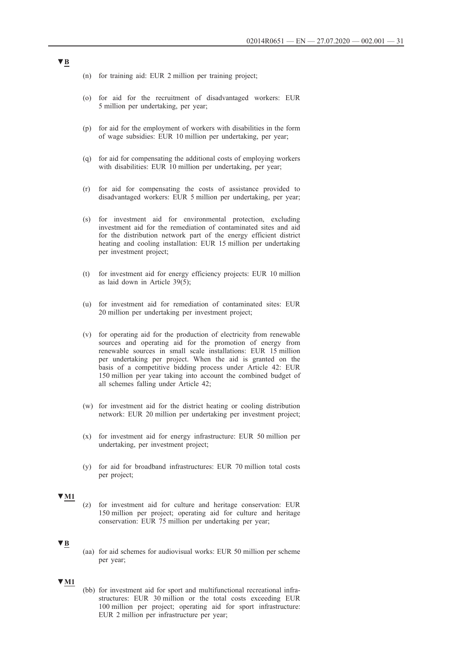- (n) for training aid: EUR 2 million per training project;
- (o) for aid for the recruitment of disadvantaged workers: EUR 5 million per undertaking, per year;
- (p) for aid for the employment of workers with disabilities in the form of wage subsidies: EUR 10 million per undertaking, per year;
- (q) for aid for compensating the additional costs of employing workers with disabilities: EUR 10 million per undertaking, per year;
- (r) for aid for compensating the costs of assistance provided to disadvantaged workers: EUR 5 million per undertaking, per year;
- (s) for investment aid for environmental protection, excluding investment aid for the remediation of contaminated sites and aid for the distribution network part of the energy efficient district heating and cooling installation: EUR 15 million per undertaking per investment project;
- (t) for investment aid for energy efficiency projects: EUR 10 million as laid down in Article  $39(5)$ ;
- (u) for investment aid for remediation of contaminated sites: EUR 20 million per undertaking per investment project;
- (v) for operating aid for the production of electricity from renewable sources and operating aid for the promotion of energy from renewable sources in small scale installations: EUR 15 million per undertaking per project. When the aid is granted on the basis of a competitive bidding process under Article 42: EUR 150 million per year taking into account the combined budget of all schemes falling under Article 42;
- (w) for investment aid for the district heating or cooling distribution network: EUR 20 million per undertaking per investment project;
- (x) for investment aid for energy infrastructure: EUR 50 million per undertaking, per investment project;
- (y) for aid for broadband infrastructures: EUR 70 million total costs per project;

### **▼M1**

(z) for investment aid for culture and heritage conservation: EUR 150 million per project; operating aid for culture and heritage conservation: EUR 75 million per undertaking per year;

### **▼B**

(aa) for aid schemes for audiovisual works: EUR 50 million per scheme per year;

### **▼M1**

(bb) for investment aid for sport and multifunctional recreational infrastructures: EUR 30 million or the total costs exceeding EUR 100 million per project; operating aid for sport infrastructure: EUR 2 million per infrastructure per year;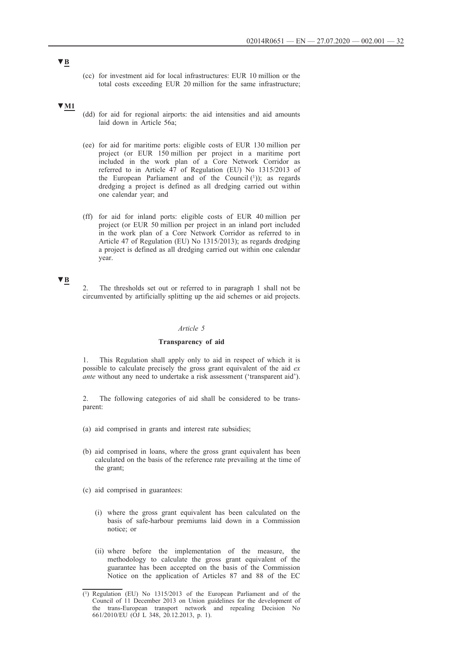(cc) for investment aid for local infrastructures: EUR 10 million or the total costs exceeding EUR 20 million for the same infrastructure;

### **▼M1**

- (dd) for aid for regional airports: the aid intensities and aid amounts laid down in Article 56a;
- (ee) for aid for maritime ports: eligible costs of EUR 130 million per project (or EUR 150 million per project in a maritime port included in the work plan of a Core Network Corridor as referred to in Article 47 of Regulation (EU) No 1315/2013 of the European Parliament and of the Council (1)); as regards dredging a project is defined as all dredging carried out within one calendar year; and
- (ff) for aid for inland ports: eligible costs of EUR 40 million per project (or EUR 50 million per project in an inland port included in the work plan of a Core Network Corridor as referred to in Article 47 of Regulation (EU) No 1315/2013); as regards dredging a project is defined as all dredging carried out within one calendar year.

#### **▼B**

2. The thresholds set out or referred to in paragraph 1 shall not be circumvented by artificially splitting up the aid schemes or aid projects.

#### *Article 5*

#### **Transparency of aid**

1. This Regulation shall apply only to aid in respect of which it is possible to calculate precisely the gross grant equivalent of the aid *ex ante* without any need to undertake a risk assessment ('transparent aid').

2. The following categories of aid shall be considered to be transparent:

- (a) aid comprised in grants and interest rate subsidies;
- (b) aid comprised in loans, where the gross grant equivalent has been calculated on the basis of the reference rate prevailing at the time of the grant;
- (c) aid comprised in guarantees:
	- (i) where the gross grant equivalent has been calculated on the basis of safe-harbour premiums laid down in a Commission notice; or
	- (ii) where before the implementation of the measure, the methodology to calculate the gross grant equivalent of the guarantee has been accepted on the basis of the Commission Notice on the application of Articles 87 and 88 of the EC

<sup>(1)</sup> Regulation (EU) No 1315/2013 of the European Parliament and of the Council of 11 December 2013 on Union guidelines for the development of the trans-European transport network and repealing Decision No 661/2010/EU (OJ L 348, 20.12.2013, p. 1).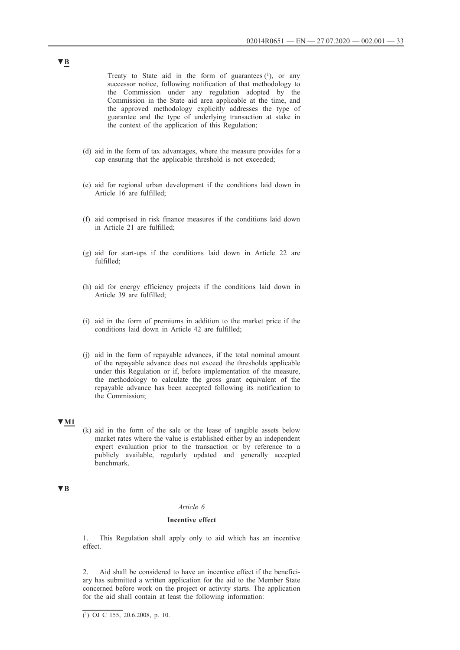Treaty to State aid in the form of guarantees  $(1)$ , or any successor notice, following notification of that methodology to the Commission under any regulation adopted by the Commission in the State aid area applicable at the time, and the approved methodology explicitly addresses the type of guarantee and the type of underlying transaction at stake in the context of the application of this Regulation;

- (d) aid in the form of tax advantages, where the measure provides for a cap ensuring that the applicable threshold is not exceeded;
- (e) aid for regional urban development if the conditions laid down in Article 16 are fulfilled;
- (f) aid comprised in risk finance measures if the conditions laid down in Article 21 are fulfilled;
- (g) aid for start-ups if the conditions laid down in Article 22 are fulfilled;
- (h) aid for energy efficiency projects if the conditions laid down in Article 39 are fulfilled;
- (i) aid in the form of premiums in addition to the market price if the conditions laid down in Article 42 are fulfilled;
- (j) aid in the form of repayable advances, if the total nominal amount of the repayable advance does not exceed the thresholds applicable under this Regulation or if, before implementation of the measure, the methodology to calculate the gross grant equivalent of the repayable advance has been accepted following its notification to the Commission;

### **▼M1**

(k) aid in the form of the sale or the lease of tangible assets below market rates where the value is established either by an independent expert evaluation prior to the transaction or by reference to a publicly available, regularly updated and generally accepted benchmark.

### **▼B**

### *Article 6*

### **Incentive effect**

1. This Regulation shall apply only to aid which has an incentive effect.

2. Aid shall be considered to have an incentive effect if the beneficiary has submitted a written application for the aid to the Member State concerned before work on the project or activity starts. The application for the aid shall contain at least the following information:

 $(1)$  OJ C 155, 20.6.2008, p. 10.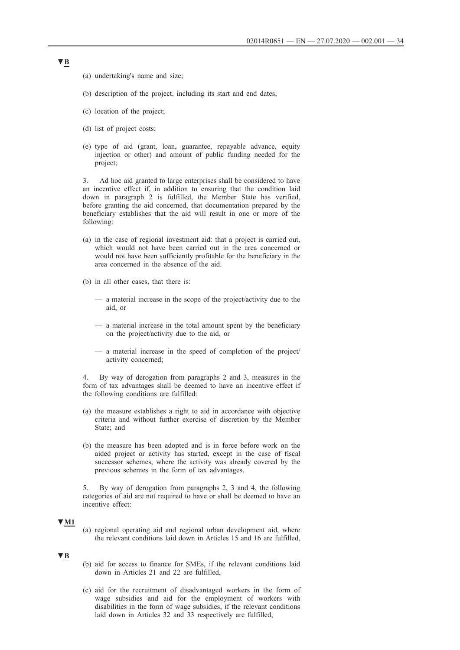- (a) undertaking's name and size;
- (b) description of the project, including its start and end dates;
- (c) location of the project;
- (d) list of project costs;
- (e) type of aid (grant, loan, guarantee, repayable advance, equity injection or other) and amount of public funding needed for the project;

3. Ad hoc aid granted to large enterprises shall be considered to have an incentive effect if, in addition to ensuring that the condition laid down in paragraph 2 is fulfilled, the Member State has verified, before granting the aid concerned, that documentation prepared by the beneficiary establishes that the aid will result in one or more of the following:

- (a) in the case of regional investment aid: that a project is carried out, which would not have been carried out in the area concerned or would not have been sufficiently profitable for the beneficiary in the area concerned in the absence of the aid.
- (b) in all other cases, that there is:
	- a material increase in the scope of the project/activity due to the aid, or
	- a material increase in the total amount spent by the beneficiary on the project/activity due to the aid, or
	- a material increase in the speed of completion of the project/ activity concerned;

4. By way of derogation from paragraphs 2 and 3, measures in the form of tax advantages shall be deemed to have an incentive effect if the following conditions are fulfilled:

- (a) the measure establishes a right to aid in accordance with objective criteria and without further exercise of discretion by the Member State; and
- (b) the measure has been adopted and is in force before work on the aided project or activity has started, except in the case of fiscal successor schemes, where the activity was already covered by the previous schemes in the form of tax advantages.

5. By way of derogation from paragraphs 2, 3 and 4, the following categories of aid are not required to have or shall be deemed to have an incentive effect:

### **▼M1**

(a) regional operating aid and regional urban development aid, where the relevant conditions laid down in Articles 15 and 16 are fulfilled,

#### **▼B**

- (b) aid for access to finance for SMEs, if the relevant conditions laid down in Articles 21 and 22 are fulfilled,
- (c) aid for the recruitment of disadvantaged workers in the form of wage subsidies and aid for the employment of workers with disabilities in the form of wage subsidies, if the relevant conditions laid down in Articles 32 and 33 respectively are fulfilled,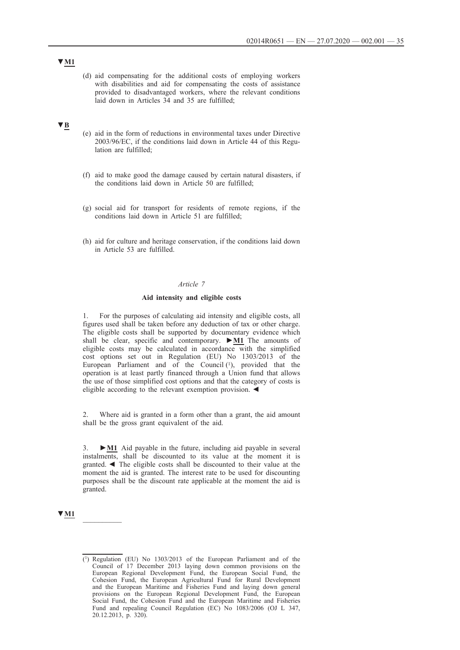(d) aid compensating for the additional costs of employing workers with disabilities and aid for compensating the costs of assistance provided to disadvantaged workers, where the relevant conditions laid down in Articles 34 and 35 are fulfilled;

### **▼B**

- (e) aid in the form of reductions in environmental taxes under Directive 2003/96/EC, if the conditions laid down in Article 44 of this Regulation are fulfilled;
- (f) aid to make good the damage caused by certain natural disasters, if the conditions laid down in Article 50 are fulfilled;
- (g) social aid for transport for residents of remote regions, if the conditions laid down in Article 51 are fulfilled;
- (h) aid for culture and heritage conservation, if the conditions laid down in Article 53 are fulfilled.

### *Article 7*

#### **Aid intensity and eligible costs**

1. For the purposes of calculating aid intensity and eligible costs, all figures used shall be taken before any deduction of tax or other charge. The eligible costs shall be supported by documentary evidence which shall be clear, specific and contemporary. **►M1** The amounts of eligible costs may be calculated in accordance with the simplified cost options set out in Regulation (EU) No 1303/2013 of the European Parliament and of the Council (1), provided that the operation is at least partly financed through a Union fund that allows the use of those simplified cost options and that the category of costs is eligible according to the relevant exemption provision. ◄

Where aid is granted in a form other than a grant, the aid amount shall be the gross grant equivalent of the aid.

3. **►M1** Aid payable in the future, including aid payable in several instalments, shall be discounted to its value at the moment it is granted. ◄ The eligible costs shall be discounted to their value at the moment the aid is granted. The interest rate to be used for discounting purposes shall be the discount rate applicable at the moment the aid is granted.

### **▼M1** \_\_\_\_\_\_\_\_\_\_

### **▼M1**

<sup>(1)</sup> Regulation (EU) No 1303/2013 of the European Parliament and of the Council of 17 December 2013 laying down common provisions on the European Regional Development Fund, the European Social Fund, the Cohesion Fund, the European Agricultural Fund for Rural Development and the European Maritime and Fisheries Fund and laying down general provisions on the European Regional Development Fund, the European Social Fund, the Cohesion Fund and the European Maritime and Fisheries Fund and repealing Council Regulation (EC) No 1083/2006 (OJ L 347, 20.12.2013, p. 320).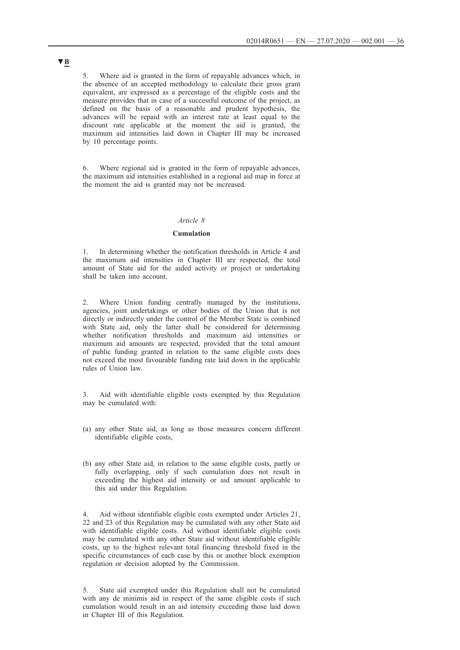5. Where aid is granted in the form of repayable advances which, in the absence of an accepted methodology to calculate their gross grant equivalent, are expressed as a percentage of the eligible costs and the measure provides that in case of a successful outcome of the project, as defined on the basis of a reasonable and prudent hypothesis, the advances will be repaid with an interest rate at least equal to the discount rate applicable at the moment the aid is granted, the maximum aid intensities laid down in Chapter III may be increased by 10 percentage points.

6. Where regional aid is granted in the form of repayable advances, the maximum aid intensities established in a regional aid map in force at the moment the aid is granted may not be increased.

#### *Article 8*

### **Cumulation**

1. In determining whether the notification thresholds in Article 4 and the maximum aid intensities in Chapter III are respected, the total amount of State aid for the aided activity or project or undertaking shall be taken into account.

2. Where Union funding centrally managed by the institutions, agencies, joint undertakings or other bodies of the Union that is not directly or indirectly under the control of the Member State is combined with State aid, only the latter shall be considered for determining whether notification thresholds and maximum aid intensities or maximum aid amounts are respected, provided that the total amount of public funding granted in relation to the same eligible costs does not exceed the most favourable funding rate laid down in the applicable rules of Union law.

3. Aid with identifiable eligible costs exempted by this Regulation may be cumulated with:

- (a) any other State aid, as long as those measures concern different identifiable eligible costs,
- (b) any other State aid, in relation to the same eligible costs, partly or fully overlapping, only if such cumulation does not result in exceeding the highest aid intensity or aid amount applicable to this aid under this Regulation.

Aid without identifiable eligible costs exempted under Articles 21, 22 and 23 of this Regulation may be cumulated with any other State aid with identifiable eligible costs. Aid without identifiable eligible costs may be cumulated with any other State aid without identifiable eligible costs, up to the highest relevant total financing threshold fixed in the specific circumstances of each case by this or another block exemption regulation or decision adopted by the Commission.

5. State aid exempted under this Regulation shall not be cumulated with any de minimis aid in respect of the same eligible costs if such cumulation would result in an aid intensity exceeding those laid down in Chapter III of this Regulation.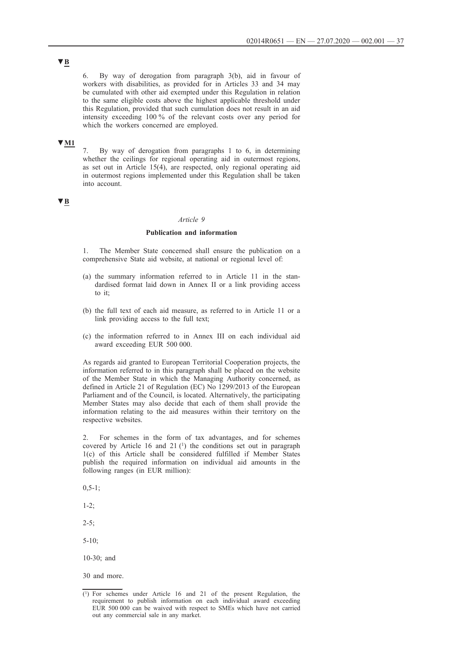6. By way of derogation from paragraph 3(b), aid in favour of workers with disabilities, as provided for in Articles 33 and 34 may be cumulated with other aid exempted under this Regulation in relation to the same eligible costs above the highest applicable threshold under this Regulation, provided that such cumulation does not result in an aid intensity exceeding 100 % of the relevant costs over any period for which the workers concerned are employed.

### **▼M1**

7. By way of derogation from paragraphs 1 to 6, in determining whether the ceilings for regional operating aid in outermost regions, as set out in Article 15(4), are respected, only regional operating aid in outermost regions implemented under this Regulation shall be taken into account.

# **▼B**

#### *Article 9*

## **Publication and information**

1. The Member State concerned shall ensure the publication on a comprehensive State aid website, at national or regional level of:

- (a) the summary information referred to in Article 11 in the standardised format laid down in Annex II or a link providing access to it;
- (b) the full text of each aid measure, as referred to in Article 11 or a link providing access to the full text;
- (c) the information referred to in Annex III on each individual aid award exceeding EUR 500 000.

As regards aid granted to European Territorial Cooperation projects, the information referred to in this paragraph shall be placed on the website of the Member State in which the Managing Authority concerned, as defined in Article 21 of Regulation (EC) No 1299/2013 of the European Parliament and of the Council, is located. Alternatively, the participating Member States may also decide that each of them shall provide the information relating to the aid measures within their territory on the respective websites.

2. For schemes in the form of tax advantages, and for schemes covered by Article 16 and 21 $(1)$  the conditions set out in paragraph 1(c) of this Article shall be considered fulfilled if Member States publish the required information on individual aid amounts in the following ranges (in EUR million):

 $0.5 - 1$ :

1-2;

 $2 - 5$ ;

 $5-10$ :

10-30; and

30 and more.

<sup>(1)</sup> For schemes under Article 16 and 21 of the present Regulation, the requirement to publish information on each individual award exceeding EUR 500 000 can be waived with respect to SMEs which have not carried out any commercial sale in any market.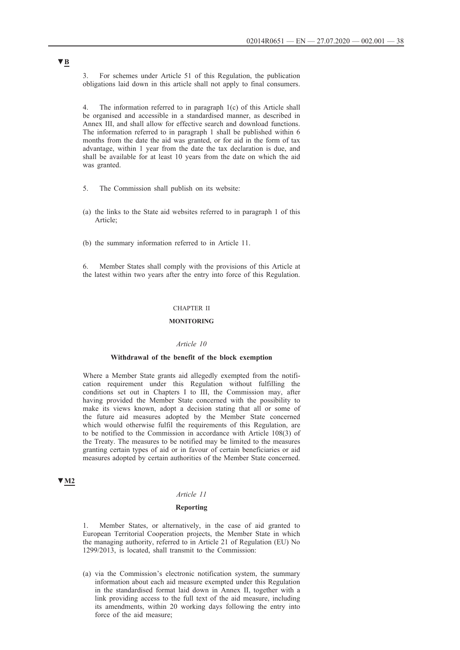3. For schemes under Article 51 of this Regulation, the publication obligations laid down in this article shall not apply to final consumers.

4. The information referred to in paragraph 1(c) of this Article shall be organised and accessible in a standardised manner, as described in Annex III, and shall allow for effective search and download functions. The information referred to in paragraph 1 shall be published within 6 months from the date the aid was granted, or for aid in the form of tax advantage, within 1 year from the date the tax declaration is due, and shall be available for at least 10 years from the date on which the aid was granted.

- 5. The Commission shall publish on its website:
- (a) the links to the State aid websites referred to in paragraph 1 of this Article;
- (b) the summary information referred to in Article 11.

6. Member States shall comply with the provisions of this Article at the latest within two years after the entry into force of this Regulation.

#### CHAPTER II

### **MONITORING**

### *Article 10*

## **Withdrawal of the benefit of the block exemption**

Where a Member State grants aid allegedly exempted from the notification requirement under this Regulation without fulfilling the conditions set out in Chapters I to III, the Commission may, after having provided the Member State concerned with the possibility to make its views known, adopt a decision stating that all or some of the future aid measures adopted by the Member State concerned which would otherwise fulfil the requirements of this Regulation, are to be notified to the Commission in accordance with Article 108(3) of the Treaty. The measures to be notified may be limited to the measures granting certain types of aid or in favour of certain beneficiaries or aid measures adopted by certain authorities of the Member State concerned.

## **▼M2**

### *Article 11*

#### **Reporting**

1. Member States, or alternatively, in the case of aid granted to European Territorial Cooperation projects, the Member State in which the managing authority, referred to in Article 21 of Regulation (EU) No 1299/2013, is located, shall transmit to the Commission:

(a) via the Commission's electronic notification system, the summary information about each aid measure exempted under this Regulation in the standardised format laid down in Annex II, together with a link providing access to the full text of the aid measure, including its amendments, within 20 working days following the entry into force of the aid measure;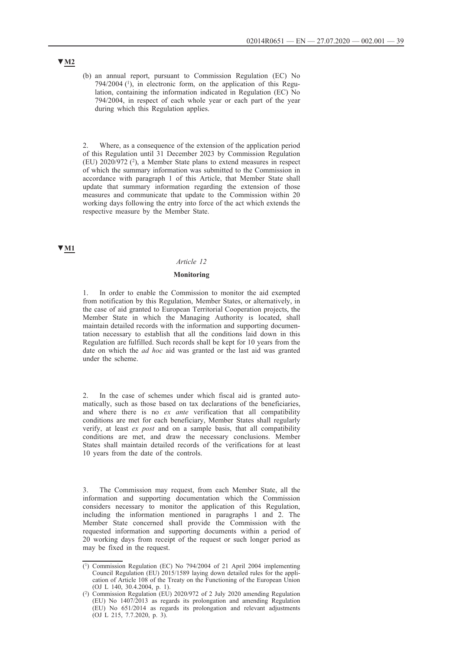(b) an annual report, pursuant to Commission Regulation (EC) No  $794/2004$  (1), in electronic form, on the application of this Regulation, containing the information indicated in Regulation (EC) No 794/2004, in respect of each whole year or each part of the year during which this Regulation applies.

2. Where, as a consequence of the extension of the application period of this Regulation until 31 December 2023 by Commission Regulation (EU) 2020/972 (2), a Member State plans to extend measures in respect of which the summary information was submitted to the Commission in accordance with paragraph 1 of this Article, that Member State shall update that summary information regarding the extension of those measures and communicate that update to the Commission within 20 working days following the entry into force of the act which extends the respective measure by the Member State.

# **▼M1**

#### *Article 12*

### **Monitoring**

1. In order to enable the Commission to monitor the aid exempted from notification by this Regulation, Member States, or alternatively, in the case of aid granted to European Territorial Cooperation projects, the Member State in which the Managing Authority is located, shall maintain detailed records with the information and supporting documentation necessary to establish that all the conditions laid down in this Regulation are fulfilled. Such records shall be kept for 10 years from the date on which the *ad hoc* aid was granted or the last aid was granted under the scheme.

2. In the case of schemes under which fiscal aid is granted automatically, such as those based on tax declarations of the beneficiaries, and where there is no *ex ante* verification that all compatibility conditions are met for each beneficiary, Member States shall regularly verify, at least *ex post* and on a sample basis, that all compatibility conditions are met, and draw the necessary conclusions. Member States shall maintain detailed records of the verifications for at least 10 years from the date of the controls.

3. The Commission may request, from each Member State, all the information and supporting documentation which the Commission considers necessary to monitor the application of this Regulation, including the information mentioned in paragraphs 1 and 2. The Member State concerned shall provide the Commission with the requested information and supporting documents within a period of 20 working days from receipt of the request or such longer period as may be fixed in the request.

# **▼M2**

<sup>(1)</sup> Commission Regulation (EC) No 794/2004 of 21 April 2004 implementing Council Regulation (EU) 2015/1589 laying down detailed rules for the application of Article 108 of the Treaty on the Functioning of the European Union (OJ L 140, 30.4.2004, p. 1).

 $(2)$  Commission Regulation (EU) 2020/972 of 2 July 2020 amending Regulation (EU) No 1407/2013 as regards its prolongation and amending Regulation (EU) No 651/2014 as regards its prolongation and relevant adjustments (OJ L 215, 7.7.2020, p. 3).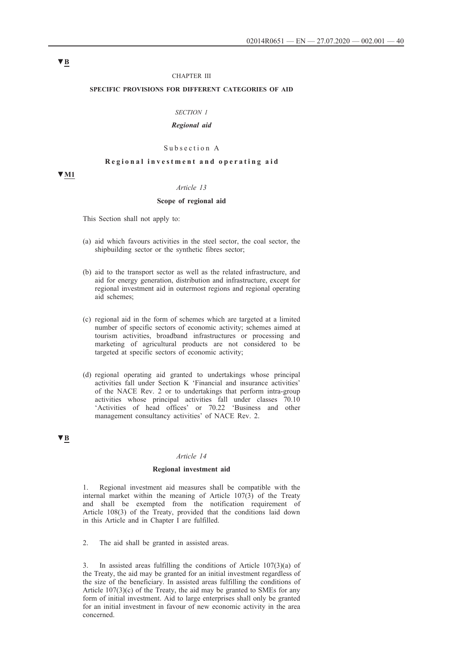#### CHAPTER III

### **SPECIFIC PROVISIONS FOR DIFFERENT CATEGORIES OF AID**

#### *SECTION 1*

## *Regional aid*

# Subsection A

### **Regional investment and operating aid**

#### **▼M1**

#### *Article 13*

### **Scope of regional aid**

This Section shall not apply to:

- (a) aid which favours activities in the steel sector, the coal sector, the shipbuilding sector or the synthetic fibres sector;
- (b) aid to the transport sector as well as the related infrastructure, and aid for energy generation, distribution and infrastructure, except for regional investment aid in outermost regions and regional operating aid schemes;
- (c) regional aid in the form of schemes which are targeted at a limited number of specific sectors of economic activity; schemes aimed at tourism activities, broadband infrastructures or processing and marketing of agricultural products are not considered to be targeted at specific sectors of economic activity;
- (d) regional operating aid granted to undertakings whose principal activities fall under Section K 'Financial and insurance activities' of the NACE Rev. 2 or to undertakings that perform intra-group activities whose principal activities fall under classes 70.10 'Activities of head offices' or 70.22 'Business and other management consultancy activities' of NACE Rev. 2.

## **▼B**

## *Article 14*

### **Regional investment aid**

1. Regional investment aid measures shall be compatible with the internal market within the meaning of Article 107(3) of the Treaty and shall be exempted from the notification requirement of Article 108(3) of the Treaty, provided that the conditions laid down in this Article and in Chapter I are fulfilled.

2. The aid shall be granted in assisted areas.

3. In assisted areas fulfilling the conditions of Article 107(3)(a) of the Treaty, the aid may be granted for an initial investment regardless of the size of the beneficiary. In assisted areas fulfilling the conditions of Article  $107(3)(c)$  of the Treaty, the aid may be granted to SMEs for any form of initial investment. Aid to large enterprises shall only be granted for an initial investment in favour of new economic activity in the area concerned.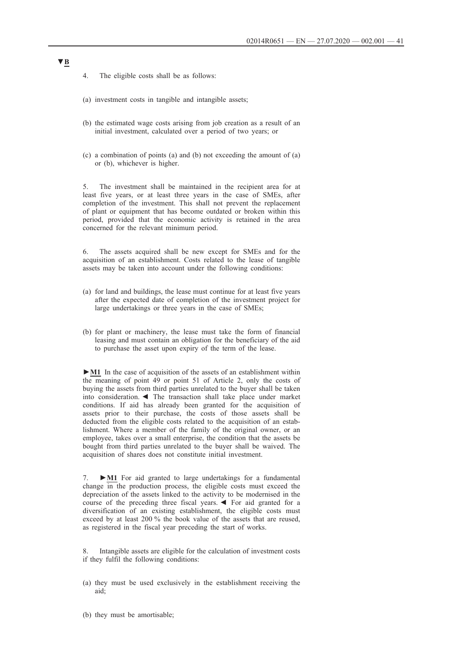- 4. The eligible costs shall be as follows:
- (a) investment costs in tangible and intangible assets;
- (b) the estimated wage costs arising from job creation as a result of an initial investment, calculated over a period of two years; or
- (c) a combination of points (a) and (b) not exceeding the amount of (a) or (b), whichever is higher.

5. The investment shall be maintained in the recipient area for at least five years, or at least three years in the case of SMEs, after completion of the investment. This shall not prevent the replacement of plant or equipment that has become outdated or broken within this period, provided that the economic activity is retained in the area concerned for the relevant minimum period.

6. The assets acquired shall be new except for SMEs and for the acquisition of an establishment. Costs related to the lease of tangible assets may be taken into account under the following conditions:

- (a) for land and buildings, the lease must continue for at least five years after the expected date of completion of the investment project for large undertakings or three years in the case of SMEs;
- (b) for plant or machinery, the lease must take the form of financial leasing and must contain an obligation for the beneficiary of the aid to purchase the asset upon expiry of the term of the lease.

**►M1** In the case of acquisition of the assets of an establishment within the meaning of point 49 or point 51 of Article 2, only the costs of buying the assets from third parties unrelated to the buyer shall be taken into consideration. ◄ The transaction shall take place under market conditions. If aid has already been granted for the acquisition of assets prior to their purchase, the costs of those assets shall be deducted from the eligible costs related to the acquisition of an establishment. Where a member of the family of the original owner, or an employee, takes over a small enterprise, the condition that the assets be bought from third parties unrelated to the buyer shall be waived. The acquisition of shares does not constitute initial investment.

7. **►M1** For aid granted to large undertakings for a fundamental change in the production process, the eligible costs must exceed the depreciation of the assets linked to the activity to be modernised in the course of the preceding three fiscal years. ◄ For aid granted for a diversification of an existing establishment, the eligible costs must exceed by at least 200 % the book value of the assets that are reused, as registered in the fiscal year preceding the start of works.

8. Intangible assets are eligible for the calculation of investment costs if they fulfil the following conditions:

- (a) they must be used exclusively in the establishment receiving the aid;
- (b) they must be amortisable;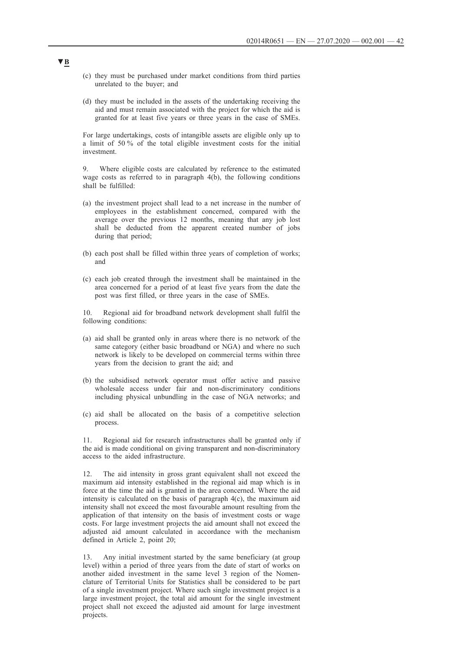- (c) they must be purchased under market conditions from third parties unrelated to the buyer; and
- (d) they must be included in the assets of the undertaking receiving the aid and must remain associated with the project for which the aid is granted for at least five years or three years in the case of SMEs.

For large undertakings, costs of intangible assets are eligible only up to a limit of 50 % of the total eligible investment costs for the initial investment.

9. Where eligible costs are calculated by reference to the estimated wage costs as referred to in paragraph 4(b), the following conditions shall be fulfilled:

- (a) the investment project shall lead to a net increase in the number of employees in the establishment concerned, compared with the average over the previous 12 months, meaning that any job lost shall be deducted from the apparent created number of jobs during that period;
- (b) each post shall be filled within three years of completion of works; and
- (c) each job created through the investment shall be maintained in the area concerned for a period of at least five years from the date the post was first filled, or three years in the case of SMEs.

10. Regional aid for broadband network development shall fulfil the following conditions:

- (a) aid shall be granted only in areas where there is no network of the same category (either basic broadband or NGA) and where no such network is likely to be developed on commercial terms within three years from the decision to grant the aid; and
- (b) the subsidised network operator must offer active and passive wholesale access under fair and non-discriminatory conditions including physical unbundling in the case of NGA networks; and
- (c) aid shall be allocated on the basis of a competitive selection process.

11. Regional aid for research infrastructures shall be granted only if the aid is made conditional on giving transparent and non-discriminatory access to the aided infrastructure.

12. The aid intensity in gross grant equivalent shall not exceed the maximum aid intensity established in the regional aid map which is in force at the time the aid is granted in the area concerned. Where the aid intensity is calculated on the basis of paragraph 4(c), the maximum aid intensity shall not exceed the most favourable amount resulting from the application of that intensity on the basis of investment costs or wage costs. For large investment projects the aid amount shall not exceed the adjusted aid amount calculated in accordance with the mechanism defined in Article 2, point 20;

13. Any initial investment started by the same beneficiary (at group level) within a period of three years from the date of start of works on another aided investment in the same level 3 region of the Nomenclature of Territorial Units for Statistics shall be considered to be part of a single investment project. Where such single investment project is a large investment project, the total aid amount for the single investment project shall not exceed the adjusted aid amount for large investment projects.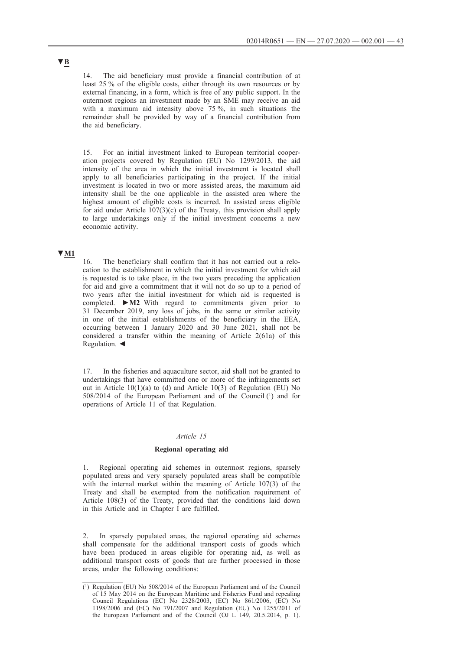14. The aid beneficiary must provide a financial contribution of at least 25 % of the eligible costs, either through its own resources or by external financing, in a form, which is free of any public support. In the outermost regions an investment made by an SME may receive an aid with a maximum aid intensity above 75 %, in such situations the remainder shall be provided by way of a financial contribution from the aid beneficiary.

15. For an initial investment linked to European territorial cooperation projects covered by Regulation (EU) No 1299/2013, the aid intensity of the area in which the initial investment is located shall apply to all beneficiaries participating in the project. If the initial investment is located in two or more assisted areas, the maximum aid intensity shall be the one applicable in the assisted area where the highest amount of eligible costs is incurred. In assisted areas eligible for aid under Article  $107(3)(c)$  of the Treaty, this provision shall apply to large undertakings only if the initial investment concerns a new economic activity.

### **▼M1**

16. The beneficiary shall confirm that it has not carried out a relocation to the establishment in which the initial investment for which aid is requested is to take place, in the two years preceding the application for aid and give a commitment that it will not do so up to a period of two years after the initial investment for which aid is requested is completed. **►M2** With regard to commitments given prior to 31 December  $2019$ , any loss of jobs, in the same or similar activity in one of the initial establishments of the beneficiary in the EEA, occurring between 1 January 2020 and 30 June 2021, shall not be considered a transfer within the meaning of Article 2(61a) of this Regulation. ◄

17. In the fisheries and aquaculture sector, aid shall not be granted to undertakings that have committed one or more of the infringements set out in Article 10(1)(a) to (d) and Article 10(3) of Regulation (EU) No  $508/2014$  of the European Parliament and of the Council  $(1)$  and for operations of Article 11 of that Regulation.

## *Article 15*

#### **Regional operating aid**

Regional operating aid schemes in outermost regions, sparsely populated areas and very sparsely populated areas shall be compatible with the internal market within the meaning of Article 107(3) of the Treaty and shall be exempted from the notification requirement of Article 108(3) of the Treaty, provided that the conditions laid down in this Article and in Chapter I are fulfilled.

2. In sparsely populated areas, the regional operating aid schemes shall compensate for the additional transport costs of goods which have been produced in areas eligible for operating aid, as well as additional transport costs of goods that are further processed in those areas, under the following conditions:

<sup>(1)</sup> Regulation (EU) No 508/2014 of the European Parliament and of the Council of 15 May 2014 on the European Maritime and Fisheries Fund and repealing Council Regulations (EC) No 2328/2003, (EC) No 861/2006, (EC) No 1198/2006 and (EC) No 791/2007 and Regulation (EU) No 1255/2011 of the European Parliament and of the Council (OJ L 149, 20.5.2014, p. 1).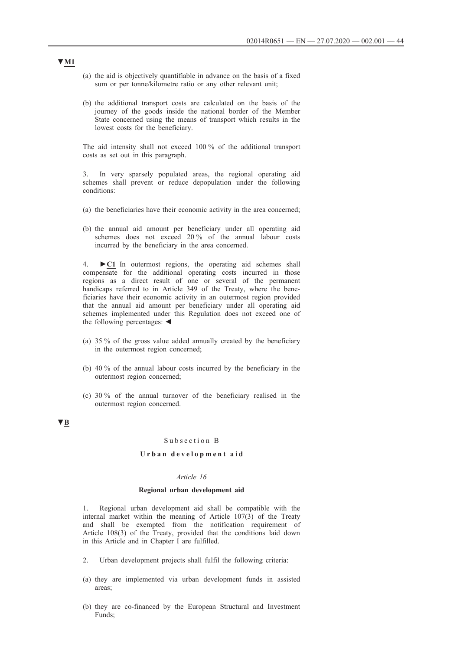- (a) the aid is objectively quantifiable in advance on the basis of a fixed sum or per tonne/kilometre ratio or any other relevant unit;
- (b) the additional transport costs are calculated on the basis of the journey of the goods inside the national border of the Member State concerned using the means of transport which results in the lowest costs for the beneficiary.

The aid intensity shall not exceed 100 % of the additional transport costs as set out in this paragraph.

3. In very sparsely populated areas, the regional operating aid schemes shall prevent or reduce depopulation under the following conditions:

- (a) the beneficiaries have their economic activity in the area concerned;
- (b) the annual aid amount per beneficiary under all operating aid schemes does not exceed 20 % of the annual labour costs incurred by the beneficiary in the area concerned.

4. **►C1** In outermost regions, the operating aid schemes shall compensate for the additional operating costs incurred in those regions as a direct result of one or several of the permanent handicaps referred to in Article 349 of the Treaty, where the beneficiaries have their economic activity in an outermost region provided that the annual aid amount per beneficiary under all operating aid schemes implemented under this Regulation does not exceed one of the following percentages: ◄

- (a) 35 % of the gross value added annually created by the beneficiary in the outermost region concerned;
- (b) 40 % of the annual labour costs incurred by the beneficiary in the outermost region concerned;
- (c) 30 % of the annual turnover of the beneficiary realised in the outermost region concerned.

# **▼B**

#### Subsection B

### **U r b a n d e v e l o p m e n t a i d**

## *Article 16*

#### **Regional urban development aid**

1. Regional urban development aid shall be compatible with the internal market within the meaning of Article 107(3) of the Treaty and shall be exempted from the notification requirement of Article 108(3) of the Treaty, provided that the conditions laid down in this Article and in Chapter I are fulfilled.

- 2. Urban development projects shall fulfil the following criteria:
- (a) they are implemented via urban development funds in assisted areas;
- (b) they are co-financed by the European Structural and Investment Funds;

# **▼M1**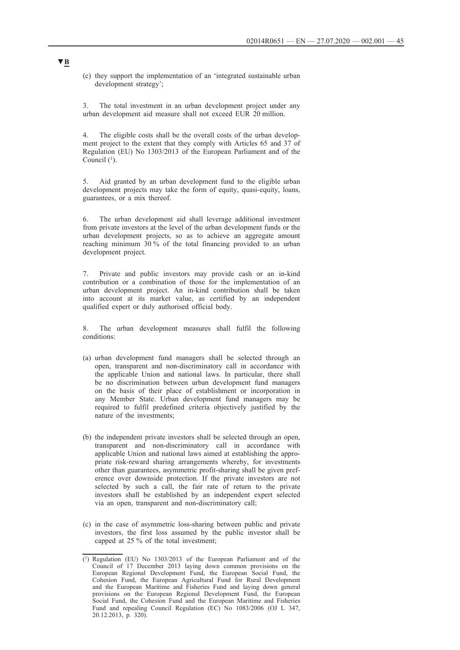(c) they support the implementation of an 'integrated sustainable urban development strategy';

The total investment in an urban development project under any urban development aid measure shall not exceed EUR 20 million.

4. The eligible costs shall be the overall costs of the urban development project to the extent that they comply with Articles 65 and 37 of Regulation (EU) No 1303/2013 of the European Parliament and of the Council  $(1)$ .

5. Aid granted by an urban development fund to the eligible urban development projects may take the form of equity, quasi-equity, loans, guarantees, or a mix thereof.

6. The urban development aid shall leverage additional investment from private investors at the level of the urban development funds or the urban development projects, so as to achieve an aggregate amount reaching minimum 30 % of the total financing provided to an urban development project.

7. Private and public investors may provide cash or an in-kind contribution or a combination of those for the implementation of an urban development project. An in-kind contribution shall be taken into account at its market value, as certified by an independent qualified expert or duly authorised official body.

8. The urban development measures shall fulfil the following conditions:

- (a) urban development fund managers shall be selected through an open, transparent and non-discriminatory call in accordance with the applicable Union and national laws. In particular, there shall be no discrimination between urban development fund managers on the basis of their place of establishment or incorporation in any Member State. Urban development fund managers may be required to fulfil predefined criteria objectively justified by the nature of the investments;
- (b) the independent private investors shall be selected through an open, transparent and non-discriminatory call in accordance with applicable Union and national laws aimed at establishing the appropriate risk-reward sharing arrangements whereby, for investments other than guarantees, asymmetric profit-sharing shall be given preference over downside protection. If the private investors are not selected by such a call, the fair rate of return to the private investors shall be established by an independent expert selected via an open, transparent and non-discriminatory call;
- (c) in the case of asymmetric loss-sharing between public and private investors, the first loss assumed by the public investor shall be capped at 25 % of the total investment;

<sup>(1)</sup> Regulation (EU) No 1303/2013 of the European Parliament and of the Council of 17 December 2013 laying down common provisions on the European Regional Development Fund, the European Social Fund, the Cohesion Fund, the European Agricultural Fund for Rural Development and the European Maritime and Fisheries Fund and laying down general provisions on the European Regional Development Fund, the European Social Fund, the Cohesion Fund and the European Maritime and Fisheries Fund and repealing Council Regulation (EC) No 1083/2006 (OJ L 347, 20.12.2013, p. 320).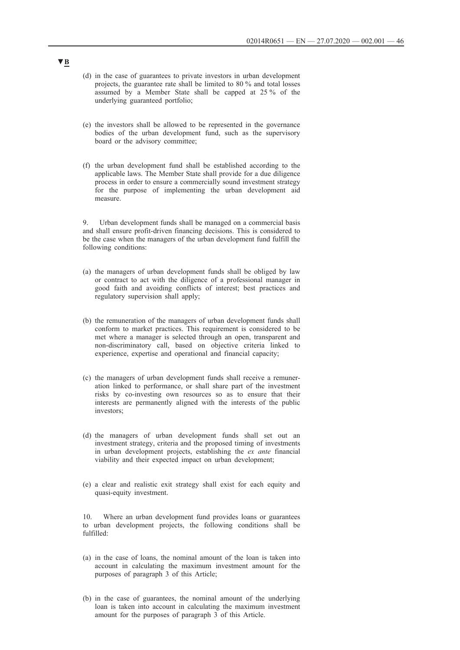- (d) in the case of guarantees to private investors in urban development projects, the guarantee rate shall be limited to 80 % and total losses assumed by a Member State shall be capped at 25 % of the underlying guaranteed portfolio;
- (e) the investors shall be allowed to be represented in the governance bodies of the urban development fund, such as the supervisory board or the advisory committee;
- (f) the urban development fund shall be established according to the applicable laws. The Member State shall provide for a due diligence process in order to ensure a commercially sound investment strategy for the purpose of implementing the urban development aid measure.

9. Urban development funds shall be managed on a commercial basis and shall ensure profit-driven financing decisions. This is considered to be the case when the managers of the urban development fund fulfill the following conditions:

- (a) the managers of urban development funds shall be obliged by law or contract to act with the diligence of a professional manager in good faith and avoiding conflicts of interest; best practices and regulatory supervision shall apply;
- (b) the remuneration of the managers of urban development funds shall conform to market practices. This requirement is considered to be met where a manager is selected through an open, transparent and non-discriminatory call, based on objective criteria linked to experience, expertise and operational and financial capacity;
- (c) the managers of urban development funds shall receive a remuneration linked to performance, or shall share part of the investment risks by co-investing own resources so as to ensure that their interests are permanently aligned with the interests of the public investors;
- (d) the managers of urban development funds shall set out an investment strategy, criteria and the proposed timing of investments in urban development projects, establishing the *ex ante* financial viability and their expected impact on urban development;
- (e) a clear and realistic exit strategy shall exist for each equity and quasi-equity investment.

10. Where an urban development fund provides loans or guarantees to urban development projects, the following conditions shall be fulfilled:

- (a) in the case of loans, the nominal amount of the loan is taken into account in calculating the maximum investment amount for the purposes of paragraph 3 of this Article;
- (b) in the case of guarantees, the nominal amount of the underlying loan is taken into account in calculating the maximum investment amount for the purposes of paragraph 3 of this Article.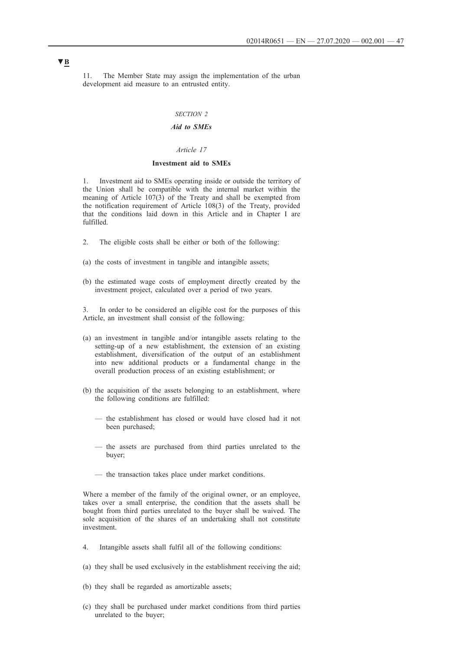11. The Member State may assign the implementation of the urban development aid measure to an entrusted entity.

## *SECTION 2*

## *Aid to SMEs*

## *Article 17*

### **Investment aid to SMEs**

1. Investment aid to SMEs operating inside or outside the territory of the Union shall be compatible with the internal market within the meaning of Article 107(3) of the Treaty and shall be exempted from the notification requirement of Article 108(3) of the Treaty, provided that the conditions laid down in this Article and in Chapter I are fulfilled.

- 2. The eligible costs shall be either or both of the following:
- (a) the costs of investment in tangible and intangible assets;
- (b) the estimated wage costs of employment directly created by the investment project, calculated over a period of two years.

3. In order to be considered an eligible cost for the purposes of this Article, an investment shall consist of the following:

- (a) an investment in tangible and/or intangible assets relating to the setting-up of a new establishment, the extension of an existing establishment, diversification of the output of an establishment into new additional products or a fundamental change in the overall production process of an existing establishment; or
- (b) the acquisition of the assets belonging to an establishment, where the following conditions are fulfilled:
	- the establishment has closed or would have closed had it not been purchased;
	- the assets are purchased from third parties unrelated to the buyer;
	- the transaction takes place under market conditions.

Where a member of the family of the original owner, or an employee, takes over a small enterprise, the condition that the assets shall be bought from third parties unrelated to the buyer shall be waived. The sole acquisition of the shares of an undertaking shall not constitute investment.

- 4. Intangible assets shall fulfil all of the following conditions:
- (a) they shall be used exclusively in the establishment receiving the aid;
- (b) they shall be regarded as amortizable assets;
- (c) they shall be purchased under market conditions from third parties unrelated to the buyer;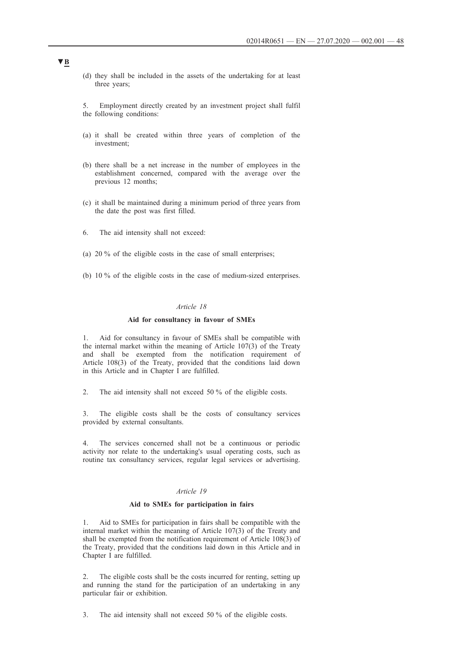- (d) they shall be included in the assets of the undertaking for at least three years;
- 5. Employment directly created by an investment project shall fulfil the following conditions:
- (a) it shall be created within three years of completion of the investment;
- (b) there shall be a net increase in the number of employees in the establishment concerned, compared with the average over the previous 12 months;
- (c) it shall be maintained during a minimum period of three years from the date the post was first filled.
- 6. The aid intensity shall not exceed:
- (a) 20 % of the eligible costs in the case of small enterprises;
- (b) 10 % of the eligible costs in the case of medium-sized enterprises.

#### *Article 18*

#### **Aid for consultancy in favour of SMEs**

1. Aid for consultancy in favour of SMEs shall be compatible with the internal market within the meaning of Article 107(3) of the Treaty and shall be exempted from the notification requirement of Article 108(3) of the Treaty, provided that the conditions laid down in this Article and in Chapter I are fulfilled.

2. The aid intensity shall not exceed 50 % of the eligible costs.

3. The eligible costs shall be the costs of consultancy services provided by external consultants.

4. The services concerned shall not be a continuous or periodic activity nor relate to the undertaking's usual operating costs, such as routine tax consultancy services, regular legal services or advertising.

## *Article 19*

### **Aid to SMEs for participation in fairs**

1. Aid to SMEs for participation in fairs shall be compatible with the internal market within the meaning of Article 107(3) of the Treaty and shall be exempted from the notification requirement of Article 108(3) of the Treaty, provided that the conditions laid down in this Article and in Chapter I are fulfilled.

2. The eligible costs shall be the costs incurred for renting, setting up and running the stand for the participation of an undertaking in any particular fair or exhibition.

3. The aid intensity shall not exceed 50 % of the eligible costs.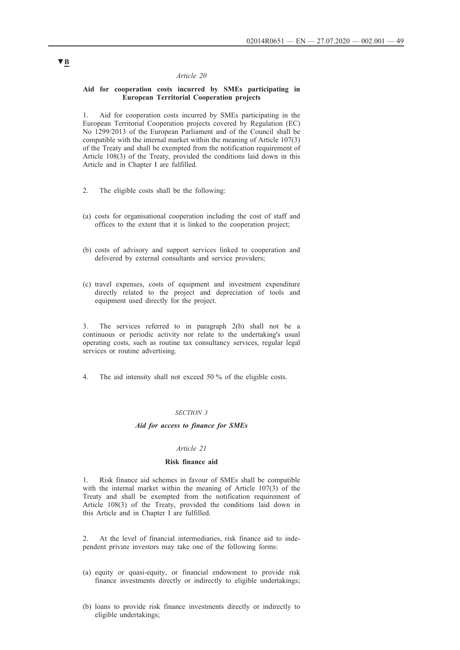### *Article 20*

## **Aid for cooperation costs incurred by SMEs participating in European Territorial Cooperation projects**

1. Aid for cooperation costs incurred by SMEs participating in the European Territorial Cooperation projects covered by Regulation (EC) No 1299/2013 of the European Parliament and of the Council shall be compatible with the internal market within the meaning of Article 107(3) of the Treaty and shall be exempted from the notification requirement of Article 108(3) of the Treaty, provided the conditions laid down in this Article and in Chapter I are fulfilled.

- 2. The eligible costs shall be the following:
- (a) costs for organisational cooperation including the cost of staff and offices to the extent that it is linked to the cooperation project;
- (b) costs of advisory and support services linked to cooperation and delivered by external consultants and service providers;
- (c) travel expenses, costs of equipment and investment expenditure directly related to the project and depreciation of tools and equipment used directly for the project.

3. The services referred to in paragraph 2(b) shall not be a continuous or periodic activity nor relate to the undertaking's usual operating costs, such as routine tax consultancy services, regular legal services or routine advertising.

4. The aid intensity shall not exceed 50 % of the eligible costs.

#### *SECTION 3*

### *Aid for access to finance for SMEs*

#### *Article 21*

### **Risk finance aid**

1. Risk finance aid schemes in favour of SMEs shall be compatible with the internal market within the meaning of Article  $107(3)$  of the Treaty and shall be exempted from the notification requirement of Article 108(3) of the Treaty, provided the conditions laid down in this Article and in Chapter I are fulfilled.

2. At the level of financial intermediaries, risk finance aid to independent private investors may take one of the following forms:

- (a) equity or quasi-equity, or financial endowment to provide risk finance investments directly or indirectly to eligible undertakings;
- (b) loans to provide risk finance investments directly or indirectly to eligible undertakings;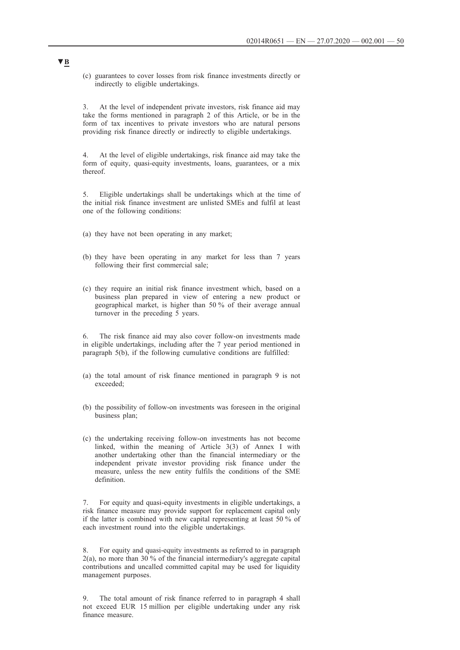(c) guarantees to cover losses from risk finance investments directly or indirectly to eligible undertakings.

3. At the level of independent private investors, risk finance aid may take the forms mentioned in paragraph 2 of this Article, or be in the form of tax incentives to private investors who are natural persons providing risk finance directly or indirectly to eligible undertakings.

4. At the level of eligible undertakings, risk finance aid may take the form of equity, quasi-equity investments, loans, guarantees, or a mix thereof.

5. Eligible undertakings shall be undertakings which at the time of the initial risk finance investment are unlisted SMEs and fulfil at least one of the following conditions:

- (a) they have not been operating in any market;
- (b) they have been operating in any market for less than 7 years following their first commercial sale;
- (c) they require an initial risk finance investment which, based on a business plan prepared in view of entering a new product or geographical market, is higher than 50 % of their average annual turnover in the preceding 5 years.

6. The risk finance aid may also cover follow-on investments made in eligible undertakings, including after the 7 year period mentioned in paragraph 5(b), if the following cumulative conditions are fulfilled:

- (a) the total amount of risk finance mentioned in paragraph 9 is not exceeded;
- (b) the possibility of follow-on investments was foreseen in the original business plan;
- (c) the undertaking receiving follow-on investments has not become linked, within the meaning of Article 3(3) of Annex I with another undertaking other than the financial intermediary or the independent private investor providing risk finance under the measure, unless the new entity fulfils the conditions of the SME definition.

7. For equity and quasi-equity investments in eligible undertakings, a risk finance measure may provide support for replacement capital only if the latter is combined with new capital representing at least 50 % of each investment round into the eligible undertakings.

8. For equity and quasi-equity investments as referred to in paragraph 2(a), no more than 30 % of the financial intermediary's aggregate capital contributions and uncalled committed capital may be used for liquidity management purposes.

9. The total amount of risk finance referred to in paragraph 4 shall not exceed EUR 15 million per eligible undertaking under any risk finance measure.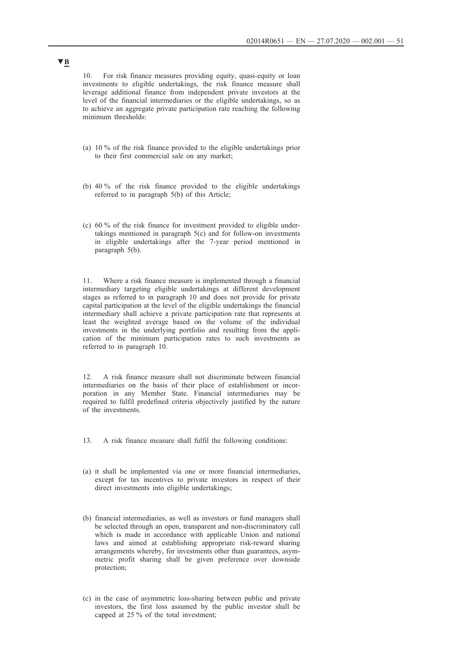10. For risk finance measures providing equity, quasi-equity or loan investments to eligible undertakings, the risk finance measure shall leverage additional finance from independent private investors at the level of the financial intermediaries or the eligible undertakings, so as to achieve an aggregate private participation rate reaching the following minimum thresholds:

- (a) 10 % of the risk finance provided to the eligible undertakings prior to their first commercial sale on any market;
- (b) 40 % of the risk finance provided to the eligible undertakings referred to in paragraph 5(b) of this Article;
- (c) 60 % of the risk finance for investment provided to eligible undertakings mentioned in paragraph 5(c) and for follow-on investments in eligible undertakings after the 7-year period mentioned in paragraph 5(b).

11. Where a risk finance measure is implemented through a financial intermediary targeting eligible undertakings at different development stages as referred to in paragraph 10 and does not provide for private capital participation at the level of the eligible undertakings the financial intermediary shall achieve a private participation rate that represents at least the weighted average based on the volume of the individual investments in the underlying portfolio and resulting from the application of the minimum participation rates to such investments as referred to in paragraph 10.

12. A risk finance measure shall not discriminate between financial intermediaries on the basis of their place of establishment or incorporation in any Member State. Financial intermediaries may be required to fulfil predefined criteria objectively justified by the nature of the investments.

- 13. A risk finance measure shall fulfil the following conditions:
- (a) it shall be implemented via one or more financial intermediaries, except for tax incentives to private investors in respect of their direct investments into eligible undertakings;
- (b) financial intermediaries, as well as investors or fund managers shall be selected through an open, transparent and non-discriminatory call which is made in accordance with applicable Union and national laws and aimed at establishing appropriate risk-reward sharing arrangements whereby, for investments other than guarantees, asymmetric profit sharing shall be given preference over downside protection;
- (c) in the case of asymmetric loss-sharing between public and private investors, the first loss assumed by the public investor shall be capped at 25 % of the total investment;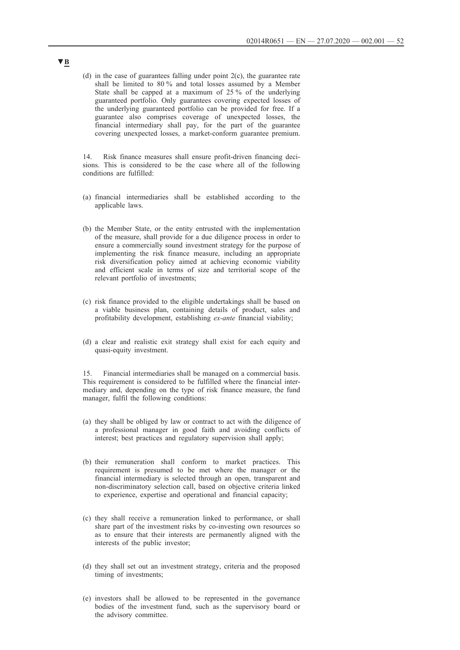(d) in the case of guarantees falling under point  $2(c)$ , the guarantee rate shall be limited to 80 % and total losses assumed by a Member State shall be capped at a maximum of 25 % of the underlying guaranteed portfolio. Only guarantees covering expected losses of the underlying guaranteed portfolio can be provided for free. If a guarantee also comprises coverage of unexpected losses, the financial intermediary shall pay, for the part of the guarantee covering unexpected losses, a market-conform guarantee premium.

14. Risk finance measures shall ensure profit-driven financing decisions. This is considered to be the case where all of the following conditions are fulfilled:

- (a) financial intermediaries shall be established according to the applicable laws.
- (b) the Member State, or the entity entrusted with the implementation of the measure, shall provide for a due diligence process in order to ensure a commercially sound investment strategy for the purpose of implementing the risk finance measure, including an appropriate risk diversification policy aimed at achieving economic viability and efficient scale in terms of size and territorial scope of the relevant portfolio of investments;
- (c) risk finance provided to the eligible undertakings shall be based on a viable business plan, containing details of product, sales and profitability development, establishing *ex-ante* financial viability;
- (d) a clear and realistic exit strategy shall exist for each equity and quasi-equity investment.

15. Financial intermediaries shall be managed on a commercial basis. This requirement is considered to be fulfilled where the financial intermediary and, depending on the type of risk finance measure, the fund manager, fulfil the following conditions:

- (a) they shall be obliged by law or contract to act with the diligence of a professional manager in good faith and avoiding conflicts of interest; best practices and regulatory supervision shall apply;
- (b) their remuneration shall conform to market practices. This requirement is presumed to be met where the manager or the financial intermediary is selected through an open, transparent and non-discriminatory selection call, based on objective criteria linked to experience, expertise and operational and financial capacity;
- (c) they shall receive a remuneration linked to performance, or shall share part of the investment risks by co-investing own resources so as to ensure that their interests are permanently aligned with the interests of the public investor;
- (d) they shall set out an investment strategy, criteria and the proposed timing of investments;
- (e) investors shall be allowed to be represented in the governance bodies of the investment fund, such as the supervisory board or the advisory committee.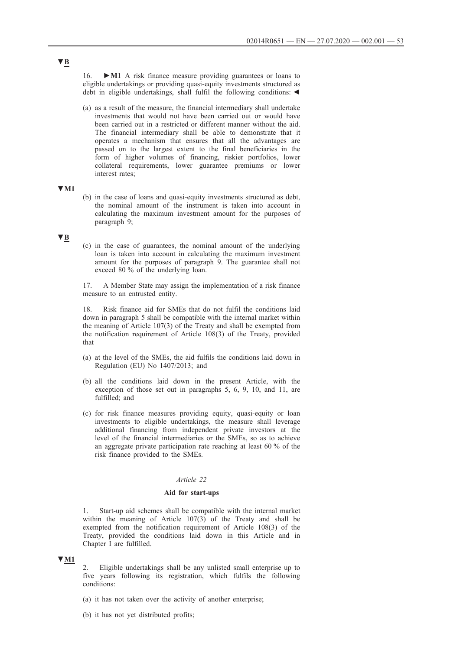16. **►M1** A risk finance measure providing guarantees or loans to eligible undertakings or providing quasi-equity investments structured as debt in eligible undertakings, shall fulfil the following conditions: ◄

(a) as a result of the measure, the financial intermediary shall undertake investments that would not have been carried out or would have been carried out in a restricted or different manner without the aid. The financial intermediary shall be able to demonstrate that it operates a mechanism that ensures that all the advantages are passed on to the largest extent to the final beneficiaries in the form of higher volumes of financing, riskier portfolios, lower collateral requirements, lower guarantee premiums or lower interest rates;

## **▼M1**

(b) in the case of loans and quasi-equity investments structured as debt, the nominal amount of the instrument is taken into account in calculating the maximum investment amount for the purposes of paragraph 9;

# **▼B**

(c) in the case of guarantees, the nominal amount of the underlying loan is taken into account in calculating the maximum investment amount for the purposes of paragraph 9. The guarantee shall not exceed 80 % of the underlying loan.

17. A Member State may assign the implementation of a risk finance measure to an entrusted entity.

18. Risk finance aid for SMEs that do not fulfil the conditions laid down in paragraph 5 shall be compatible with the internal market within the meaning of Article 107(3) of the Treaty and shall be exempted from the notification requirement of Article 108(3) of the Treaty, provided that

- (a) at the level of the SMEs, the aid fulfils the conditions laid down in Regulation (EU) No 1407/2013; and
- (b) all the conditions laid down in the present Article, with the exception of those set out in paragraphs 5, 6, 9, 10, and 11, are fulfilled; and
- (c) for risk finance measures providing equity, quasi-equity or loan investments to eligible undertakings, the measure shall leverage additional financing from independent private investors at the level of the financial intermediaries or the SMEs, so as to achieve an aggregate private participation rate reaching at least 60 % of the risk finance provided to the SMEs.

## *Article 22*

### **Aid for start-ups**

Start-up aid schemes shall be compatible with the internal market within the meaning of Article  $107(3)$  of the Treaty and shall be exempted from the notification requirement of Article 108(3) of the Treaty, provided the conditions laid down in this Article and in Chapter I are fulfilled.

### **▼M1**

Eligible undertakings shall be any unlisted small enterprise up to five years following its registration, which fulfils the following conditions:

- (a) it has not taken over the activity of another enterprise;
- (b) it has not yet distributed profits;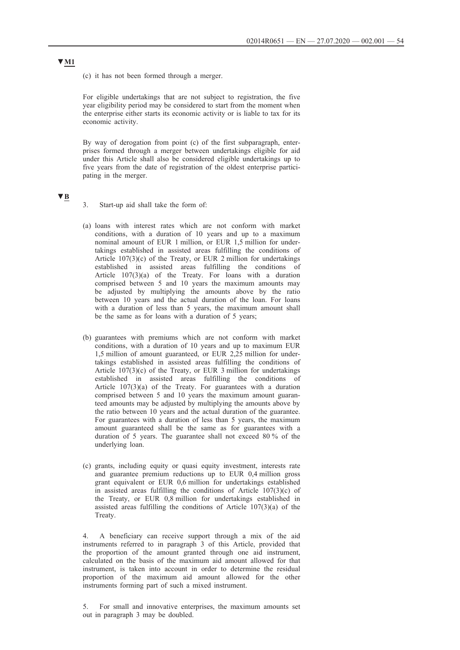(c) it has not been formed through a merger.

For eligible undertakings that are not subject to registration, the five year eligibility period may be considered to start from the moment when the enterprise either starts its economic activity or is liable to tax for its economic activity.

By way of derogation from point (c) of the first subparagraph, enterprises formed through a merger between undertakings eligible for aid under this Article shall also be considered eligible undertakings up to five years from the date of registration of the oldest enterprise participating in the merger.

### **▼B**

- 3. Start-up aid shall take the form of:
- (a) loans with interest rates which are not conform with market conditions, with a duration of 10 years and up to a maximum nominal amount of EUR 1 million, or EUR 1,5 million for undertakings established in assisted areas fulfilling the conditions of Article 107(3)(c) of the Treaty, or EUR 2 million for undertakings established in assisted areas fulfilling the conditions of Article 107(3)(a) of the Treaty. For loans with a duration comprised between 5 and 10 years the maximum amounts may be adjusted by multiplying the amounts above by the ratio between 10 years and the actual duration of the loan. For loans with a duration of less than 5 years, the maximum amount shall be the same as for loans with a duration of 5 years;
- (b) guarantees with premiums which are not conform with market conditions, with a duration of 10 years and up to maximum EUR 1,5 million of amount guaranteed, or EUR 2,25 million for undertakings established in assisted areas fulfilling the conditions of Article 107(3)(c) of the Treaty, or EUR 3 million for undertakings established in assisted areas fulfilling the conditions of Article 107(3)(a) of the Treaty. For guarantees with a duration comprised between 5 and 10 years the maximum amount guaranteed amounts may be adjusted by multiplying the amounts above by the ratio between 10 years and the actual duration of the guarantee. For guarantees with a duration of less than 5 years, the maximum amount guaranteed shall be the same as for guarantees with a duration of 5 years. The guarantee shall not exceed 80 % of the underlying loan.
- (c) grants, including equity or quasi equity investment, interests rate and guarantee premium reductions up to EUR 0,4 million gross grant equivalent or EUR 0,6 million for undertakings established in assisted areas fulfilling the conditions of Article 107(3)(c) of the Treaty, or EUR 0,8 million for undertakings established in assisted areas fulfilling the conditions of Article 107(3)(a) of the Treaty.

4. A beneficiary can receive support through a mix of the aid instruments referred to in paragraph 3 of this Article, provided that the proportion of the amount granted through one aid instrument, calculated on the basis of the maximum aid amount allowed for that instrument, is taken into account in order to determine the residual proportion of the maximum aid amount allowed for the other instruments forming part of such a mixed instrument.

5. For small and innovative enterprises, the maximum amounts set out in paragraph 3 may be doubled.

# **▼M1**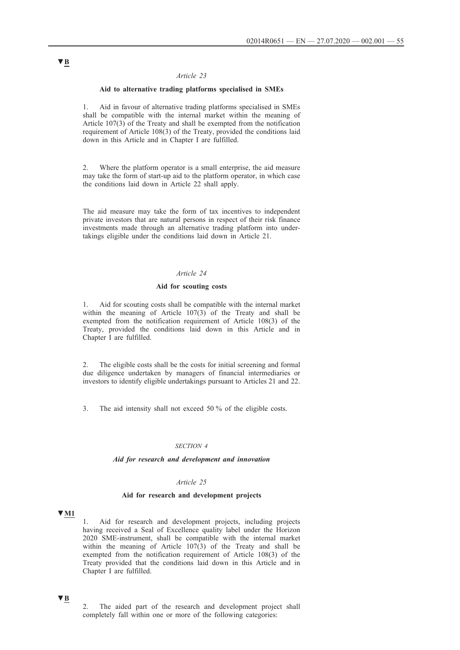### *Article 23*

### **Aid to alternative trading platforms specialised in SMEs**

1. Aid in favour of alternative trading platforms specialised in SMEs shall be compatible with the internal market within the meaning of Article  $107(3)$  of the Treaty and shall be exempted from the notification requirement of Article 108(3) of the Treaty, provided the conditions laid down in this Article and in Chapter I are fulfilled.

2. Where the platform operator is a small enterprise, the aid measure may take the form of start-up aid to the platform operator, in which case the conditions laid down in Article 22 shall apply.

The aid measure may take the form of tax incentives to independent private investors that are natural persons in respect of their risk finance investments made through an alternative trading platform into undertakings eligible under the conditions laid down in Article 21.

### *Article 24*

### **Aid for scouting costs**

1. Aid for scouting costs shall be compatible with the internal market within the meaning of Article 107(3) of the Treaty and shall be exempted from the notification requirement of Article 108(3) of the Treaty, provided the conditions laid down in this Article and in Chapter I are fulfilled.

2. The eligible costs shall be the costs for initial screening and formal due diligence undertaken by managers of financial intermediaries or investors to identify eligible undertakings pursuant to Articles 21 and 22.

3. The aid intensity shall not exceed 50 % of the eligible costs.

#### *SECTION 4*

#### *Aid for research and development and innovation*

#### *Article 25*

### **Aid for research and development projects**

### **▼M1**

1. Aid for research and development projects, including projects having received a Seal of Excellence quality label under the Horizon 2020 SME-instrument, shall be compatible with the internal market within the meaning of Article  $107(3)$  of the Treaty and shall be exempted from the notification requirement of Article 108(3) of the Treaty provided that the conditions laid down in this Article and in Chapter I are fulfilled.

2. The aided part of the research and development project shall completely fall within one or more of the following categories: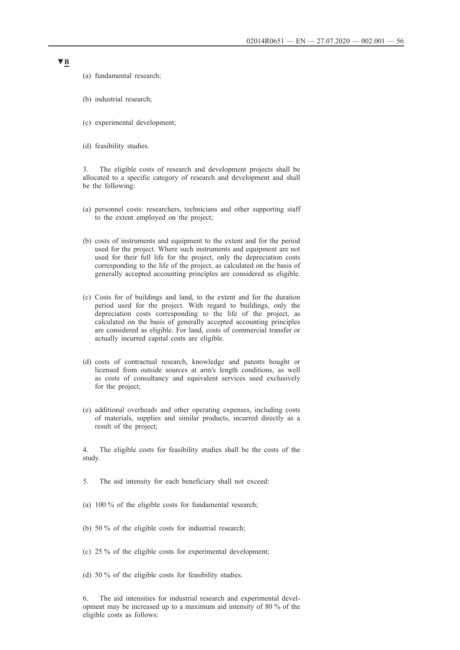- (a) fundamental research;
- (b) industrial research;
- (c) experimental development;
- (d) feasibility studies.

3. The eligible costs of research and development projects shall be allocated to a specific category of research and development and shall be the following:

- (a) personnel costs: researchers, technicians and other supporting staff to the extent employed on the project;
- (b) costs of instruments and equipment to the extent and for the period used for the project. Where such instruments and equipment are not used for their full life for the project, only the depreciation costs corresponding to the life of the project, as calculated on the basis of generally accepted accounting principles are considered as eligible.
- (c) Costs for of buildings and land, to the extent and for the duration period used for the project. With regard to buildings, only the depreciation costs corresponding to the life of the project, as calculated on the basis of generally accepted accounting principles are considered as eligible. For land, costs of commercial transfer or actually incurred capital costs are eligible.
- (d) costs of contractual research, knowledge and patents bought or licensed from outside sources at arm's length conditions, as well as costs of consultancy and equivalent services used exclusively for the project;
- (e) additional overheads and other operating expenses, including costs of materials, supplies and similar products, incurred directly as a result of the project;

4. The eligible costs for feasibility studies shall be the costs of the study.

- 5. The aid intensity for each beneficiary shall not exceed:
- (a) 100 % of the eligible costs for fundamental research;
- (b) 50 % of the eligible costs for industrial research;
- (c) 25 % of the eligible costs for experimental development;
- (d) 50 % of the eligible costs for feasibility studies.
- 6. The aid intensities for industrial research and experimental development may be increased up to a maximum aid intensity of 80 % of the eligible costs as follows: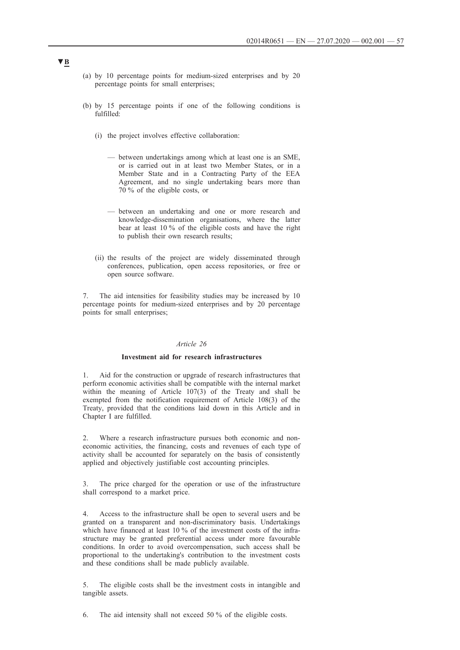- (a) by 10 percentage points for medium-sized enterprises and by 20 percentage points for small enterprises;
- (b) by 15 percentage points if one of the following conditions is fulfilled:
	- (i) the project involves effective collaboration:
		- between undertakings among which at least one is an SME, or is carried out in at least two Member States, or in a Member State and in a Contracting Party of the EEA Agreement, and no single undertaking bears more than 70 % of the eligible costs, or
		- between an undertaking and one or more research and knowledge-dissemination organisations, where the latter bear at least 10 % of the eligible costs and have the right to publish their own research results;
	- (ii) the results of the project are widely disseminated through conferences, publication, open access repositories, or free or open source software.

7. The aid intensities for feasibility studies may be increased by 10 percentage points for medium-sized enterprises and by 20 percentage points for small enterprises;

## *Article 26*

#### **Investment aid for research infrastructures**

Aid for the construction or upgrade of research infrastructures that perform economic activities shall be compatible with the internal market within the meaning of Article 107(3) of the Treaty and shall be exempted from the notification requirement of Article 108(3) of the Treaty, provided that the conditions laid down in this Article and in Chapter I are fulfilled.

2. Where a research infrastructure pursues both economic and noneconomic activities, the financing, costs and revenues of each type of activity shall be accounted for separately on the basis of consistently applied and objectively justifiable cost accounting principles.

The price charged for the operation or use of the infrastructure shall correspond to a market price.

4. Access to the infrastructure shall be open to several users and be granted on a transparent and non-discriminatory basis. Undertakings which have financed at least 10 % of the investment costs of the infrastructure may be granted preferential access under more favourable conditions. In order to avoid overcompensation, such access shall be proportional to the undertaking's contribution to the investment costs and these conditions shall be made publicly available.

5. The eligible costs shall be the investment costs in intangible and tangible assets.

6. The aid intensity shall not exceed 50 % of the eligible costs.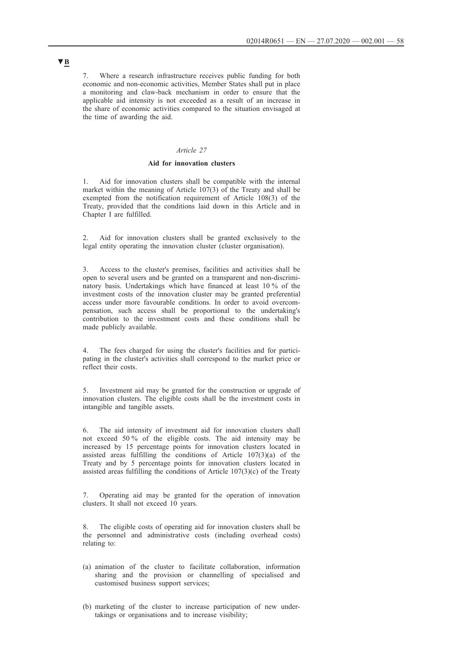7. Where a research infrastructure receives public funding for both economic and non-economic activities, Member States shall put in place a monitoring and claw-back mechanism in order to ensure that the applicable aid intensity is not exceeded as a result of an increase in the share of economic activities compared to the situation envisaged at the time of awarding the aid.

## *Article 27*

### **Aid for innovation clusters**

1. Aid for innovation clusters shall be compatible with the internal market within the meaning of Article 107(3) of the Treaty and shall be exempted from the notification requirement of Article 108(3) of the Treaty, provided that the conditions laid down in this Article and in Chapter I are fulfilled.

2. Aid for innovation clusters shall be granted exclusively to the legal entity operating the innovation cluster (cluster organisation).

3. Access to the cluster's premises, facilities and activities shall be open to several users and be granted on a transparent and non-discriminatory basis. Undertakings which have financed at least 10 % of the investment costs of the innovation cluster may be granted preferential access under more favourable conditions. In order to avoid overcompensation, such access shall be proportional to the undertaking's contribution to the investment costs and these conditions shall be made publicly available.

The fees charged for using the cluster's facilities and for participating in the cluster's activities shall correspond to the market price or reflect their costs.

5. Investment aid may be granted for the construction or upgrade of innovation clusters. The eligible costs shall be the investment costs in intangible and tangible assets.

6. The aid intensity of investment aid for innovation clusters shall not exceed 50 % of the eligible costs. The aid intensity may be increased by 15 percentage points for innovation clusters located in assisted areas fulfilling the conditions of Article 107(3)(a) of the Treaty and by 5 percentage points for innovation clusters located in assisted areas fulfilling the conditions of Article 107(3)(c) of the Treaty

7. Operating aid may be granted for the operation of innovation clusters. It shall not exceed 10 years.

8. The eligible costs of operating aid for innovation clusters shall be the personnel and administrative costs (including overhead costs) relating to:

- (a) animation of the cluster to facilitate collaboration, information sharing and the provision or channelling of specialised and customised business support services;
- (b) marketing of the cluster to increase participation of new undertakings or organisations and to increase visibility;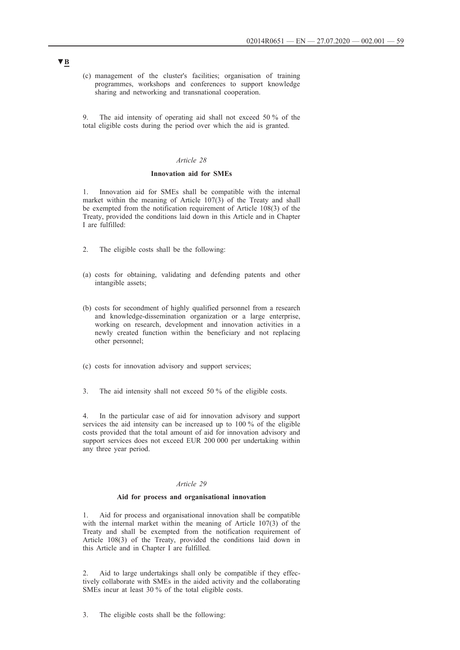(c) management of the cluster's facilities; organisation of training programmes, workshops and conferences to support knowledge sharing and networking and transnational cooperation.

9. The aid intensity of operating aid shall not exceed 50 % of the total eligible costs during the period over which the aid is granted.

#### *Article 28*

## **Innovation aid for SMEs**

1. Innovation aid for SMEs shall be compatible with the internal market within the meaning of Article 107(3) of the Treaty and shall be exempted from the notification requirement of Article 108(3) of the Treaty, provided the conditions laid down in this Article and in Chapter I are fulfilled:

- 2. The eligible costs shall be the following:
- (a) costs for obtaining, validating and defending patents and other intangible assets;
- (b) costs for secondment of highly qualified personnel from a research and knowledge-dissemination organization or a large enterprise, working on research, development and innovation activities in a newly created function within the beneficiary and not replacing other personnel;
- (c) costs for innovation advisory and support services;
- 3. The aid intensity shall not exceed 50 % of the eligible costs.

4. In the particular case of aid for innovation advisory and support services the aid intensity can be increased up to 100 % of the eligible costs provided that the total amount of aid for innovation advisory and support services does not exceed EUR 200 000 per undertaking within any three year period.

#### *Article 29*

#### **Aid for process and organisational innovation**

1. Aid for process and organisational innovation shall be compatible with the internal market within the meaning of Article 107(3) of the Treaty and shall be exempted from the notification requirement of Article 108(3) of the Treaty, provided the conditions laid down in this Article and in Chapter I are fulfilled.

2. Aid to large undertakings shall only be compatible if they effectively collaborate with SMEs in the aided activity and the collaborating SMEs incur at least 30 % of the total eligible costs.

3. The eligible costs shall be the following: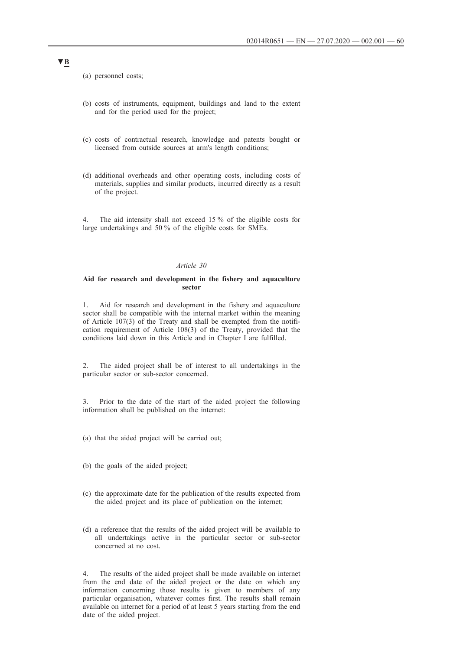(a) personnel costs;

- (b) costs of instruments, equipment, buildings and land to the extent and for the period used for the project;
- (c) costs of contractual research, knowledge and patents bought or licensed from outside sources at arm's length conditions;
- (d) additional overheads and other operating costs, including costs of materials, supplies and similar products, incurred directly as a result of the project.

The aid intensity shall not exceed 15 % of the eligible costs for large undertakings and 50 % of the eligible costs for SMEs.

## *Article 30*

#### **Aid for research and development in the fishery and aquaculture sector**

1. Aid for research and development in the fishery and aquaculture sector shall be compatible with the internal market within the meaning of Article 107(3) of the Treaty and shall be exempted from the notification requirement of Article 108(3) of the Treaty, provided that the conditions laid down in this Article and in Chapter I are fulfilled.

2. The aided project shall be of interest to all undertakings in the particular sector or sub-sector concerned.

3. Prior to the date of the start of the aided project the following information shall be published on the internet:

(a) that the aided project will be carried out;

(b) the goals of the aided project;

- (c) the approximate date for the publication of the results expected from the aided project and its place of publication on the internet;
- (d) a reference that the results of the aided project will be available to all undertakings active in the particular sector or sub-sector concerned at no cost.

4. The results of the aided project shall be made available on internet from the end date of the aided project or the date on which any information concerning those results is given to members of any particular organisation, whatever comes first. The results shall remain available on internet for a period of at least 5 years starting from the end date of the aided project.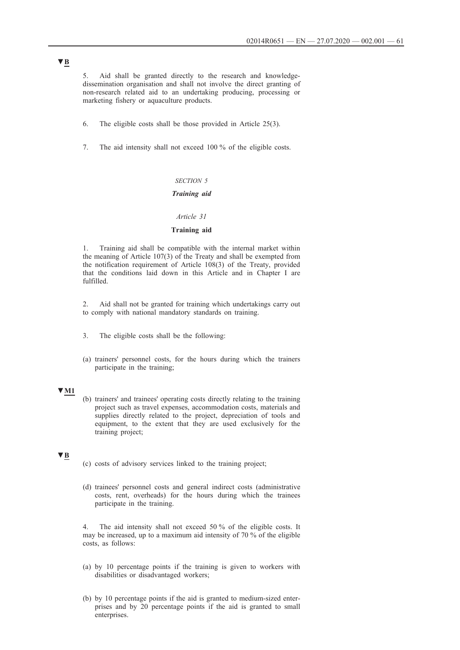5. Aid shall be granted directly to the research and knowledgedissemination organisation and shall not involve the direct granting of non-research related aid to an undertaking producing, processing or marketing fishery or aquaculture products.

- 6. The eligible costs shall be those provided in Article 25(3).
- 7. The aid intensity shall not exceed 100 % of the eligible costs.

### *SECTION 5*

#### *Training aid*

### *Article 31*

### **Training aid**

1. Training aid shall be compatible with the internal market within the meaning of Article 107(3) of the Treaty and shall be exempted from the notification requirement of Article 108(3) of the Treaty, provided that the conditions laid down in this Article and in Chapter I are fulfilled.

2. Aid shall not be granted for training which undertakings carry out to comply with national mandatory standards on training.

- 3. The eligible costs shall be the following:
- (a) trainers' personnel costs, for the hours during which the trainers participate in the training;

## **▼M1**

(b) trainers' and trainees' operating costs directly relating to the training project such as travel expenses, accommodation costs, materials and supplies directly related to the project, depreciation of tools and equipment, to the extent that they are used exclusively for the training project;

## **▼B**

- (c) costs of advisory services linked to the training project;
- (d) trainees' personnel costs and general indirect costs (administrative costs, rent, overheads) for the hours during which the trainees participate in the training.

4. The aid intensity shall not exceed 50 % of the eligible costs. It may be increased, up to a maximum aid intensity of 70 % of the eligible costs, as follows:

- (a) by 10 percentage points if the training is given to workers with disabilities or disadvantaged workers;
- (b) by 10 percentage points if the aid is granted to medium-sized enterprises and by 20 percentage points if the aid is granted to small enterprises.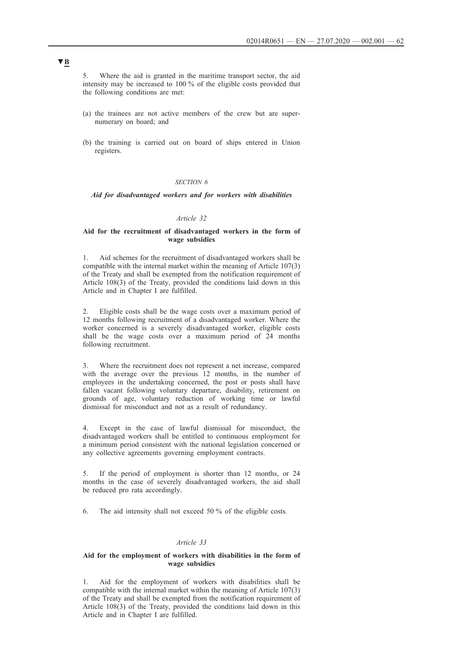5. Where the aid is granted in the maritime transport sector, the aid intensity may be increased to 100 % of the eligible costs provided that the following conditions are met:

- (a) the trainees are not active members of the crew but are supernumerary on board; and
- (b) the training is carried out on board of ships entered in Union registers.

### *SECTION 6*

*Aid for disadvantaged workers and for workers with disabilities*

#### *Article 32*

### **Aid for the recruitment of disadvantaged workers in the form of wage subsidies**

1. Aid schemes for the recruitment of disadvantaged workers shall be compatible with the internal market within the meaning of Article 107(3) of the Treaty and shall be exempted from the notification requirement of Article 108(3) of the Treaty, provided the conditions laid down in this Article and in Chapter I are fulfilled.

2. Eligible costs shall be the wage costs over a maximum period of 12 months following recruitment of a disadvantaged worker. Where the worker concerned is a severely disadvantaged worker, eligible costs shall be the wage costs over a maximum period of 24 months following recruitment.

3. Where the recruitment does not represent a net increase, compared with the average over the previous 12 months, in the number of employees in the undertaking concerned, the post or posts shall have fallen vacant following voluntary departure, disability, retirement on grounds of age, voluntary reduction of working time or lawful dismissal for misconduct and not as a result of redundancy.

4. Except in the case of lawful dismissal for misconduct, the disadvantaged workers shall be entitled to continuous employment for a minimum period consistent with the national legislation concerned or any collective agreements governing employment contracts.

5. If the period of employment is shorter than 12 months, or 24 months in the case of severely disadvantaged workers, the aid shall be reduced pro rata accordingly.

6. The aid intensity shall not exceed 50 % of the eligible costs.

#### *Article 33*

#### **Aid for the employment of workers with disabilities in the form of wage subsidies**

1. Aid for the employment of workers with disabilities shall be compatible with the internal market within the meaning of Article 107(3) of the Treaty and shall be exempted from the notification requirement of Article 108(3) of the Treaty, provided the conditions laid down in this Article and in Chapter I are fulfilled.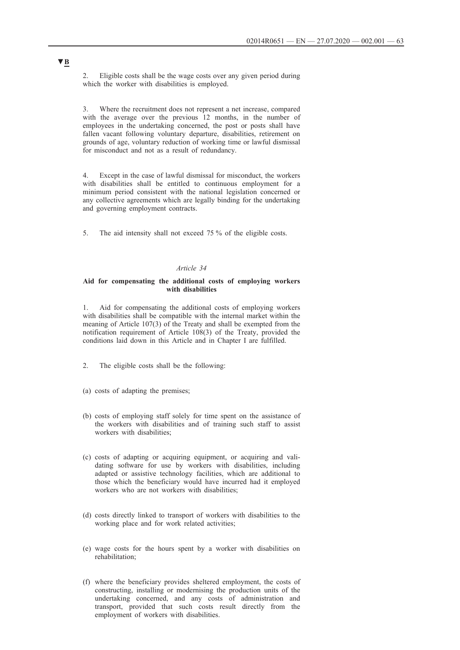2. Eligible costs shall be the wage costs over any given period during which the worker with disabilities is employed.

3. Where the recruitment does not represent a net increase, compared with the average over the previous 12 months, in the number of employees in the undertaking concerned, the post or posts shall have fallen vacant following voluntary departure, disabilities, retirement on grounds of age, voluntary reduction of working time or lawful dismissal for misconduct and not as a result of redundancy.

4. Except in the case of lawful dismissal for misconduct, the workers with disabilities shall be entitled to continuous employment for a minimum period consistent with the national legislation concerned or any collective agreements which are legally binding for the undertaking and governing employment contracts.

5. The aid intensity shall not exceed 75 % of the eligible costs.

## *Article 34*

#### **Aid for compensating the additional costs of employing workers with disabilities**

1. Aid for compensating the additional costs of employing workers with disabilities shall be compatible with the internal market within the meaning of Article 107(3) of the Treaty and shall be exempted from the notification requirement of Article 108(3) of the Treaty, provided the conditions laid down in this Article and in Chapter I are fulfilled.

- 2. The eligible costs shall be the following:
- (a) costs of adapting the premises;
- (b) costs of employing staff solely for time spent on the assistance of the workers with disabilities and of training such staff to assist workers with disabilities;
- (c) costs of adapting or acquiring equipment, or acquiring and validating software for use by workers with disabilities, including adapted or assistive technology facilities, which are additional to those which the beneficiary would have incurred had it employed workers who are not workers with disabilities;
- (d) costs directly linked to transport of workers with disabilities to the working place and for work related activities;
- (e) wage costs for the hours spent by a worker with disabilities on rehabilitation;
- (f) where the beneficiary provides sheltered employment, the costs of constructing, installing or modernising the production units of the undertaking concerned, and any costs of administration and transport, provided that such costs result directly from the employment of workers with disabilities.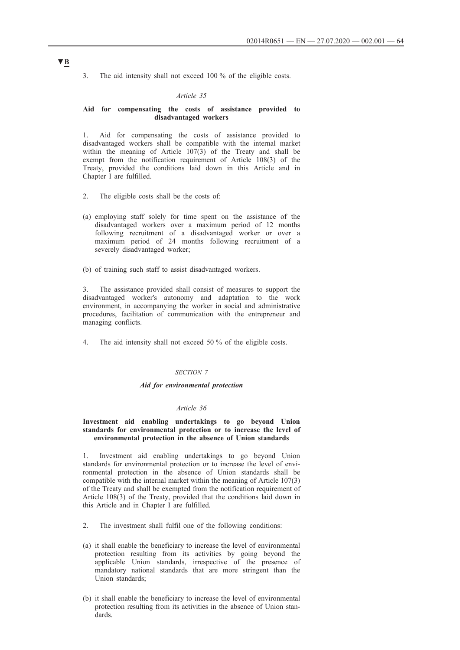3. The aid intensity shall not exceed 100 % of the eligible costs.

#### *Article 35*

### **Aid for compensating the costs of assistance provided to disadvantaged workers**

1. Aid for compensating the costs of assistance provided to disadvantaged workers shall be compatible with the internal market within the meaning of Article  $107(3)$  of the Treaty and shall be exempt from the notification requirement of Article 108(3) of the Treaty, provided the conditions laid down in this Article and in Chapter I are fulfilled.

- 2. The eligible costs shall be the costs of:
- (a) employing staff solely for time spent on the assistance of the disadvantaged workers over a maximum period of 12 months following recruitment of a disadvantaged worker or over a maximum period of 24 months following recruitment of a severely disadvantaged worker;
- (b) of training such staff to assist disadvantaged workers.

The assistance provided shall consist of measures to support the disadvantaged worker's autonomy and adaptation to the work environment, in accompanying the worker in social and administrative procedures, facilitation of communication with the entrepreneur and managing conflicts.

4. The aid intensity shall not exceed 50 % of the eligible costs.

#### *SECTION 7*

#### *Aid for environmental protection*

#### *Article 36*

#### **Investment aid enabling undertakings to go beyond Union standards for environmental protection or to increase the level of environmental protection in the absence of Union standards**

1. Investment aid enabling undertakings to go beyond Union standards for environmental protection or to increase the level of environmental protection in the absence of Union standards shall be compatible with the internal market within the meaning of Article 107(3) of the Treaty and shall be exempted from the notification requirement of Article 108(3) of the Treaty, provided that the conditions laid down in this Article and in Chapter I are fulfilled.

- 2. The investment shall fulfil one of the following conditions:
- (a) it shall enable the beneficiary to increase the level of environmental protection resulting from its activities by going beyond the applicable Union standards, irrespective of the presence of mandatory national standards that are more stringent than the Union standards;
- (b) it shall enable the beneficiary to increase the level of environmental protection resulting from its activities in the absence of Union standards.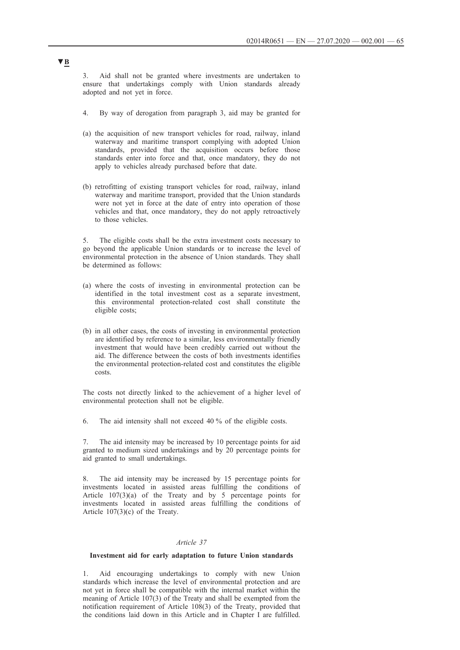3. Aid shall not be granted where investments are undertaken to ensure that undertakings comply with Union standards already adopted and not yet in force.

- 4. By way of derogation from paragraph 3, aid may be granted for
- (a) the acquisition of new transport vehicles for road, railway, inland waterway and maritime transport complying with adopted Union standards, provided that the acquisition occurs before those standards enter into force and that, once mandatory, they do not apply to vehicles already purchased before that date.
- (b) retrofitting of existing transport vehicles for road, railway, inland waterway and maritime transport, provided that the Union standards were not yet in force at the date of entry into operation of those vehicles and that, once mandatory, they do not apply retroactively to those vehicles.

5. The eligible costs shall be the extra investment costs necessary to go beyond the applicable Union standards or to increase the level of environmental protection in the absence of Union standards. They shall be determined as follows:

- (a) where the costs of investing in environmental protection can be identified in the total investment cost as a separate investment, this environmental protection-related cost shall constitute the eligible costs;
- (b) in all other cases, the costs of investing in environmental protection are identified by reference to a similar, less environmentally friendly investment that would have been credibly carried out without the aid. The difference between the costs of both investments identifies the environmental protection-related cost and constitutes the eligible costs.

The costs not directly linked to the achievement of a higher level of environmental protection shall not be eligible.

6. The aid intensity shall not exceed 40 % of the eligible costs.

7. The aid intensity may be increased by 10 percentage points for aid granted to medium sized undertakings and by 20 percentage points for aid granted to small undertakings.

8. The aid intensity may be increased by 15 percentage points for investments located in assisted areas fulfilling the conditions of Article 107(3)(a) of the Treaty and by 5 percentage points for investments located in assisted areas fulfilling the conditions of Article 107(3)(c) of the Treaty.

## *Article 37*

### **Investment aid for early adaptation to future Union standards**

1. Aid encouraging undertakings to comply with new Union standards which increase the level of environmental protection and are not yet in force shall be compatible with the internal market within the meaning of Article 107(3) of the Treaty and shall be exempted from the notification requirement of Article 108(3) of the Treaty, provided that the conditions laid down in this Article and in Chapter I are fulfilled.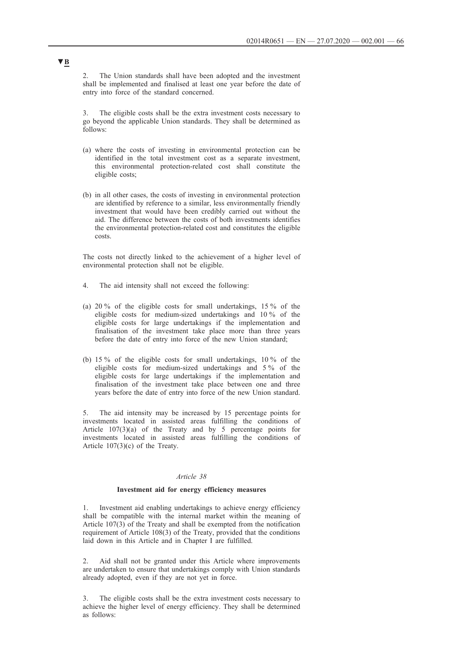2. The Union standards shall have been adopted and the investment shall be implemented and finalised at least one year before the date of entry into force of the standard concerned.

3. The eligible costs shall be the extra investment costs necessary to go beyond the applicable Union standards. They shall be determined as follows:

- (a) where the costs of investing in environmental protection can be identified in the total investment cost as a separate investment, this environmental protection-related cost shall constitute the eligible costs;
- (b) in all other cases, the costs of investing in environmental protection are identified by reference to a similar, less environmentally friendly investment that would have been credibly carried out without the aid. The difference between the costs of both investments identifies the environmental protection-related cost and constitutes the eligible costs.

The costs not directly linked to the achievement of a higher level of environmental protection shall not be eligible.

- 4. The aid intensity shall not exceed the following:
- (a) 20 % of the eligible costs for small undertakings, 15 % of the eligible costs for medium-sized undertakings and 10 % of the eligible costs for large undertakings if the implementation and finalisation of the investment take place more than three years before the date of entry into force of the new Union standard;
- (b) 15 % of the eligible costs for small undertakings, 10 % of the eligible costs for medium-sized undertakings and 5 % of the eligible costs for large undertakings if the implementation and finalisation of the investment take place between one and three years before the date of entry into force of the new Union standard.

5. The aid intensity may be increased by 15 percentage points for investments located in assisted areas fulfilling the conditions of Article  $107(3)(a)$  of the Treaty and by 5 percentage points for investments located in assisted areas fulfilling the conditions of Article 107(3)(c) of the Treaty.

### *Article 38*

#### **Investment aid for energy efficiency measures**

1. Investment aid enabling undertakings to achieve energy efficiency shall be compatible with the internal market within the meaning of Article 107(3) of the Treaty and shall be exempted from the notification requirement of Article 108(3) of the Treaty, provided that the conditions laid down in this Article and in Chapter I are fulfilled.

2. Aid shall not be granted under this Article where improvements are undertaken to ensure that undertakings comply with Union standards already adopted, even if they are not yet in force.

3. The eligible costs shall be the extra investment costs necessary to achieve the higher level of energy efficiency. They shall be determined as follows: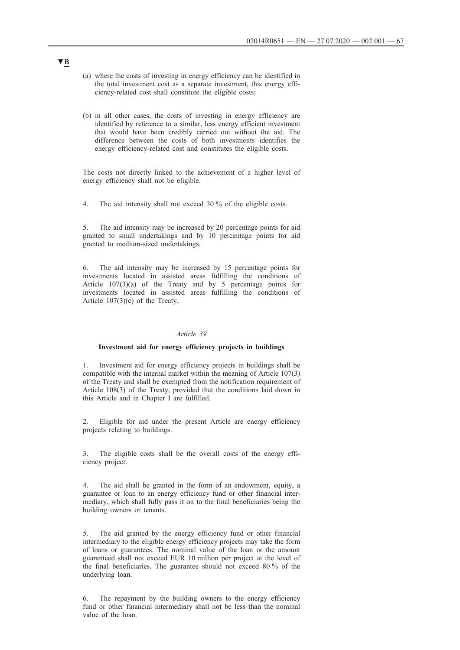- (a) where the costs of investing in energy efficiency can be identified in the total investment cost as a separate investment, this energy efficiency-related cost shall constitute the eligible costs;
- (b) in all other cases, the costs of investing in energy efficiency are identified by reference to a similar, less energy efficient investment that would have been credibly carried out without the aid. The difference between the costs of both investments identifies the energy efficiency-related cost and constitutes the eligible costs.

The costs not directly linked to the achievement of a higher level of energy efficiency shall not be eligible.

4. The aid intensity shall not exceed 30 % of the eligible costs.

5. The aid intensity may be increased by 20 percentage points for aid granted to small undertakings and by 10 percentage points for aid granted to medium-sized undertakings.

6. The aid intensity may be increased by 15 percentage points for investments located in assisted areas fulfilling the conditions of Article 107(3)(a) of the Treaty and by 5 percentage points for investments located in assisted areas fulfilling the conditions of Article 107(3)(c) of the Treaty.

### *Article 39*

#### **Investment aid for energy efficiency projects in buildings**

1. Investment aid for energy efficiency projects in buildings shall be compatible with the internal market within the meaning of Article 107(3) of the Treaty and shall be exempted from the notification requirement of Article 108(3) of the Treaty, provided that the conditions laid down in this Article and in Chapter I are fulfilled.

2. Eligible for aid under the present Article are energy efficiency projects relating to buildings.

3. The eligible costs shall be the overall costs of the energy efficiency project.

4. The aid shall be granted in the form of an endowment, equity, a guarantee or loan to an energy efficiency fund or other financial intermediary, which shall fully pass it on to the final beneficiaries being the building owners or tenants.

5. The aid granted by the energy efficiency fund or other financial intermediary to the eligible energy efficiency projects may take the form of loans or guarantees. The nominal value of the loan or the amount guaranteed shall not exceed EUR 10 million per project at the level of the final beneficiaries. The guarantee should not exceed 80 % of the underlying loan.

6. The repayment by the building owners to the energy efficiency fund or other financial intermediary shall not be less than the nominal value of the loan.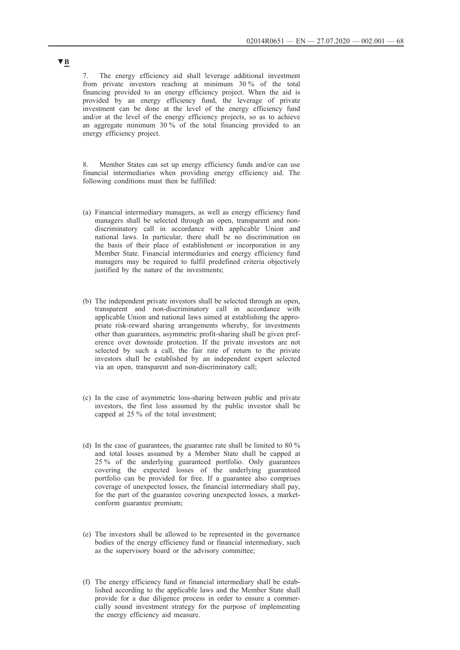7. The energy efficiency aid shall leverage additional investment from private investors reaching at minimum 30 % of the total financing provided to an energy efficiency project. When the aid is provided by an energy efficiency fund, the leverage of private investment can be done at the level of the energy efficiency fund and/or at the level of the energy efficiency projects, so as to achieve an aggregate minimum 30 % of the total financing provided to an energy efficiency project.

8. Member States can set up energy efficiency funds and/or can use financial intermediaries when providing energy efficiency aid. The following conditions must then be fulfilled:

- (a) Financial intermediary managers, as well as energy efficiency fund managers shall be selected through an open, transparent and nondiscriminatory call in accordance with applicable Union and national laws. In particular, there shall be no discrimination on the basis of their place of establishment or incorporation in any Member State. Financial intermediaries and energy efficiency fund managers may be required to fulfil predefined criteria objectively justified by the nature of the investments;
- (b) The independent private investors shall be selected through an open, transparent and non-discriminatory call in accordance with applicable Union and national laws aimed at establishing the appropriate risk-reward sharing arrangements whereby, for investments other than guarantees, asymmetric profit-sharing shall be given preference over downside protection. If the private investors are not selected by such a call, the fair rate of return to the private investors shall be established by an independent expert selected via an open, transparent and non-discriminatory call;
- (c) In the case of asymmetric loss-sharing between public and private investors, the first loss assumed by the public investor shall be capped at 25 % of the total investment;
- (d) In the case of guarantees, the guarantee rate shall be limited to 80 % and total losses assumed by a Member State shall be capped at 25 % of the underlying guaranteed portfolio. Only guarantees covering the expected losses of the underlying guaranteed portfolio can be provided for free. If a guarantee also comprises coverage of unexpected losses, the financial intermediary shall pay, for the part of the guarantee covering unexpected losses, a marketconform guarantee premium;
- (e) The investors shall be allowed to be represented in the governance bodies of the energy efficiency fund or financial intermediary, such as the supervisory board or the advisory committee;
- (f) The energy efficiency fund or financial intermediary shall be established according to the applicable laws and the Member State shall provide for a due diligence process in order to ensure a commercially sound investment strategy for the purpose of implementing the energy efficiency aid measure.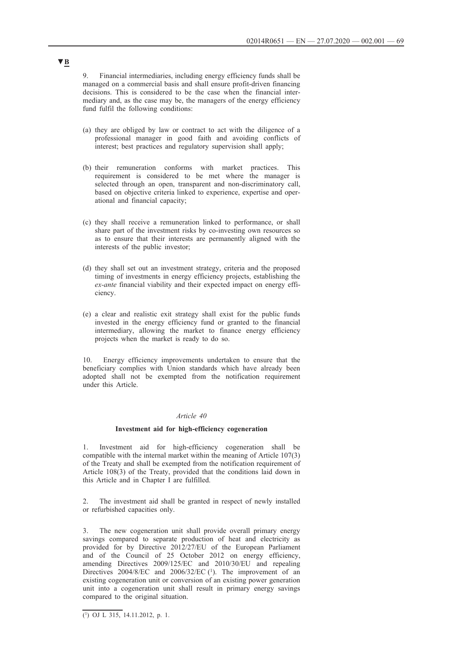9. Financial intermediaries, including energy efficiency funds shall be managed on a commercial basis and shall ensure profit-driven financing decisions. This is considered to be the case when the financial intermediary and, as the case may be, the managers of the energy efficiency fund fulfil the following conditions:

- (a) they are obliged by law or contract to act with the diligence of a professional manager in good faith and avoiding conflicts of interest; best practices and regulatory supervision shall apply;
- (b) their remuneration conforms with market practices. This requirement is considered to be met where the manager is selected through an open, transparent and non-discriminatory call, based on objective criteria linked to experience, expertise and operational and financial capacity;
- (c) they shall receive a remuneration linked to performance, or shall share part of the investment risks by co-investing own resources so as to ensure that their interests are permanently aligned with the interests of the public investor;
- (d) they shall set out an investment strategy, criteria and the proposed timing of investments in energy efficiency projects, establishing the *ex-ante* financial viability and their expected impact on energy efficiency.
- (e) a clear and realistic exit strategy shall exist for the public funds invested in the energy efficiency fund or granted to the financial intermediary, allowing the market to finance energy efficiency projects when the market is ready to do so.

10. Energy efficiency improvements undertaken to ensure that the beneficiary complies with Union standards which have already been adopted shall not be exempted from the notification requirement under this Article.

#### *Article 40*

### **Investment aid for high-efficiency cogeneration**

1. Investment aid for high-efficiency cogeneration shall be compatible with the internal market within the meaning of Article 107(3) of the Treaty and shall be exempted from the notification requirement of Article 108(3) of the Treaty, provided that the conditions laid down in this Article and in Chapter I are fulfilled.

2. The investment aid shall be granted in respect of newly installed or refurbished capacities only.

The new cogeneration unit shall provide overall primary energy savings compared to separate production of heat and electricity as provided for by Directive 2012/27/EU of the European Parliament and of the Council of 25 October 2012 on energy efficiency, amending Directives 2009/125/EC and 2010/30/EU and repealing Directives 2004/8/EC and 2006/32/EC (1). The improvement of an existing cogeneration unit or conversion of an existing power generation unit into a cogeneration unit shall result in primary energy savings compared to the original situation.

 $\overline{(^1)}$  OJ L 315, 14.11.2012, p. 1.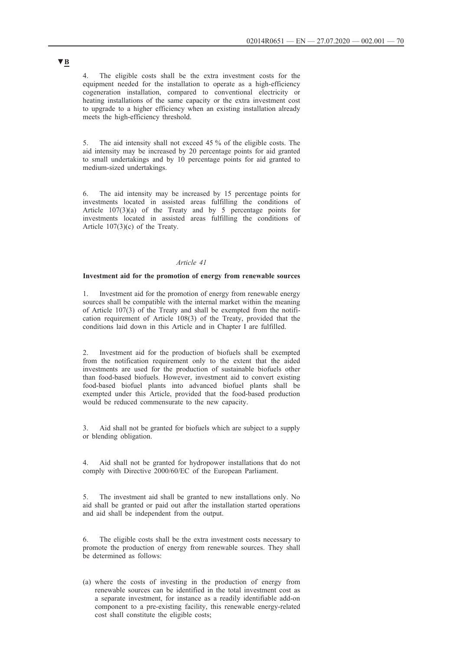4. The eligible costs shall be the extra investment costs for the equipment needed for the installation to operate as a high-efficiency cogeneration installation, compared to conventional electricity or heating installations of the same capacity or the extra investment cost to upgrade to a higher efficiency when an existing installation already meets the high-efficiency threshold.

5. The aid intensity shall not exceed 45 % of the eligible costs. The aid intensity may be increased by 20 percentage points for aid granted to small undertakings and by 10 percentage points for aid granted to medium-sized undertakings.

6. The aid intensity may be increased by 15 percentage points for investments located in assisted areas fulfilling the conditions of Article  $107(3)(a)$  of the Treaty and by 5 percentage points for investments located in assisted areas fulfilling the conditions of Article 107(3)(c) of the Treaty.

## *Article 41*

### **Investment aid for the promotion of energy from renewable sources**

Investment aid for the promotion of energy from renewable energy sources shall be compatible with the internal market within the meaning of Article 107(3) of the Treaty and shall be exempted from the notification requirement of Article 108(3) of the Treaty, provided that the conditions laid down in this Article and in Chapter I are fulfilled.

2. Investment aid for the production of biofuels shall be exempted from the notification requirement only to the extent that the aided investments are used for the production of sustainable biofuels other than food-based biofuels. However, investment aid to convert existing food-based biofuel plants into advanced biofuel plants shall be exempted under this Article, provided that the food-based production would be reduced commensurate to the new capacity.

3. Aid shall not be granted for biofuels which are subject to a supply or blending obligation.

Aid shall not be granted for hydropower installations that do not comply with Directive 2000/60/EC of the European Parliament.

5. The investment aid shall be granted to new installations only. No aid shall be granted or paid out after the installation started operations and aid shall be independent from the output.

6. The eligible costs shall be the extra investment costs necessary to promote the production of energy from renewable sources. They shall be determined as follows:

(a) where the costs of investing in the production of energy from renewable sources can be identified in the total investment cost as a separate investment, for instance as a readily identifiable add-on component to a pre-existing facility, this renewable energy-related cost shall constitute the eligible costs;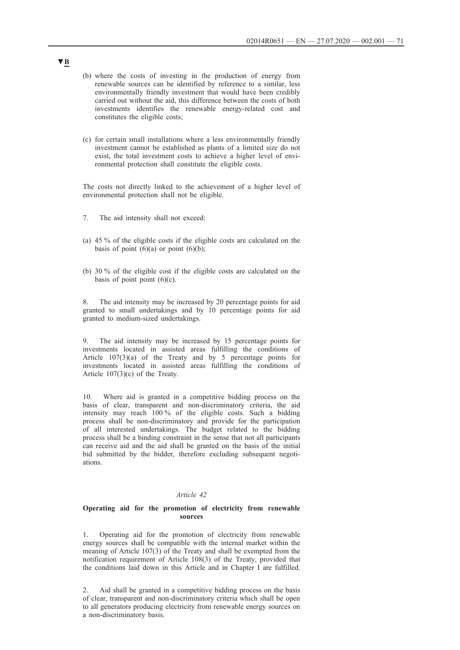- (b) where the costs of investing in the production of energy from renewable sources can be identified by reference to a similar, less environmentally friendly investment that would have been credibly carried out without the aid, this difference between the costs of both investments identifies the renewable energy-related cost and constitutes the eligible costs;
- (c) for certain small installations where a less environmentally friendly investment cannot be established as plants of a limited size do not exist, the total investment costs to achieve a higher level of environmental protection shall constitute the eligible costs.

The costs not directly linked to the achievement of a higher level of environmental protection shall not be eligible.

- 7. The aid intensity shall not exceed:
- (a) 45 % of the eligible costs if the eligible costs are calculated on the basis of point  $(6)(a)$  or point  $(6)(b)$ ;
- (b) 30 % of the eligible cost if the eligible costs are calculated on the basis of point point  $(6)(c)$ .

8. The aid intensity may be increased by 20 percentage points for aid granted to small undertakings and by 10 percentage points for aid granted to medium-sized undertakings.

9. The aid intensity may be increased by 15 percentage points for investments located in assisted areas fulfilling the conditions of Article 107(3)(a) of the Treaty and by 5 percentage points for investments located in assisted areas fulfilling the conditions of Article 107(3)(c) of the Treaty.

10. Where aid is granted in a competitive bidding process on the basis of clear, transparent and non-discriminatory criteria, the aid intensity may reach 100 % of the eligible costs. Such a bidding process shall be non-discriminatory and provide for the participation of all interested undertakings. The budget related to the bidding process shall be a binding constraint in the sense that not all participants can receive aid and the aid shall be granted on the basis of the initial bid submitted by the bidder, therefore excluding subsequent negotiations.

## *Article 42*

### **Operating aid for the promotion of electricity from renewable sources**

1. Operating aid for the promotion of electricity from renewable energy sources shall be compatible with the internal market within the meaning of Article 107(3) of the Treaty and shall be exempted from the notification requirement of Article 108(3) of the Treaty, provided that the conditions laid down in this Article and in Chapter I are fulfilled.

2. Aid shall be granted in a competitive bidding process on the basis of clear, transparent and non-discriminatory criteria which shall be open to all generators producing electricity from renewable energy sources on a non-discriminatory basis.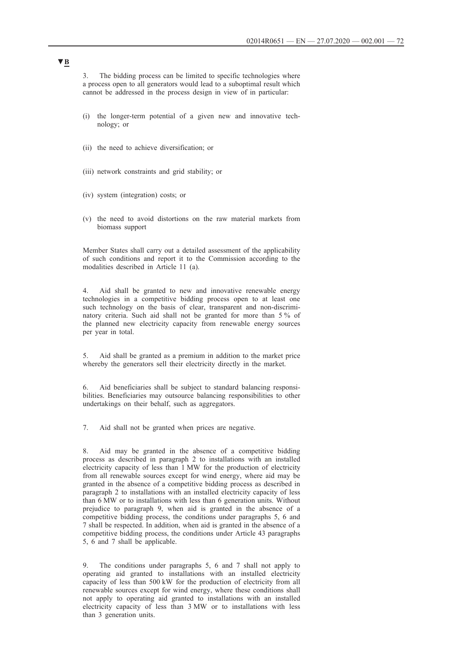3. The bidding process can be limited to specific technologies where a process open to all generators would lead to a suboptimal result which cannot be addressed in the process design in view of in particular:

- (i) the longer-term potential of a given new and innovative technology; or
- (ii) the need to achieve diversification; or
- (iii) network constraints and grid stability; or
- (iv) system (integration) costs; or
- (v) the need to avoid distortions on the raw material markets from biomass support

Member States shall carry out a detailed assessment of the applicability of such conditions and report it to the Commission according to the modalities described in Article 11 (a).

4. Aid shall be granted to new and innovative renewable energy technologies in a competitive bidding process open to at least one such technology on the basis of clear, transparent and non-discriminatory criteria. Such aid shall not be granted for more than 5 % of the planned new electricity capacity from renewable energy sources per year in total.

5. Aid shall be granted as a premium in addition to the market price whereby the generators sell their electricity directly in the market.

6. Aid beneficiaries shall be subject to standard balancing responsibilities. Beneficiaries may outsource balancing responsibilities to other undertakings on their behalf, such as aggregators.

7. Aid shall not be granted when prices are negative.

8. Aid may be granted in the absence of a competitive bidding process as described in paragraph 2 to installations with an installed electricity capacity of less than 1 MW for the production of electricity from all renewable sources except for wind energy, where aid may be granted in the absence of a competitive bidding process as described in paragraph 2 to installations with an installed electricity capacity of less than 6 MW or to installations with less than 6 generation units. Without prejudice to paragraph 9, when aid is granted in the absence of a competitive bidding process, the conditions under paragraphs 5, 6 and 7 shall be respected. In addition, when aid is granted in the absence of a competitive bidding process, the conditions under Article 43 paragraphs 5, 6 and 7 shall be applicable.

9. The conditions under paragraphs 5, 6 and 7 shall not apply to operating aid granted to installations with an installed electricity capacity of less than 500 kW for the production of electricity from all renewable sources except for wind energy, where these conditions shall not apply to operating aid granted to installations with an installed electricity capacity of less than 3 MW or to installations with less than 3 generation units.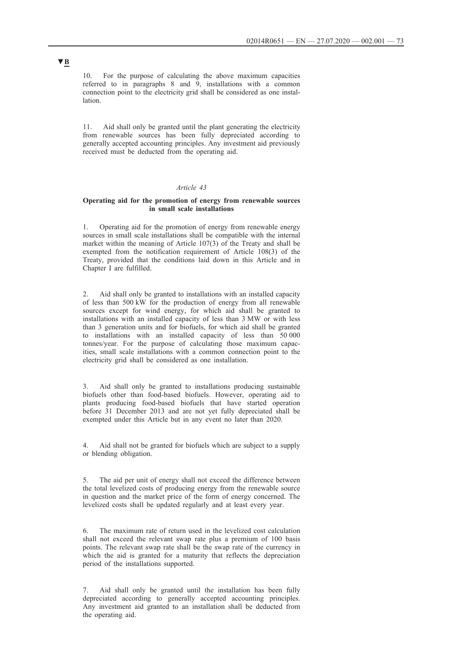10. For the purpose of calculating the above maximum capacities referred to in paragraphs 8 and 9, installations with a common connection point to the electricity grid shall be considered as one installation.

11. Aid shall only be granted until the plant generating the electricity from renewable sources has been fully depreciated according to generally accepted accounting principles. Any investment aid previously received must be deducted from the operating aid.

#### *Article 43*

### **Operating aid for the promotion of energy from renewable sources in small scale installations**

1. Operating aid for the promotion of energy from renewable energy sources in small scale installations shall be compatible with the internal market within the meaning of Article 107(3) of the Treaty and shall be exempted from the notification requirement of Article 108(3) of the Treaty, provided that the conditions laid down in this Article and in Chapter I are fulfilled.

2. Aid shall only be granted to installations with an installed capacity of less than 500 kW for the production of energy from all renewable sources except for wind energy, for which aid shall be granted to installations with an installed capacity of less than 3 MW or with less than 3 generation units and for biofuels, for which aid shall be granted to installations with an installed capacity of less than 50 000 tonnes/year. For the purpose of calculating those maximum capacities, small scale installations with a common connection point to the electricity grid shall be considered as one installation.

3. Aid shall only be granted to installations producing sustainable biofuels other than food-based biofuels. However, operating aid to plants producing food-based biofuels that have started operation before 31 December 2013 and are not yet fully depreciated shall be exempted under this Article but in any event no later than 2020.

4. Aid shall not be granted for biofuels which are subject to a supply or blending obligation.

The aid per unit of energy shall not exceed the difference between the total levelized costs of producing energy from the renewable source in question and the market price of the form of energy concerned. The levelized costs shall be updated regularly and at least every year.

6. The maximum rate of return used in the levelized cost calculation shall not exceed the relevant swap rate plus a premium of 100 basis points. The relevant swap rate shall be the swap rate of the currency in which the aid is granted for a maturity that reflects the depreciation period of the installations supported.

7. Aid shall only be granted until the installation has been fully depreciated according to generally accepted accounting principles. Any investment aid granted to an installation shall be deducted from the operating aid.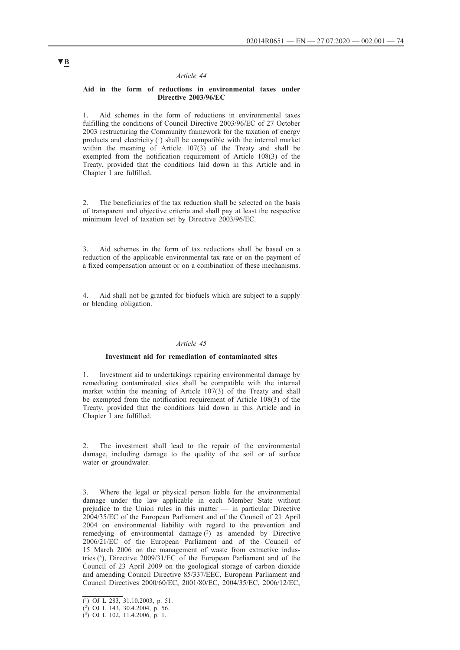#### *Article 44*

### **Aid in the form of reductions in environmental taxes under Directive 2003/96/EC**

1. Aid schemes in the form of reductions in environmental taxes fulfilling the conditions of Council Directive 2003/96/EC of 27 October 2003 restructuring the Community framework for the taxation of energy products and electricity  $(1)$  shall be compatible with the internal market within the meaning of Article  $107(3)$  of the Treaty and shall be exempted from the notification requirement of Article 108(3) of the Treaty, provided that the conditions laid down in this Article and in Chapter I are fulfilled.

2. The beneficiaries of the tax reduction shall be selected on the basis of transparent and objective criteria and shall pay at least the respective minimum level of taxation set by Directive 2003/96/EC.

3. Aid schemes in the form of tax reductions shall be based on a reduction of the applicable environmental tax rate or on the payment of a fixed compensation amount or on a combination of these mechanisms.

4. Aid shall not be granted for biofuels which are subject to a supply or blending obligation.

### *Article 45*

#### **Investment aid for remediation of contaminated sites**

1. Investment aid to undertakings repairing environmental damage by remediating contaminated sites shall be compatible with the internal market within the meaning of Article 107(3) of the Treaty and shall be exempted from the notification requirement of Article 108(3) of the Treaty, provided that the conditions laid down in this Article and in Chapter I are fulfilled.

The investment shall lead to the repair of the environmental damage, including damage to the quality of the soil or of surface water or groundwater.

3. Where the legal or physical person liable for the environmental damage under the law applicable in each Member State without prejudice to the Union rules in this matter — in particular Directive 2004/35/EC of the European Parliament and of the Council of 21 April 2004 on environmental liability with regard to the prevention and remedying of environmental damage  $(2)$  as amended by Directive 2006/21/EC of the European Parliament and of the Council of 15 March 2006 on the management of waste from extractive industries  $(3)$ , Directive 2009/31/EC of the European Parliament and of the Council of 23 April 2009 on the geological storage of carbon dioxide and amending Council Directive 85/337/EEC, European Parliament and Council Directives 2000/60/EC, 2001/80/EC, 2004/35/EC, 2006/12/EC,

<sup>(1)</sup> OJ L 283, 31.10.2003, p. 51.

<sup>(2)</sup> OJ L 143, 30.4.2004, p. 56.

<sup>(3)</sup> OJ L 102, 11.4.2006, p. 1.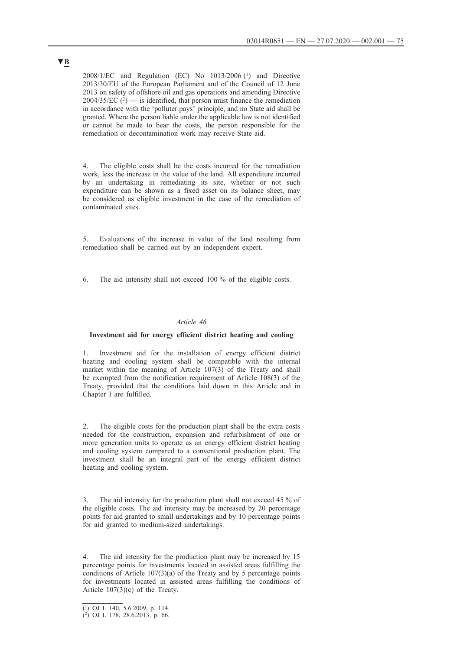2008/1/EC and Regulation (EC) No 1013/2006 (1) and Directive 2013/30/EU of the European Parliament and of the Council of 12 June 2013 on safety of offshore oil and gas operations and amending Directive  $2004/35/EC$  (<sup>2</sup>) — is identified, that person must finance the remediation in accordance with the 'polluter pays' principle, and no State aid shall be granted. Where the person liable under the applicable law is not identified or cannot be made to bear the costs, the person responsible for the remediation or decontamination work may receive State aid.

4. The eligible costs shall be the costs incurred for the remediation work, less the increase in the value of the land. All expenditure incurred by an undertaking in remediating its site, whether or not such expenditure can be shown as a fixed asset on its balance sheet, may be considered as eligible investment in the case of the remediation of contaminated sites.

5. Evaluations of the increase in value of the land resulting from remediation shall be carried out by an independent expert.

6. The aid intensity shall not exceed 100 % of the eligible costs.

#### *Article 46*

### **Investment aid for energy efficient district heating and cooling**

Investment aid for the installation of energy efficient district heating and cooling system shall be compatible with the internal market within the meaning of Article  $107(3)$  of the Treaty and shall be exempted from the notification requirement of Article 108(3) of the Treaty, provided that the conditions laid down in this Article and in Chapter I are fulfilled.

2. The eligible costs for the production plant shall be the extra costs needed for the construction, expansion and refurbishment of one or more generation units to operate as an energy efficient district heating and cooling system compared to a conventional production plant. The investment shall be an integral part of the energy efficient district heating and cooling system.

3. The aid intensity for the production plant shall not exceed 45 % of the eligible costs. The aid intensity may be increased by 20 percentage points for aid granted to small undertakings and by 10 percentage points for aid granted to medium-sized undertakings.

The aid intensity for the production plant may be increased by 15 percentage points for investments located in assisted areas fulfilling the conditions of Article  $107(3)(a)$  of the Treaty and by 5 percentage points for investments located in assisted areas fulfilling the conditions of Article 107(3)(c) of the Treaty.

<sup>(1)</sup> OJ L 140, 5.6.2009, p. 114.

<sup>(2)</sup> OJ L 178, 28.6.2013, p. 66.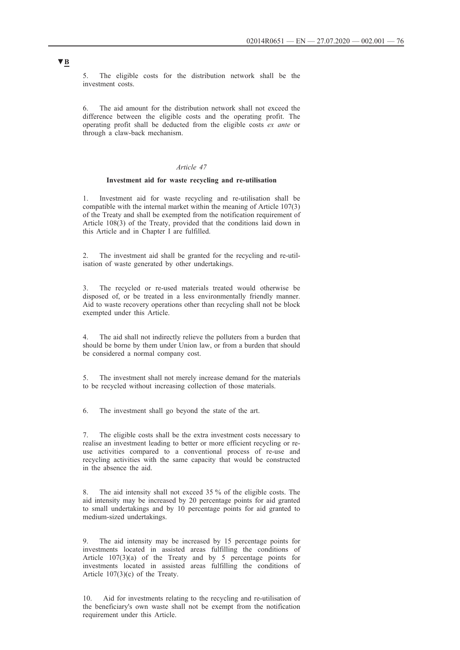5. The eligible costs for the distribution network shall be the investment costs.

6. The aid amount for the distribution network shall not exceed the difference between the eligible costs and the operating profit. The operating profit shall be deducted from the eligible costs *ex ante* or through a claw-back mechanism.

## *Article 47*

### **Investment aid for waste recycling and re-utilisation**

Investment aid for waste recycling and re-utilisation shall be compatible with the internal market within the meaning of Article 107(3) of the Treaty and shall be exempted from the notification requirement of Article 108(3) of the Treaty, provided that the conditions laid down in this Article and in Chapter I are fulfilled.

2. The investment aid shall be granted for the recycling and re-utilisation of waste generated by other undertakings.

3. The recycled or re-used materials treated would otherwise be disposed of, or be treated in a less environmentally friendly manner. Aid to waste recovery operations other than recycling shall not be block exempted under this Article.

The aid shall not indirectly relieve the polluters from a burden that should be borne by them under Union law, or from a burden that should be considered a normal company cost.

5. The investment shall not merely increase demand for the materials to be recycled without increasing collection of those materials.

6. The investment shall go beyond the state of the art.

7. The eligible costs shall be the extra investment costs necessary to realise an investment leading to better or more efficient recycling or reuse activities compared to a conventional process of re-use and recycling activities with the same capacity that would be constructed in the absence the aid.

8. The aid intensity shall not exceed 35 % of the eligible costs. The aid intensity may be increased by 20 percentage points for aid granted to small undertakings and by 10 percentage points for aid granted to medium-sized undertakings.

9. The aid intensity may be increased by 15 percentage points for investments located in assisted areas fulfilling the conditions of Article  $107(3)(a)$  of the Treaty and by 5 percentage points for investments located in assisted areas fulfilling the conditions of Article 107(3)(c) of the Treaty.

10. Aid for investments relating to the recycling and re-utilisation of the beneficiary's own waste shall not be exempt from the notification requirement under this Article.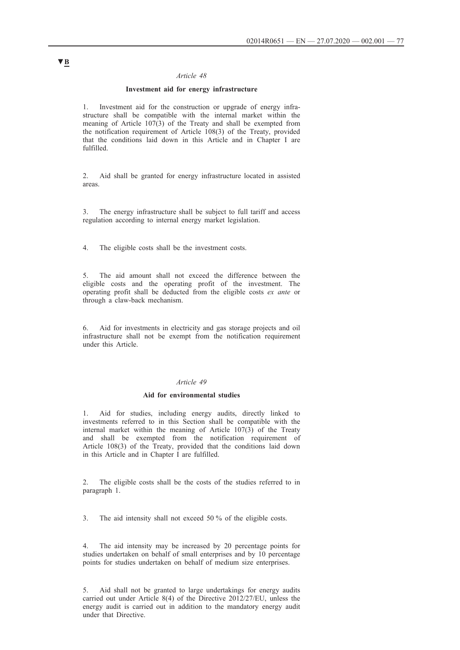#### *Article 48*

## **Investment aid for energy infrastructure**

1. Investment aid for the construction or upgrade of energy infrastructure shall be compatible with the internal market within the meaning of Article  $107(3)$  of the Treaty and shall be exempted from the notification requirement of Article 108(3) of the Treaty, provided that the conditions laid down in this Article and in Chapter I are fulfilled.

2. Aid shall be granted for energy infrastructure located in assisted areas.

3. The energy infrastructure shall be subject to full tariff and access regulation according to internal energy market legislation.

4. The eligible costs shall be the investment costs.

5. The aid amount shall not exceed the difference between the eligible costs and the operating profit of the investment. The operating profit shall be deducted from the eligible costs *ex ante* or through a claw-back mechanism.

6. Aid for investments in electricity and gas storage projects and oil infrastructure shall not be exempt from the notification requirement under this Article.

#### *Article 49*

## **Aid for environmental studies**

1. Aid for studies, including energy audits, directly linked to investments referred to in this Section shall be compatible with the internal market within the meaning of Article  $107(3)$  of the Treaty and shall be exempted from the notification requirement of Article 108(3) of the Treaty, provided that the conditions laid down in this Article and in Chapter I are fulfilled.

2. The eligible costs shall be the costs of the studies referred to in paragraph 1.

3. The aid intensity shall not exceed 50 % of the eligible costs.

4. The aid intensity may be increased by 20 percentage points for studies undertaken on behalf of small enterprises and by 10 percentage points for studies undertaken on behalf of medium size enterprises.

5. Aid shall not be granted to large undertakings for energy audits carried out under Article 8(4) of the Directive 2012/27/EU, unless the energy audit is carried out in addition to the mandatory energy audit under that Directive.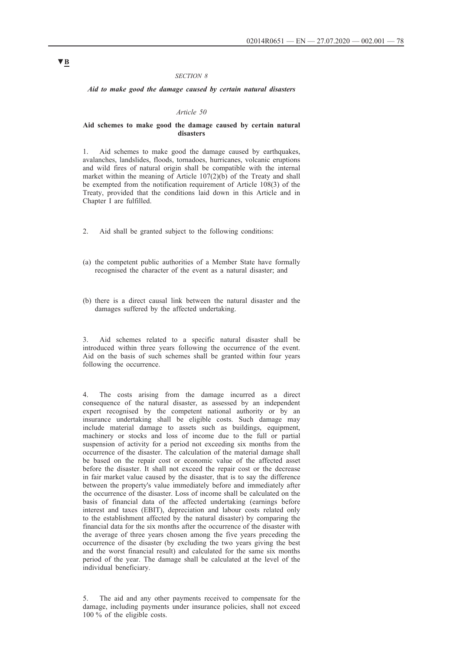#### *SECTION 8*

### *Aid to make good the damage caused by certain natural disasters*

#### *Article 50*

### **Aid schemes to make good the damage caused by certain natural disasters**

1. Aid schemes to make good the damage caused by earthquakes, avalanches, landslides, floods, tornadoes, hurricanes, volcanic eruptions and wild fires of natural origin shall be compatible with the internal market within the meaning of Article  $107(2)(b)$  of the Treaty and shall be exempted from the notification requirement of Article 108(3) of the Treaty, provided that the conditions laid down in this Article and in Chapter I are fulfilled.

- 2. Aid shall be granted subject to the following conditions:
- (a) the competent public authorities of a Member State have formally recognised the character of the event as a natural disaster; and
- (b) there is a direct causal link between the natural disaster and the damages suffered by the affected undertaking.

3. Aid schemes related to a specific natural disaster shall be introduced within three years following the occurrence of the event. Aid on the basis of such schemes shall be granted within four years following the occurrence.

4. The costs arising from the damage incurred as a direct consequence of the natural disaster, as assessed by an independent expert recognised by the competent national authority or by an insurance undertaking shall be eligible costs. Such damage may include material damage to assets such as buildings, equipment, machinery or stocks and loss of income due to the full or partial suspension of activity for a period not exceeding six months from the occurrence of the disaster. The calculation of the material damage shall be based on the repair cost or economic value of the affected asset before the disaster. It shall not exceed the repair cost or the decrease in fair market value caused by the disaster, that is to say the difference between the property's value immediately before and immediately after the occurrence of the disaster. Loss of income shall be calculated on the basis of financial data of the affected undertaking (earnings before interest and taxes (EBIT), depreciation and labour costs related only to the establishment affected by the natural disaster) by comparing the financial data for the six months after the occurrence of the disaster with the average of three years chosen among the five years preceding the occurrence of the disaster (by excluding the two years giving the best and the worst financial result) and calculated for the same six months period of the year. The damage shall be calculated at the level of the individual beneficiary.

5. The aid and any other payments received to compensate for the damage, including payments under insurance policies, shall not exceed 100 % of the eligible costs.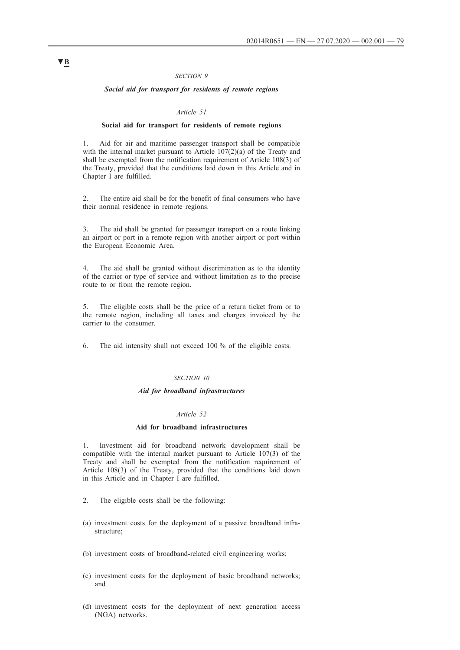#### *SECTION 9*

### *Social aid for transport for residents of remote regions*

#### *Article 51*

#### **Social aid for transport for residents of remote regions**

1. Aid for air and maritime passenger transport shall be compatible with the internal market pursuant to Article  $107(2)(a)$  of the Treaty and shall be exempted from the notification requirement of Article 108(3) of the Treaty, provided that the conditions laid down in this Article and in Chapter I are fulfilled.

2. The entire aid shall be for the benefit of final consumers who have their normal residence in remote regions.

3. The aid shall be granted for passenger transport on a route linking an airport or port in a remote region with another airport or port within the European Economic Area.

4. The aid shall be granted without discrimination as to the identity of the carrier or type of service and without limitation as to the precise route to or from the remote region.

5. The eligible costs shall be the price of a return ticket from or to the remote region, including all taxes and charges invoiced by the carrier to the consumer.

6. The aid intensity shall not exceed 100 % of the eligible costs.

#### *SECTION 10*

### *Aid for broadband infrastructures*

### *Article 52*

## **Aid for broadband infrastructures**

1. Investment aid for broadband network development shall be compatible with the internal market pursuant to Article 107(3) of the Treaty and shall be exempted from the notification requirement of Article 108(3) of the Treaty, provided that the conditions laid down in this Article and in Chapter I are fulfilled.

- 2. The eligible costs shall be the following:
- (a) investment costs for the deployment of a passive broadband infrastructure;
- (b) investment costs of broadband-related civil engineering works;
- (c) investment costs for the deployment of basic broadband networks; and
- (d) investment costs for the deployment of next generation access (NGA) networks.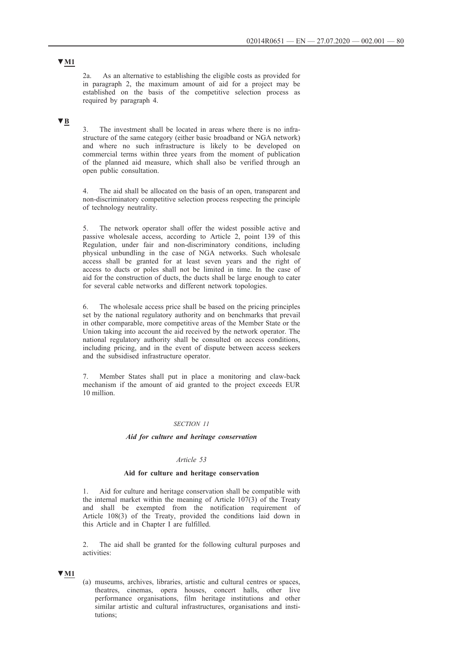2a. As an alternative to establishing the eligible costs as provided for in paragraph 2, the maximum amount of aid for a project may be established on the basis of the competitive selection process as required by paragraph 4.

## **▼B**

3. The investment shall be located in areas where there is no infrastructure of the same category (either basic broadband or NGA network) and where no such infrastructure is likely to be developed on commercial terms within three years from the moment of publication of the planned aid measure, which shall also be verified through an open public consultation.

4. The aid shall be allocated on the basis of an open, transparent and non-discriminatory competitive selection process respecting the principle of technology neutrality.

5. The network operator shall offer the widest possible active and passive wholesale access, according to Article 2, point 139 of this Regulation, under fair and non-discriminatory conditions, including physical unbundling in the case of NGA networks. Such wholesale access shall be granted for at least seven years and the right of access to ducts or poles shall not be limited in time. In the case of aid for the construction of ducts, the ducts shall be large enough to cater for several cable networks and different network topologies.

6. The wholesale access price shall be based on the pricing principles set by the national regulatory authority and on benchmarks that prevail in other comparable, more competitive areas of the Member State or the Union taking into account the aid received by the network operator. The national regulatory authority shall be consulted on access conditions, including pricing, and in the event of dispute between access seekers and the subsidised infrastructure operator.

7. Member States shall put in place a monitoring and claw-back mechanism if the amount of aid granted to the project exceeds EUR 10 million.

### *SECTION 11*

### *Aid for culture and heritage conservation*

### *Article 53*

## **Aid for culture and heritage conservation**

1. Aid for culture and heritage conservation shall be compatible with the internal market within the meaning of Article 107(3) of the Treaty and shall be exempted from the notification requirement of Article 108(3) of the Treaty, provided the conditions laid down in this Article and in Chapter I are fulfilled.

2. The aid shall be granted for the following cultural purposes and activities:

#### **▼M1**

(a) museums, archives, libraries, artistic and cultural centres or spaces, theatres, cinemas, opera houses, concert halls, other live performance organisations, film heritage institutions and other similar artistic and cultural infrastructures, organisations and institutions;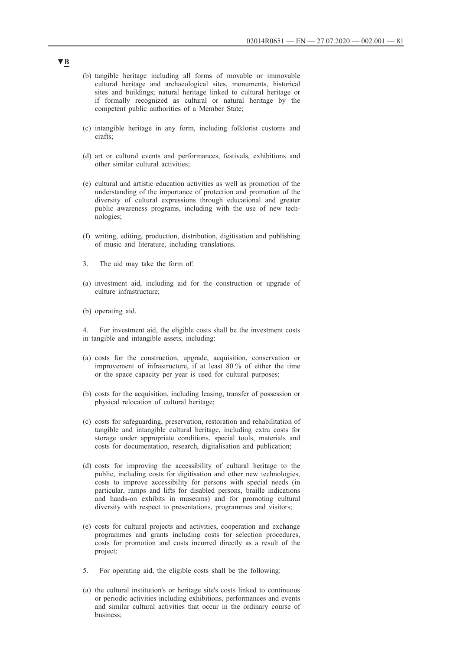- (b) tangible heritage including all forms of movable or immovable cultural heritage and archaeological sites, monuments, historical sites and buildings; natural heritage linked to cultural heritage or if formally recognized as cultural or natural heritage by the competent public authorities of a Member State;
- (c) intangible heritage in any form, including folklorist customs and crafts;
- (d) art or cultural events and performances, festivals, exhibitions and other similar cultural activities;
- (e) cultural and artistic education activities as well as promotion of the understanding of the importance of protection and promotion of the diversity of cultural expressions through educational and greater public awareness programs, including with the use of new technologies;
- (f) writing, editing, production, distribution, digitisation and publishing of music and literature, including translations.
- 3. The aid may take the form of:
- (a) investment aid, including aid for the construction or upgrade of culture infrastructure;
- (b) operating aid.

4. For investment aid, the eligible costs shall be the investment costs in tangible and intangible assets, including:

- (a) costs for the construction, upgrade, acquisition, conservation or improvement of infrastructure, if at least 80 % of either the time or the space capacity per year is used for cultural purposes;
- (b) costs for the acquisition, including leasing, transfer of possession or physical relocation of cultural heritage;
- (c) costs for safeguarding, preservation, restoration and rehabilitation of tangible and intangible cultural heritage, including extra costs for storage under appropriate conditions, special tools, materials and costs for documentation, research, digitalisation and publication;
- (d) costs for improving the accessibility of cultural heritage to the public, including costs for digitisation and other new technologies, costs to improve accessibility for persons with special needs (in particular, ramps and lifts for disabled persons, braille indications and hands-on exhibits in museums) and for promoting cultural diversity with respect to presentations, programmes and visitors;
- (e) costs for cultural projects and activities, cooperation and exchange programmes and grants including costs for selection procedures, costs for promotion and costs incurred directly as a result of the project;
- 5. For operating aid, the eligible costs shall be the following:
- (a) the cultural institution's or heritage site's costs linked to continuous or periodic activities including exhibitions, performances and events and similar cultural activities that occur in the ordinary course of business;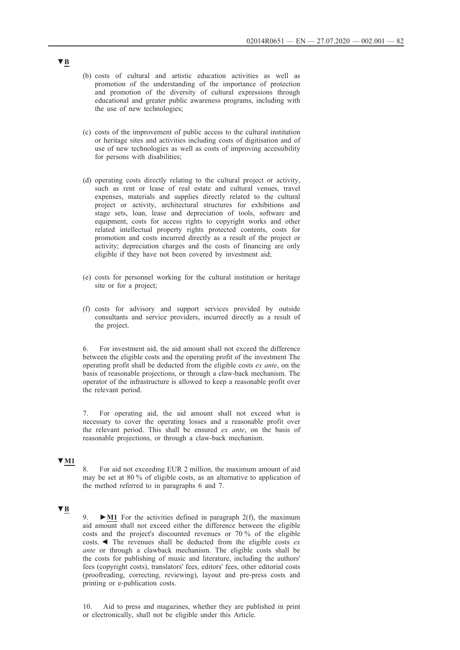- (b) costs of cultural and artistic education activities as well as promotion of the understanding of the importance of protection and promotion of the diversity of cultural expressions through educational and greater public awareness programs, including with the use of new technologies;
- (c) costs of the improvement of public access to the cultural institution or heritage sites and activities including costs of digitisation and of use of new technologies as well as costs of improving accessibility for persons with disabilities;
- (d) operating costs directly relating to the cultural project or activity, such as rent or lease of real estate and cultural venues, travel expenses, materials and supplies directly related to the cultural project or activity, architectural structures for exhibitions and stage sets, loan, lease and depreciation of tools, software and equipment, costs for access rights to copyright works and other related intellectual property rights protected contents, costs for promotion and costs incurred directly as a result of the project or activity; depreciation charges and the costs of financing are only eligible if they have not been covered by investment aid;
- (e) costs for personnel working for the cultural institution or heritage site or for a project;
- (f) costs for advisory and support services provided by outside consultants and service providers, incurred directly as a result of the project.

6. For investment aid, the aid amount shall not exceed the difference between the eligible costs and the operating profit of the investment The operating profit shall be deducted from the eligible costs *ex ante*, on the basis of reasonable projections, or through a claw-back mechanism. The operator of the infrastructure is allowed to keep a reasonable profit over the relevant period.

7. For operating aid, the aid amount shall not exceed what is necessary to cover the operating losses and a reasonable profit over the relevant period. This shall be ensured *ex ante*, on the basis of reasonable projections, or through a claw-back mechanism.

## **▼M1**

8. For aid not exceeding EUR 2 million, the maximum amount of aid may be set at 80 % of eligible costs, as an alternative to application of the method referred to in paragraphs 6 and 7.

## **▼B**

9. **►M1** For the activities defined in paragraph 2(f), the maximum aid amount shall not exceed either the difference between the eligible costs and the project's discounted revenues or 70 % of the eligible costs. ◄ The revenues shall be deducted from the eligible costs *ex ante* or through a clawback mechanism. The eligible costs shall be the costs for publishing of music and literature, including the authors' fees (copyright costs), translators' fees, editors' fees, other editorial costs (proofreading, correcting, reviewing), layout and pre-press costs and printing or e-publication costs.

10. Aid to press and magazines, whether they are published in print or electronically, shall not be eligible under this Article.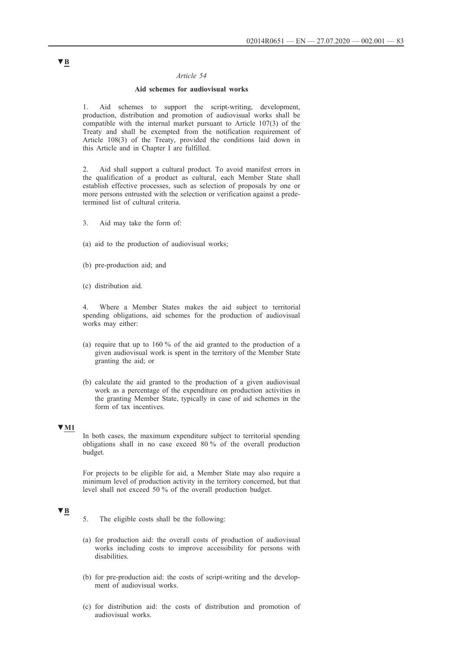## *Article 54*

## **Aid schemes for audiovisual works**

1. Aid schemes to support the script-writing, development, production, distribution and promotion of audiovisual works shall be compatible with the internal market pursuant to Article 107(3) of the Treaty and shall be exempted from the notification requirement of Article 108(3) of the Treaty, provided the conditions laid down in this Article and in Chapter I are fulfilled.

2. Aid shall support a cultural product. To avoid manifest errors in the qualification of a product as cultural, each Member State shall establish effective processes, such as selection of proposals by one or more persons entrusted with the selection or verification against a predetermined list of cultural criteria.

- 3. Aid may take the form of:
- (a) aid to the production of audiovisual works;
- (b) pre-production aid; and
- (c) distribution aid.

Where a Member States makes the aid subject to territorial spending obligations, aid schemes for the production of audiovisual works may either:

- (a) require that up to 160 % of the aid granted to the production of a given audiovisual work is spent in the territory of the Member State granting the aid; or
- (b) calculate the aid granted to the production of a given audiovisual work as a percentage of the expenditure on production activities in the granting Member State, typically in case of aid schemes in the form of tax incentives.

## **▼M1**

In both cases, the maximum expenditure subject to territorial spending obligations shall in no case exceed 80 % of the overall production budget.

For projects to be eligible for aid, a Member State may also require a minimum level of production activity in the territory concerned, but that level shall not exceed 50 % of the overall production budget.

## **▼B**

- 5. The eligible costs shall be the following:
- (a) for production aid: the overall costs of production of audiovisual works including costs to improve accessibility for persons with disabilities.
- (b) for pre-production aid: the costs of script-writing and the development of audiovisual works.
- (c) for distribution aid: the costs of distribution and promotion of audiovisual works.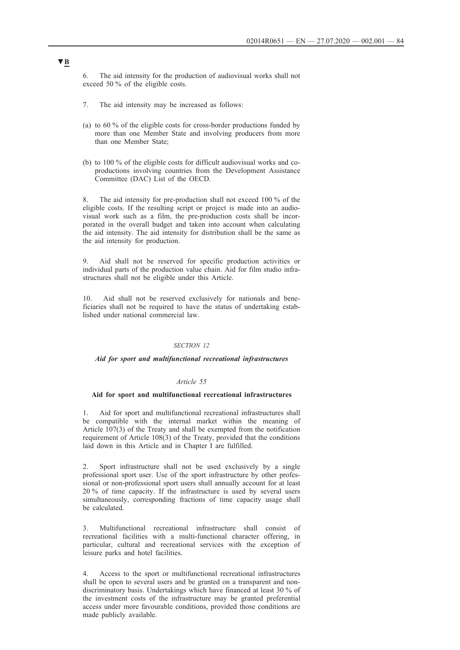6. The aid intensity for the production of audiovisual works shall not exceed 50 % of the eligible costs.

- 7. The aid intensity may be increased as follows:
- (a) to 60 % of the eligible costs for cross-border productions funded by more than one Member State and involving producers from more than one Member State;
- (b) to 100 % of the eligible costs for difficult audiovisual works and coproductions involving countries from the Development Assistance Committee (DAC) List of the OECD.

8. The aid intensity for pre-production shall not exceed 100 % of the eligible costs. If the resulting script or project is made into an audiovisual work such as a film, the pre-production costs shall be incorporated in the overall budget and taken into account when calculating the aid intensity. The aid intensity for distribution shall be the same as the aid intensity for production.

9. Aid shall not be reserved for specific production activities or individual parts of the production value chain. Aid for film studio infrastructures shall not be eligible under this Article.

10. Aid shall not be reserved exclusively for nationals and beneficiaries shall not be required to have the status of undertaking established under national commercial law.

### *SECTION 12*

### *Aid for sport and multifunctional recreational infrastructures*

#### *Article 55*

### **Aid for sport and multifunctional recreational infrastructures**

1. Aid for sport and multifunctional recreational infrastructures shall be compatible with the internal market within the meaning of Article  $107(3)$  of the Treaty and shall be exempted from the notification requirement of Article 108(3) of the Treaty, provided that the conditions laid down in this Article and in Chapter I are fulfilled.

2. Sport infrastructure shall not be used exclusively by a single professional sport user. Use of the sport infrastructure by other professional or non-professional sport users shall annually account for at least 20 % of time capacity. If the infrastructure is used by several users simultaneously, corresponding fractions of time capacity usage shall be calculated.

3. Multifunctional recreational infrastructure shall consist of recreational facilities with a multi-functional character offering, in particular, cultural and recreational services with the exception of leisure parks and hotel facilities.

4. Access to the sport or multifunctional recreational infrastructures shall be open to several users and be granted on a transparent and nondiscriminatory basis. Undertakings which have financed at least 30 % of the investment costs of the infrastructure may be granted preferential access under more favourable conditions, provided those conditions are made publicly available.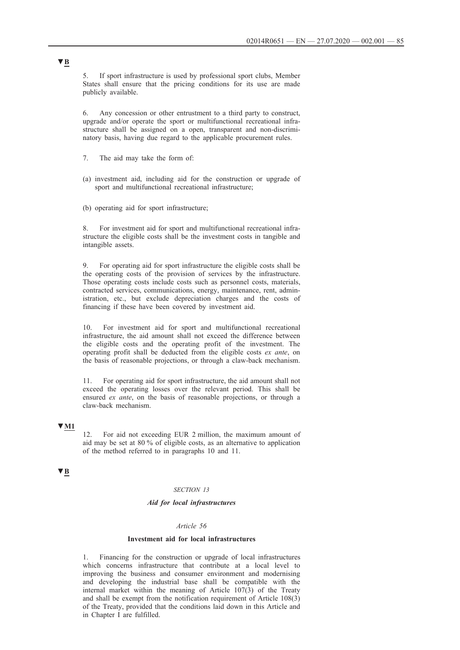If sport infrastructure is used by professional sport clubs, Member States shall ensure that the pricing conditions for its use are made publicly available.

6. Any concession or other entrustment to a third party to construct, upgrade and/or operate the sport or multifunctional recreational infrastructure shall be assigned on a open, transparent and non-discriminatory basis, having due regard to the applicable procurement rules.

- 7. The aid may take the form of:
- (a) investment aid, including aid for the construction or upgrade of sport and multifunctional recreational infrastructure;
- (b) operating aid for sport infrastructure;

8. For investment aid for sport and multifunctional recreational infrastructure the eligible costs shall be the investment costs in tangible and intangible assets.

9. For operating aid for sport infrastructure the eligible costs shall be the operating costs of the provision of services by the infrastructure. Those operating costs include costs such as personnel costs, materials, contracted services, communications, energy, maintenance, rent, administration, etc., but exclude depreciation charges and the costs of financing if these have been covered by investment aid.

10. For investment aid for sport and multifunctional recreational infrastructure, the aid amount shall not exceed the difference between the eligible costs and the operating profit of the investment. The operating profit shall be deducted from the eligible costs *ex ante*, on the basis of reasonable projections, or through a claw-back mechanism.

11. For operating aid for sport infrastructure, the aid amount shall not exceed the operating losses over the relevant period. This shall be ensured *ex ante*, on the basis of reasonable projections, or through a claw-back mechanism.

## **▼M1**

12. For aid not exceeding EUR 2 million, the maximum amount of aid may be set at 80 % of eligible costs, as an alternative to application of the method referred to in paragraphs 10 and 11.

**▼B**

## *SECTION 13*

## *Aid for local infrastructures*

#### *Article 56*

## **Investment aid for local infrastructures**

1. Financing for the construction or upgrade of local infrastructures which concerns infrastructure that contribute at a local level to improving the business and consumer environment and modernising and developing the industrial base shall be compatible with the internal market within the meaning of Article 107(3) of the Treaty and shall be exempt from the notification requirement of Article 108(3) of the Treaty, provided that the conditions laid down in this Article and in Chapter I are fulfilled.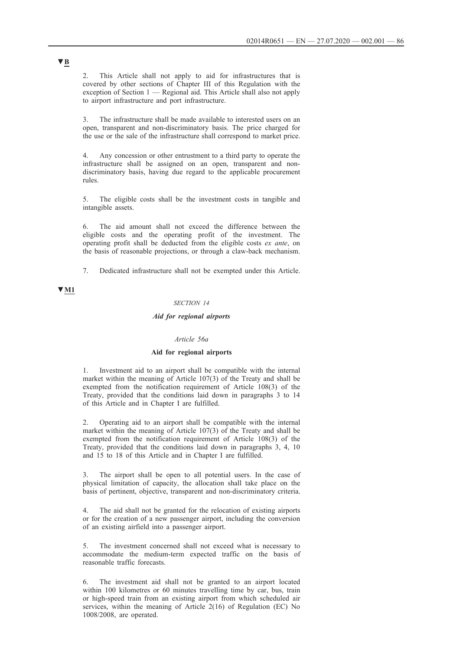2. This Article shall not apply to aid for infrastructures that is covered by other sections of Chapter III of this Regulation with the exception of Section 1 — Regional aid. This Article shall also not apply to airport infrastructure and port infrastructure.

3. The infrastructure shall be made available to interested users on an open, transparent and non-discriminatory basis. The price charged for the use or the sale of the infrastructure shall correspond to market price.

Any concession or other entrustment to a third party to operate the infrastructure shall be assigned on an open, transparent and nondiscriminatory basis, having due regard to the applicable procurement rules.

5. The eligible costs shall be the investment costs in tangible and intangible assets.

6. The aid amount shall not exceed the difference between the eligible costs and the operating profit of the investment. The operating profit shall be deducted from the eligible costs *ex ante*, on the basis of reasonable projections, or through a claw-back mechanism.

7. Dedicated infrastructure shall not be exempted under this Article.

## **▼M1**

## *SECTION 14*

### *Aid for regional airports*

#### *Article 56a*

#### **Aid for regional airports**

1. Investment aid to an airport shall be compatible with the internal market within the meaning of Article 107(3) of the Treaty and shall be exempted from the notification requirement of Article 108(3) of the Treaty, provided that the conditions laid down in paragraphs 3 to 14 of this Article and in Chapter I are fulfilled.

2. Operating aid to an airport shall be compatible with the internal market within the meaning of Article 107(3) of the Treaty and shall be exempted from the notification requirement of Article 108(3) of the Treaty, provided that the conditions laid down in paragraphs 3, 4, 10 and 15 to 18 of this Article and in Chapter I are fulfilled.

3. The airport shall be open to all potential users. In the case of physical limitation of capacity, the allocation shall take place on the basis of pertinent, objective, transparent and non-discriminatory criteria.

4. The aid shall not be granted for the relocation of existing airports or for the creation of a new passenger airport, including the conversion of an existing airfield into a passenger airport.

5. The investment concerned shall not exceed what is necessary to accommodate the medium-term expected traffic on the basis of reasonable traffic forecasts.

6. The investment aid shall not be granted to an airport located within 100 kilometres or 60 minutes travelling time by car, bus, train or high-speed train from an existing airport from which scheduled air services, within the meaning of Article 2(16) of Regulation (EC) No 1008/2008, are operated.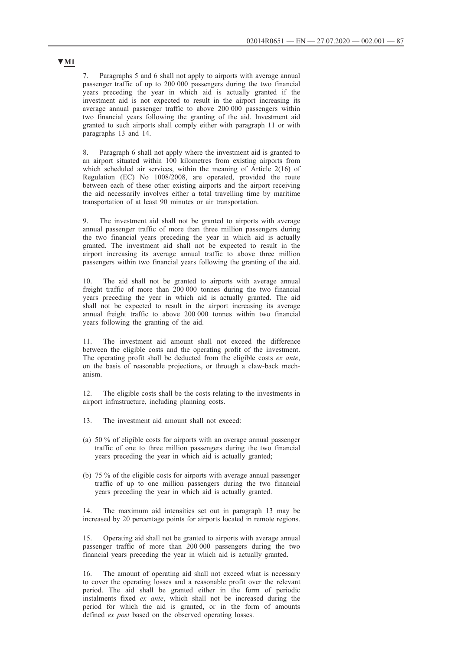7. Paragraphs 5 and 6 shall not apply to airports with average annual passenger traffic of up to 200 000 passengers during the two financial years preceding the year in which aid is actually granted if the investment aid is not expected to result in the airport increasing its average annual passenger traffic to above 200 000 passengers within two financial years following the granting of the aid. Investment aid granted to such airports shall comply either with paragraph 11 or with paragraphs 13 and 14.

8. Paragraph 6 shall not apply where the investment aid is granted to an airport situated within 100 kilometres from existing airports from which scheduled air services, within the meaning of Article 2(16) of Regulation (EC) No 1008/2008, are operated, provided the route between each of these other existing airports and the airport receiving the aid necessarily involves either a total travelling time by maritime transportation of at least 90 minutes or air transportation.

9. The investment aid shall not be granted to airports with average annual passenger traffic of more than three million passengers during the two financial years preceding the year in which aid is actually granted. The investment aid shall not be expected to result in the airport increasing its average annual traffic to above three million passengers within two financial years following the granting of the aid.

10. The aid shall not be granted to airports with average annual freight traffic of more than 200 000 tonnes during the two financial years preceding the year in which aid is actually granted. The aid shall not be expected to result in the airport increasing its average annual freight traffic to above 200 000 tonnes within two financial years following the granting of the aid.

11. The investment aid amount shall not exceed the difference between the eligible costs and the operating profit of the investment. The operating profit shall be deducted from the eligible costs *ex ante*, on the basis of reasonable projections, or through a claw-back mechanism.

12. The eligible costs shall be the costs relating to the investments in airport infrastructure, including planning costs.

- 13. The investment aid amount shall not exceed:
- (a) 50 % of eligible costs for airports with an average annual passenger traffic of one to three million passengers during the two financial years preceding the year in which aid is actually granted;
- (b) 75 % of the eligible costs for airports with average annual passenger traffic of up to one million passengers during the two financial years preceding the year in which aid is actually granted.

14. The maximum aid intensities set out in paragraph 13 may be increased by 20 percentage points for airports located in remote regions.

15. Operating aid shall not be granted to airports with average annual passenger traffic of more than 200 000 passengers during the two financial years preceding the year in which aid is actually granted.

16. The amount of operating aid shall not exceed what is necessary to cover the operating losses and a reasonable profit over the relevant period. The aid shall be granted either in the form of periodic instalments fixed *ex ante*, which shall not be increased during the period for which the aid is granted, or in the form of amounts defined *ex post* based on the observed operating losses.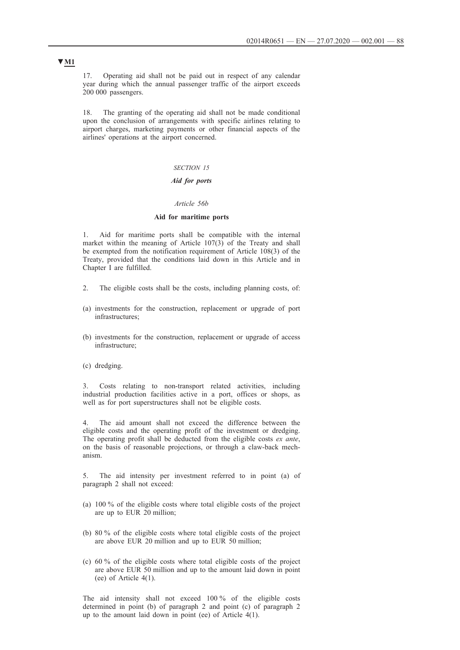17. Operating aid shall not be paid out in respect of any calendar year during which the annual passenger traffic of the airport exceeds 200 000 passengers.

18. The granting of the operating aid shall not be made conditional upon the conclusion of arrangements with specific airlines relating to airport charges, marketing payments or other financial aspects of the airlines' operations at the airport concerned.

### *SECTION 15*

## *Aid for ports*

#### *Article 56b*

### **Aid for maritime ports**

1. Aid for maritime ports shall be compatible with the internal market within the meaning of Article 107(3) of the Treaty and shall be exempted from the notification requirement of Article 108(3) of the Treaty, provided that the conditions laid down in this Article and in Chapter I are fulfilled.

- 2. The eligible costs shall be the costs, including planning costs, of:
- (a) investments for the construction, replacement or upgrade of port infrastructures;
- (b) investments for the construction, replacement or upgrade of access infrastructure;
- (c) dredging.

3. Costs relating to non-transport related activities, including industrial production facilities active in a port, offices or shops, as well as for port superstructures shall not be eligible costs.

4. The aid amount shall not exceed the difference between the eligible costs and the operating profit of the investment or dredging. The operating profit shall be deducted from the eligible costs *ex ante*, on the basis of reasonable projections, or through a claw-back mechanism.

5. The aid intensity per investment referred to in point (a) of paragraph 2 shall not exceed:

- (a) 100 % of the eligible costs where total eligible costs of the project are up to EUR 20 million;
- (b) 80 % of the eligible costs where total eligible costs of the project are above EUR 20 million and up to EUR 50 million;
- (c) 60 % of the eligible costs where total eligible costs of the project are above EUR 50 million and up to the amount laid down in point (ee) of Article 4(1).

The aid intensity shall not exceed 100 % of the eligible costs determined in point (b) of paragraph 2 and point (c) of paragraph 2 up to the amount laid down in point (ee) of Article 4(1).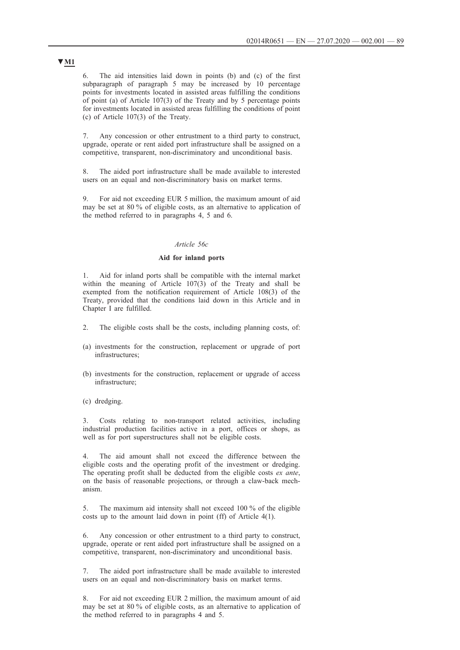6. The aid intensities laid down in points (b) and (c) of the first subparagraph of paragraph 5 may be increased by 10 percentage points for investments located in assisted areas fulfilling the conditions of point (a) of Article  $107(3)$  of the Treaty and by 5 percentage points for investments located in assisted areas fulfilling the conditions of point (c) of Article 107(3) of the Treaty.

7. Any concession or other entrustment to a third party to construct, upgrade, operate or rent aided port infrastructure shall be assigned on a competitive, transparent, non-discriminatory and unconditional basis.

8. The aided port infrastructure shall be made available to interested users on an equal and non-discriminatory basis on market terms.

9. For aid not exceeding EUR 5 million, the maximum amount of aid may be set at 80 % of eligible costs, as an alternative to application of the method referred to in paragraphs 4, 5 and 6.

### *Article 56c*

## **Aid for inland ports**

1. Aid for inland ports shall be compatible with the internal market within the meaning of Article  $107(3)$  of the Treaty and shall be exempted from the notification requirement of Article 108(3) of the Treaty, provided that the conditions laid down in this Article and in Chapter I are fulfilled.

- 2. The eligible costs shall be the costs, including planning costs, of:
- (a) investments for the construction, replacement or upgrade of port infrastructures;
- (b) investments for the construction, replacement or upgrade of access infrastructure;
- (c) dredging.

3. Costs relating to non-transport related activities, including industrial production facilities active in a port, offices or shops, as well as for port superstructures shall not be eligible costs.

4. The aid amount shall not exceed the difference between the eligible costs and the operating profit of the investment or dredging. The operating profit shall be deducted from the eligible costs *ex ante*, on the basis of reasonable projections, or through a claw-back mechanism.

5. The maximum aid intensity shall not exceed 100 % of the eligible costs up to the amount laid down in point (ff) of Article 4(1).

6. Any concession or other entrustment to a third party to construct, upgrade, operate or rent aided port infrastructure shall be assigned on a competitive, transparent, non-discriminatory and unconditional basis.

7. The aided port infrastructure shall be made available to interested users on an equal and non-discriminatory basis on market terms.

8. For aid not exceeding EUR 2 million, the maximum amount of aid may be set at 80 % of eligible costs, as an alternative to application of the method referred to in paragraphs 4 and 5.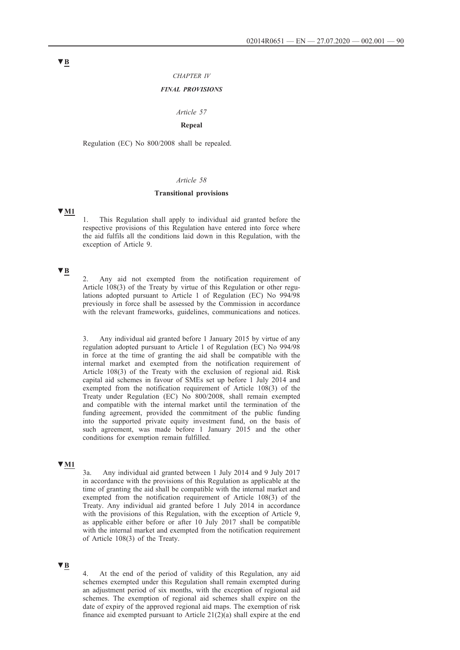### *CHAPTER IV*

### *FINAL PROVISIONS*

### *Article 57*

## **Repeal**

Regulation (EC) No 800/2008 shall be repealed.

### *Article 58*

#### **Transitional provisions**

## **▼M1**

1. This Regulation shall apply to individual aid granted before the respective provisions of this Regulation have entered into force where the aid fulfils all the conditions laid down in this Regulation, with the exception of Article 9.

## **▼B**

2. Any aid not exempted from the notification requirement of Article 108(3) of the Treaty by virtue of this Regulation or other regulations adopted pursuant to Article 1 of Regulation (EC) No 994/98 previously in force shall be assessed by the Commission in accordance with the relevant frameworks, guidelines, communications and notices.

3. Any individual aid granted before 1 January 2015 by virtue of any regulation adopted pursuant to Article 1 of Regulation (EC) No 994/98 in force at the time of granting the aid shall be compatible with the internal market and exempted from the notification requirement of Article 108(3) of the Treaty with the exclusion of regional aid. Risk capital aid schemes in favour of SMEs set up before 1 July 2014 and exempted from the notification requirement of Article 108(3) of the Treaty under Regulation (EC) No 800/2008, shall remain exempted and compatible with the internal market until the termination of the funding agreement, provided the commitment of the public funding into the supported private equity investment fund, on the basis of such agreement, was made before 1 January 2015 and the other conditions for exemption remain fulfilled.

## **▼M1**

3a. Any individual aid granted between 1 July 2014 and 9 July 2017 in accordance with the provisions of this Regulation as applicable at the time of granting the aid shall be compatible with the internal market and exempted from the notification requirement of Article 108(3) of the Treaty. Any individual aid granted before 1 July 2014 in accordance with the provisions of this Regulation, with the exception of Article 9, as applicable either before or after 10 July 2017 shall be compatible with the internal market and exempted from the notification requirement of Article 108(3) of the Treaty.

## **▼B**

4. At the end of the period of validity of this Regulation, any aid schemes exempted under this Regulation shall remain exempted during an adjustment period of six months, with the exception of regional aid schemes. The exemption of regional aid schemes shall expire on the date of expiry of the approved regional aid maps. The exemption of risk finance aid exempted pursuant to Article  $21(2)(a)$  shall expire at the end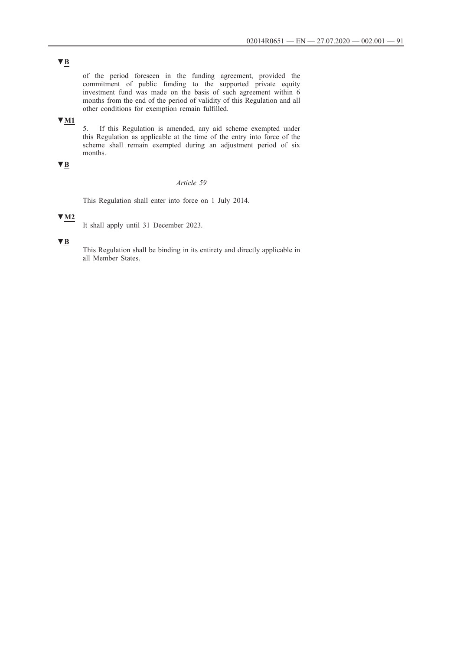of the period foreseen in the funding agreement, provided the commitment of public funding to the supported private equity investment fund was made on the basis of such agreement within 6 months from the end of the period of validity of this Regulation and all other conditions for exemption remain fulfilled.

## **▼M1**

5. If this Regulation is amended, any aid scheme exempted under this Regulation as applicable at the time of the entry into force of the scheme shall remain exempted during an adjustment period of six months.

## **▼B**

## *Article 59*

This Regulation shall enter into force on 1 July 2014.

## **▼M2**

It shall apply until 31 December 2023.

**▼B**

This Regulation shall be binding in its entirety and directly applicable in all Member States.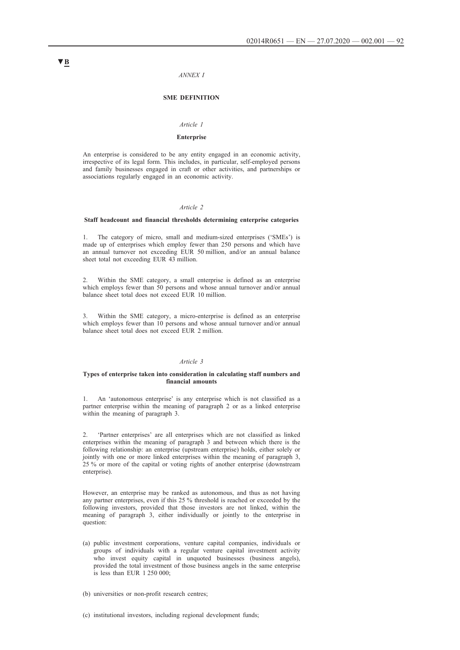#### *ANNEX I*

### **SME DEFINITION**

## *Article 1*

### **Enterprise**

An enterprise is considered to be any entity engaged in an economic activity, irrespective of its legal form. This includes, in particular, self-employed persons and family businesses engaged in craft or other activities, and partnerships or associations regularly engaged in an economic activity.

#### *Article 2*

## **Staff headcount and financial thresholds determining enterprise categories**

1. The category of micro, small and medium-sized enterprises ('SMEs') is made up of enterprises which employ fewer than 250 persons and which have an annual turnover not exceeding EUR 50 million, and/or an annual balance sheet total not exceeding EUR 43 million.

2. Within the SME category, a small enterprise is defined as an enterprise which employs fewer than 50 persons and whose annual turnover and/or annual balance sheet total does not exceed EUR 10 million.

3. Within the SME category, a micro-enterprise is defined as an enterprise which employs fewer than 10 persons and whose annual turnover and/or annual balance sheet total does not exceed EUR 2 million.

#### *Article 3*

#### **Types of enterprise taken into consideration in calculating staff numbers and financial amounts**

1. An 'autonomous enterprise' is any enterprise which is not classified as a partner enterprise within the meaning of paragraph 2 or as a linked enterprise within the meaning of paragraph 3.

2. 'Partner enterprises' are all enterprises which are not classified as linked enterprises within the meaning of paragraph 3 and between which there is the following relationship: an enterprise (upstream enterprise) holds, either solely or jointly with one or more linked enterprises within the meaning of paragraph 3, 25 % or more of the capital or voting rights of another enterprise (downstream enterprise).

However, an enterprise may be ranked as autonomous, and thus as not having any partner enterprises, even if this 25 % threshold is reached or exceeded by the following investors, provided that those investors are not linked, within the meaning of paragraph 3, either individually or jointly to the enterprise in question:

- (a) public investment corporations, venture capital companies, individuals or groups of individuals with a regular venture capital investment activity who invest equity capital in unquoted businesses (business angels), provided the total investment of those business angels in the same enterprise is less than EUR 1 250 000;
- (b) universities or non-profit research centres;
- (c) institutional investors, including regional development funds;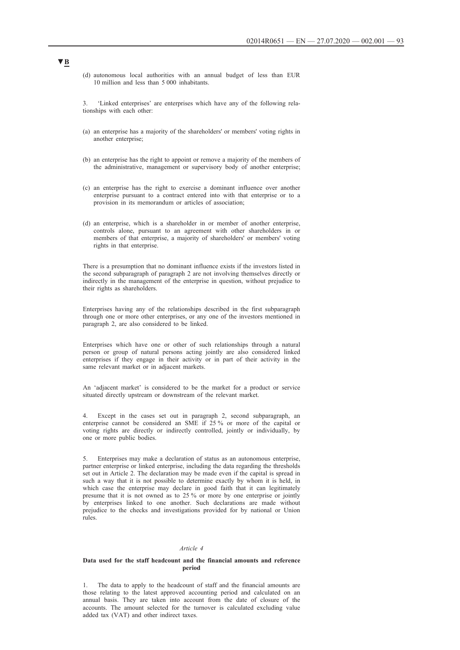(d) autonomous local authorities with an annual budget of less than EUR 10 million and less than 5 000 inhabitants.

3. 'Linked enterprises' are enterprises which have any of the following relationships with each other:

- (a) an enterprise has a majority of the shareholders' or members' voting rights in another enterprise;
- (b) an enterprise has the right to appoint or remove a majority of the members of the administrative, management or supervisory body of another enterprise;
- (c) an enterprise has the right to exercise a dominant influence over another enterprise pursuant to a contract entered into with that enterprise or to a provision in its memorandum or articles of association;
- (d) an enterprise, which is a shareholder in or member of another enterprise, controls alone, pursuant to an agreement with other shareholders in or members of that enterprise, a majority of shareholders' or members' voting rights in that enterprise.

There is a presumption that no dominant influence exists if the investors listed in the second subparagraph of paragraph 2 are not involving themselves directly or indirectly in the management of the enterprise in question, without prejudice to their rights as shareholders.

Enterprises having any of the relationships described in the first subparagraph through one or more other enterprises, or any one of the investors mentioned in paragraph 2, are also considered to be linked.

Enterprises which have one or other of such relationships through a natural person or group of natural persons acting jointly are also considered linked enterprises if they engage in their activity or in part of their activity in the same relevant market or in adjacent markets.

An 'adjacent market' is considered to be the market for a product or service situated directly upstream or downstream of the relevant market.

Except in the cases set out in paragraph 2, second subparagraph, an enterprise cannot be considered an SME if 25 % or more of the capital or voting rights are directly or indirectly controlled, jointly or individually, by one or more public bodies.

5. Enterprises may make a declaration of status as an autonomous enterprise, partner enterprise or linked enterprise, including the data regarding the thresholds set out in Article 2. The declaration may be made even if the capital is spread in such a way that it is not possible to determine exactly by whom it is held, in which case the enterprise may declare in good faith that it can legitimately presume that it is not owned as to 25 % or more by one enterprise or jointly by enterprises linked to one another. Such declarations are made without prejudice to the checks and investigations provided for by national or Union rules.

#### *Article 4*

#### **Data used for the staff headcount and the financial amounts and reference period**

1. The data to apply to the headcount of staff and the financial amounts are those relating to the latest approved accounting period and calculated on an annual basis. They are taken into account from the date of closure of the accounts. The amount selected for the turnover is calculated excluding value added tax (VAT) and other indirect taxes.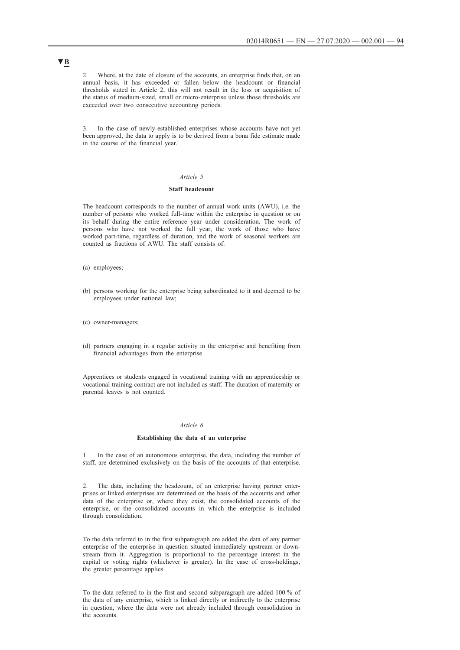2. Where, at the date of closure of the accounts, an enterprise finds that, on an annual basis, it has exceeded or fallen below the headcount or financial thresholds stated in Article 2, this will not result in the loss or acquisition of the status of medium-sized, small or micro-enterprise unless those thresholds are exceeded over two consecutive accounting periods.

3. In the case of newly-established enterprises whose accounts have not yet been approved, the data to apply is to be derived from a bona fide estimate made in the course of the financial year.

### *Article 5*

### **Staff headcount**

The headcount corresponds to the number of annual work units (AWU), i.e. the number of persons who worked full-time within the enterprise in question or on its behalf during the entire reference year under consideration. The work of persons who have not worked the full year, the work of those who have worked part-time, regardless of duration, and the work of seasonal workers are counted as fractions of AWU. The staff consists of:

- (a) employees;
- (b) persons working for the enterprise being subordinated to it and deemed to be employees under national law;
- (c) owner-managers;
- (d) partners engaging in a regular activity in the enterprise and benefiting from financial advantages from the enterprise.

Apprentices or students engaged in vocational training with an apprenticeship or vocational training contract are not included as staff. The duration of maternity or parental leaves is not counted.

#### *Article 6*

#### **Establishing the data of an enterprise**

1. In the case of an autonomous enterprise, the data, including the number of staff, are determined exclusively on the basis of the accounts of that enterprise.

2. The data, including the headcount, of an enterprise having partner enterprises or linked enterprises are determined on the basis of the accounts and other data of the enterprise or, where they exist, the consolidated accounts of the enterprise, or the consolidated accounts in which the enterprise is included through consolidation.

To the data referred to in the first subparagraph are added the data of any partner enterprise of the enterprise in question situated immediately upstream or downstream from it. Aggregation is proportional to the percentage interest in the capital or voting rights (whichever is greater). In the case of cross-holdings, the greater percentage applies.

To the data referred to in the first and second subparagraph are added 100 % of the data of any enterprise, which is linked directly or indirectly to the enterprise in question, where the data were not already included through consolidation in the accounts.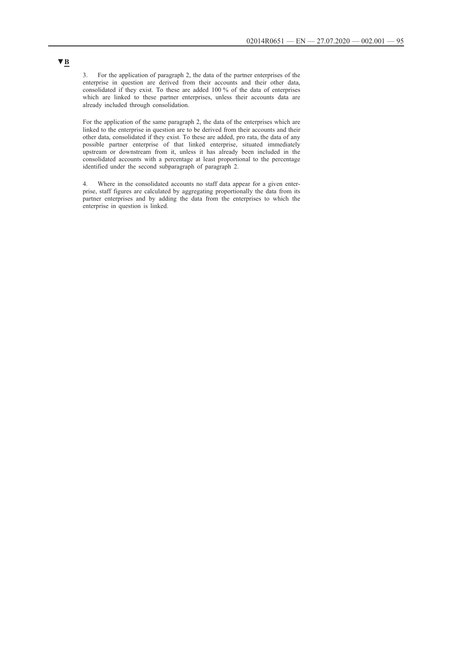3. For the application of paragraph 2, the data of the partner enterprises of the enterprise in question are derived from their accounts and their other data, consolidated if they exist. To these are added 100 % of the data of enterprises which are linked to these partner enterprises, unless their accounts data are already included through consolidation.

For the application of the same paragraph 2, the data of the enterprises which are linked to the enterprise in question are to be derived from their accounts and their other data, consolidated if they exist. To these are added, pro rata, the data of any possible partner enterprise of that linked enterprise, situated immediately upstream or downstream from it, unless it has already been included in the consolidated accounts with a percentage at least proportional to the percentage identified under the second subparagraph of paragraph 2.

4. Where in the consolidated accounts no staff data appear for a given enterprise, staff figures are calculated by aggregating proportionally the data from its partner enterprises and by adding the data from the enterprises to which the enterprise in question is linked.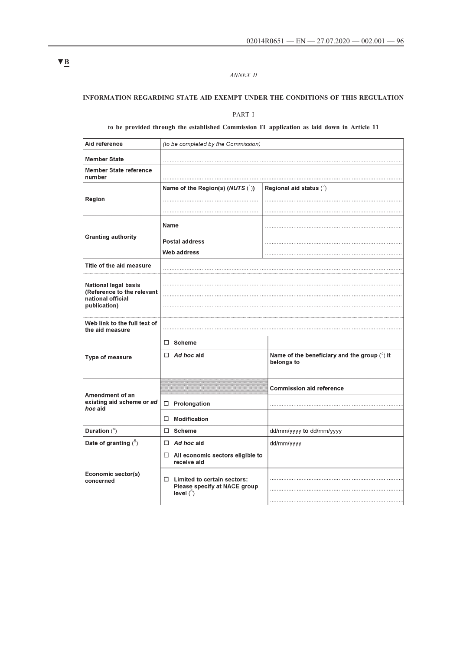## *ANNEX II*

## **INFORMATION REGARDING STATE AID EXEMPT UNDER THE CONDITIONS OF THIS REGULATION**

PART I

## **to be provided through the established Commission IT application as laid down in Article 11**

| Aid reference                                                           | (to be completed by the Commission)                                                |                                                              |  |
|-------------------------------------------------------------------------|------------------------------------------------------------------------------------|--------------------------------------------------------------|--|
| <b>Member State</b>                                                     |                                                                                    |                                                              |  |
| <b>Member State reference</b><br>number                                 |                                                                                    |                                                              |  |
| Region                                                                  | Name of the Region(s) (NUTS $(1)$ )                                                | Regional aid status $\binom{2}{1}$                           |  |
|                                                                         |                                                                                    |                                                              |  |
|                                                                         | Name                                                                               |                                                              |  |
| <b>Granting authority</b>                                               | <b>Postal address</b>                                                              |                                                              |  |
|                                                                         | Web address                                                                        |                                                              |  |
| Title of the aid measure                                                |                                                                                    |                                                              |  |
| National legal basis<br>(Reference to the relevant<br>national official |                                                                                    |                                                              |  |
| publication)                                                            |                                                                                    |                                                              |  |
| Web link to the full text of<br>the aid measure                         |                                                                                    |                                                              |  |
|                                                                         | $\square$ Scheme                                                                   |                                                              |  |
| Type of measure                                                         | $\Box$ Ad hoc aid                                                                  | Name of the beneficiary and the group $(3)$ it<br>belongs to |  |
|                                                                         |                                                                                    |                                                              |  |
| Amendment of an                                                         |                                                                                    | <b>Commission aid reference</b>                              |  |
| existing aid scheme or ad<br>hoc aid                                    | $\square$ Prolongation                                                             |                                                              |  |
|                                                                         | $\Box$ Modification                                                                |                                                              |  |
| Duration $(^4)$                                                         | $\Box$ Scheme                                                                      | dd/mm/yyyy to dd/mm/yyyy                                     |  |
| Date of granting $(^{5})$                                               | $\Box$ Ad hoc aid                                                                  | dd/mm/yyyy                                                   |  |
|                                                                         | $\Box$ All economic sectors eligible to<br>receive aid                             |                                                              |  |
| Economic sector(s)<br>concerned                                         | $\Box$ Limited to certain sectors:<br>Please specify at NACE group<br>level $(^6)$ |                                                              |  |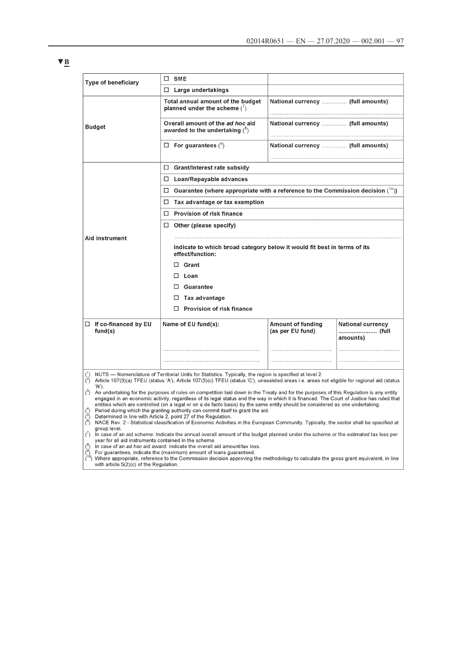# **▼B**

| <b>Type of beneficiary</b>                                                                                                                                                                                                                                                                                | $\square$ SME                                                                                                                                                                                                                                                         |                                              |                                               |  |  |
|-----------------------------------------------------------------------------------------------------------------------------------------------------------------------------------------------------------------------------------------------------------------------------------------------------------|-----------------------------------------------------------------------------------------------------------------------------------------------------------------------------------------------------------------------------------------------------------------------|----------------------------------------------|-----------------------------------------------|--|--|
|                                                                                                                                                                                                                                                                                                           | $\Box$ Large undertakings                                                                                                                                                                                                                                             |                                              |                                               |  |  |
|                                                                                                                                                                                                                                                                                                           | Total annual amount of the budget<br>planned under the scheme $(')$                                                                                                                                                                                                   | National currency  (full amounts)            |                                               |  |  |
| <b>Budget</b>                                                                                                                                                                                                                                                                                             | Overall amount of the ad hoc aid<br>awarded to the undertaking $(^{8})$                                                                                                                                                                                               | National currency  (full amounts)            |                                               |  |  |
|                                                                                                                                                                                                                                                                                                           | $\Box$ For guarantees ( $\degree$ )                                                                                                                                                                                                                                   | National currency  (full amounts)            |                                               |  |  |
|                                                                                                                                                                                                                                                                                                           | $\Box$ Grant/Interest rate subsidy                                                                                                                                                                                                                                    |                                              |                                               |  |  |
|                                                                                                                                                                                                                                                                                                           | $\Box$<br>Loan/Repayable advances                                                                                                                                                                                                                                     |                                              |                                               |  |  |
|                                                                                                                                                                                                                                                                                                           | Guarantee (where appropriate with a reference to the Commission decision $(10)$ )<br>$\Box$                                                                                                                                                                           |                                              |                                               |  |  |
|                                                                                                                                                                                                                                                                                                           | Tax advantage or tax exemption<br>$\Box$                                                                                                                                                                                                                              |                                              |                                               |  |  |
|                                                                                                                                                                                                                                                                                                           | $\Box$ Provision of risk finance                                                                                                                                                                                                                                      |                                              |                                               |  |  |
|                                                                                                                                                                                                                                                                                                           | $\Box$ Other (please specify)                                                                                                                                                                                                                                         |                                              |                                               |  |  |
| Aid instrument                                                                                                                                                                                                                                                                                            |                                                                                                                                                                                                                                                                       |                                              |                                               |  |  |
|                                                                                                                                                                                                                                                                                                           | Indicate to which broad category below it would fit best in terms of its<br>effect/function:                                                                                                                                                                          |                                              |                                               |  |  |
|                                                                                                                                                                                                                                                                                                           | $\Box$ Grant                                                                                                                                                                                                                                                          |                                              |                                               |  |  |
|                                                                                                                                                                                                                                                                                                           | $\Box$ Loan                                                                                                                                                                                                                                                           |                                              |                                               |  |  |
|                                                                                                                                                                                                                                                                                                           | $\Box$ Guarantee                                                                                                                                                                                                                                                      |                                              |                                               |  |  |
|                                                                                                                                                                                                                                                                                                           | $\Box$ Tax advantage                                                                                                                                                                                                                                                  |                                              |                                               |  |  |
|                                                                                                                                                                                                                                                                                                           | $\Box$ Provision of risk finance                                                                                                                                                                                                                                      |                                              |                                               |  |  |
| $\Box$ If co-financed by EU<br>fund(s)                                                                                                                                                                                                                                                                    | Name of EU fund(s):                                                                                                                                                                                                                                                   | <b>Amount of funding</b><br>(as per EU fund) | <b>National currency</b><br>(full<br>amounts) |  |  |
|                                                                                                                                                                                                                                                                                                           |                                                                                                                                                                                                                                                                       |                                              |                                               |  |  |
|                                                                                                                                                                                                                                                                                                           |                                                                                                                                                                                                                                                                       |                                              |                                               |  |  |
| ( <sup>1</sup> ) NUTS — Nomenclature of Territorial Units for Statistics. Typically, the region is specified at level 2.<br>( <sup>2</sup> ) Article 107(3)(a) TFEU (status 'A'), Article 107(3)(c) TFEU (status 'C'), unassisted areas i.e. areas not                                                    |                                                                                                                                                                                                                                                                       |                                              |                                               |  |  |
| 'N').<br>$\binom{3}{2}$ An undertaking for the purposes of rules on competition laid down in the Treaty and for the purposes of this Regulation is any entity<br>engaged in an economic activity, regardless of its legal status and the way in which it is financed. The Court of Justice has ruled that |                                                                                                                                                                                                                                                                       |                                              |                                               |  |  |
|                                                                                                                                                                                                                                                                                                           | entities which are controlled (on a legal or on a de facto basis) by the same entity should be considered as one undertaking.                                                                                                                                         |                                              |                                               |  |  |
|                                                                                                                                                                                                                                                                                                           | ( <sup>4</sup> ) Period during which the granting authority can commit itself to grant the aid.<br>( <sup>5</sup> ) Determined in line with Article 2, point 27 of the Regulation.<br>( <sup>5</sup> ) NACE Rev. 2 - Statistical classification of Economic Activitie |                                              |                                               |  |  |
| group level.                                                                                                                                                                                                                                                                                              | $\binom{7}{1}$ In case of an aid scheme: Indicate the annual overall amount of the budget planned under the scheme or the estimated tax loss per                                                                                                                      |                                              |                                               |  |  |
| year for all aid instruments contained in the scheme.<br>In case of an ad hoc aid award: Indicate the overall aid amount/tax loss.                                                                                                                                                                        |                                                                                                                                                                                                                                                                       |                                              |                                               |  |  |
| For guarantees, indicate the (maximum) amount of loans guaranteed.<br>$\binom{16}{10}$ . Where appropriate, reference to the Commission decision approving the methodology to calculate the gross grant equivalent, in line<br>$\sim$ $E(2)$ $(2)$ $\sim$ $E(1)$ $\sim$ $E(2)$ $\sim$ $E(3)$ $\sim$       |                                                                                                                                                                                                                                                                       |                                              |                                               |  |  |

write appropriate, referred to the<br>with article 5(2)(c) of the Regulation.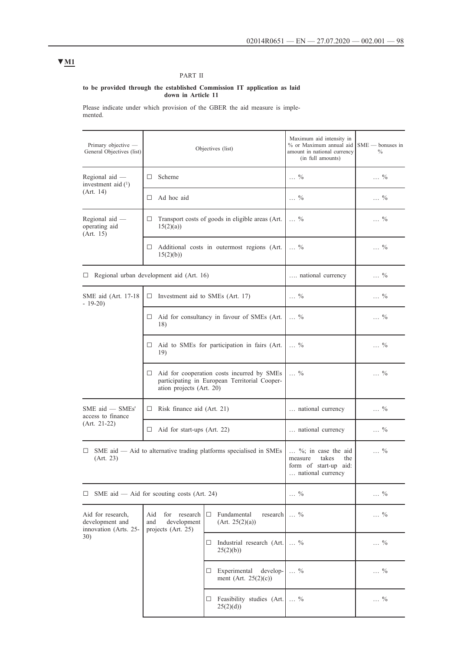# **▼M1**

## PART II

#### **to be provided through the established Commission IT application as laid down in Article 11**

Please indicate under which provision of the GBER the aid measure is implemented.

| Primary objective -<br>General Objectives (list)              | Objectives (list)                                                                                                              | Maximum aid intensity in<br>% or Maximum annual aid<br>amount in national currency<br>(in full amounts) | SME - bonuses in<br>$\%$ |
|---------------------------------------------------------------|--------------------------------------------------------------------------------------------------------------------------------|---------------------------------------------------------------------------------------------------------|--------------------------|
| Regional aid $-$<br>investment aid $(^1)$<br>(Art. 14)        | Scheme<br>П                                                                                                                    | $\ldots \frac{0}{0}$                                                                                    | $\ldots \frac{0}{0}$     |
|                                                               | Ad hoc aid<br>□                                                                                                                | $\ldots \frac{0}{0}$                                                                                    | $\ldots \frac{0}{0}$     |
| Regional aid $-$<br>operating aid<br>(Art. 15)                | Transport costs of goods in eligible areas (Art.<br>$\Box$<br>15(2)(a)                                                         | $\ldots \frac{0}{0}$                                                                                    | $\ldots \frac{0}{0}$     |
|                                                               | $\Box$ Additional costs in outermost regions (Art.<br>15(2)(b)                                                                 | $\ldots \frac{0}{0}$                                                                                    | $\ldots \frac{0}{0}$     |
| Ш                                                             | Regional urban development aid (Art. 16)                                                                                       | national currency                                                                                       | $\ldots \frac{0}{0}$     |
| SME aid (Art. 17-18)<br>$-19-20$                              | $\Box$ Investment aid to SMEs (Art. 17)                                                                                        | $\ldots \frac{0}{0}$                                                                                    | $\ldots \frac{0}{0}$     |
|                                                               | $\Box$ Aid for consultancy in favour of SMEs (Art.<br>18)                                                                      | $\ldots \frac{0}{0}$                                                                                    | $\ldots \frac{0}{0}$     |
|                                                               | $\Box$ Aid to SMEs for participation in fairs (Art.<br>19)                                                                     | $\ldots \frac{0}{0}$                                                                                    | $\ldots \frac{0}{0}$     |
|                                                               | $\Box$ Aid for cooperation costs incurred by SMEs<br>participating in European Territorial Cooper-<br>ation projects (Art. 20) | $\ldots \frac{0}{0}$                                                                                    | $\ldots$ %               |
| SME aid - SMEs'<br>access to finance<br>$(Art. 21-22)$        | Risk finance aid (Art. 21)<br>ப                                                                                                | national currency                                                                                       | $\ldots \frac{0}{0}$     |
|                                                               | Aid for start-ups (Art. 22)<br>ப                                                                                               | national currency                                                                                       | $\ldots \frac{0}{0}$     |
| □<br>(Art. 23)                                                | SME aid - Aid to alternative trading platforms specialised in SMEs                                                             | $\ldots$ %; in case the aid<br>takes<br>the<br>measure<br>form of start-up aid:<br>national currency    | $\ldots \frac{0}{0}$     |
|                                                               | $\Box$ SME aid — Aid for scouting costs (Art. 24)                                                                              | $\ldots$ %                                                                                              | $\ldots$ %               |
| Aid for research.<br>development and<br>innovation (Arts. 25- | Aid<br>Fundamental<br>for<br>research<br>$\Box$<br>research<br>development<br>(Art. 25(2)(a))<br>and<br>projects (Art. 25)     | $\ldots$ %                                                                                              | $\ldots$ %               |
| 30)                                                           | Industrial research (Art.<br>$\Box$<br>25(2)(b)                                                                                | $\ldots$ %                                                                                              | $\ldots$ %               |
|                                                               | Experimental<br>develop-<br>⊔<br>ment (Art. $25(2)(c)$ )                                                                       | $\ldots$ %                                                                                              | $\ldots$ %               |
|                                                               | Feasibility studies (Art.<br>ш<br>25(2)(d))                                                                                    | $\ldots$ %                                                                                              | $\ldots$ %               |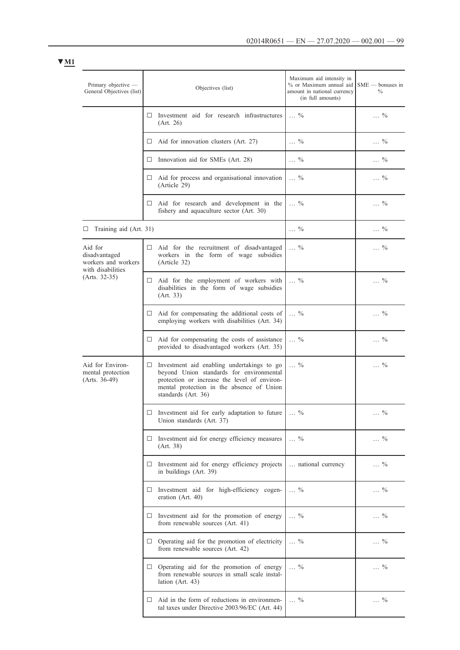| Primary objective -<br>General Objectives (list)                                        |        | Objectives (list)                                                                                                                                                                                          | Maximum aid intensity in<br>% or Maximum annual aid<br>amount in national currency<br>(in full amounts) | SME - bonuses in<br>$\frac{0}{0}$ |
|-----------------------------------------------------------------------------------------|--------|------------------------------------------------------------------------------------------------------------------------------------------------------------------------------------------------------------|---------------------------------------------------------------------------------------------------------|-----------------------------------|
|                                                                                         |        | $\Box$ Investment aid for research infrastructures<br>(Art. 26)                                                                                                                                            | $\ldots \frac{0}{0}$                                                                                    | $\ldots$ %                        |
|                                                                                         |        | $\Box$ Aid for innovation clusters (Art. 27)                                                                                                                                                               | $\ldots \frac{0}{0}$                                                                                    | $\ldots \frac{0}{0}$              |
|                                                                                         |        | $\Box$ Innovation aid for SMEs (Art. 28)                                                                                                                                                                   | $\ldots \frac{0}{0}$                                                                                    | $\ldots \frac{0}{0}$              |
|                                                                                         |        | $\Box$ Aid for process and organisational innovation<br>(Article 29)                                                                                                                                       | $\ldots \frac{0}{0}$                                                                                    | $\ldots \frac{0}{0}$              |
|                                                                                         |        | $\Box$ Aid for research and development in the<br>fishery and aquaculture sector (Art. 30)                                                                                                                 | $\ldots \frac{0}{0}$                                                                                    | $\ldots \frac{0}{0}$              |
| Training aid (Art. 31)<br>□                                                             |        |                                                                                                                                                                                                            | $\ldots \frac{0}{0}$                                                                                    | $\ldots$ %                        |
| Aid for<br>disadvantaged<br>workers and workers<br>with disabilities<br>$(Arts. 32-35)$ | $\Box$ | Aid for the recruitment of disadvantaged<br>workers in the form of wage subsidies<br>(Article 32)                                                                                                          | $\ldots \frac{0}{0}$                                                                                    | $\ldots$ %                        |
|                                                                                         | $\Box$ | Aid for the employment of workers with<br>disabilities in the form of wage subsidies<br>(Art. 33)                                                                                                          | $\ldots \frac{0}{0}$                                                                                    | $\ldots \frac{0}{0}$              |
|                                                                                         | ш      | Aid for compensating the additional costs of<br>employing workers with disabilities (Art. 34)                                                                                                              | $\ldots \frac{0}{0}$                                                                                    | $\ldots \frac{0}{0}$              |
|                                                                                         |        | $\Box$ Aid for compensating the costs of assistance<br>provided to disadvantaged workers (Art. 35)                                                                                                         | $\ldots \frac{0}{0}$                                                                                    | $\ldots \frac{0}{0}$              |
| Aid for Environ-<br>mental protection<br>$(Arts. 36-49)$                                | ⊔.     | Investment aid enabling undertakings to go<br>beyond Union standards for environmental<br>protection or increase the level of environ-<br>mental protection in the absence of Union<br>standards (Art. 36) | $\ldots \frac{0}{0}$                                                                                    | $\ldots \frac{0}{0}$              |
|                                                                                         |        | $\Box$ Investment aid for early adaptation to future $\Box$ %<br>Union standards (Art. 37)                                                                                                                 |                                                                                                         | $\ldots \frac{0}{0}$              |
|                                                                                         |        | $\Box$ Investment aid for energy efficiency measures<br>(Art. 38)                                                                                                                                          | $\ldots$ %                                                                                              | $\ldots \frac{0}{0}$              |
|                                                                                         |        | $\Box$ Investment aid for energy efficiency projects<br>in buildings (Art. 39)                                                                                                                             | national currency                                                                                       | $\ldots$ %                        |
|                                                                                         |        | $\Box$ Investment aid for high-efficiency cogen-<br>eration (Art. 40)                                                                                                                                      | $\ldots \frac{0}{0}$                                                                                    | $\ldots$ %                        |
|                                                                                         |        | $\Box$ Investment aid for the promotion of energy<br>from renewable sources (Art. 41)                                                                                                                      | $\ldots \frac{0}{0}$                                                                                    | $\ldots$ %                        |
|                                                                                         |        | $\Box$ Operating aid for the promotion of electricity<br>from renewable sources (Art. 42)                                                                                                                  | $\ldots \frac{0}{0}$                                                                                    | $\ldots \frac{0}{0}$              |
|                                                                                         |        | $\Box$ Operating aid for the promotion of energy<br>from renewable sources in small scale instal-<br>lation (Art. 43)                                                                                      | $\ldots$ %                                                                                              | $\ldots$ %                        |
|                                                                                         |        | $\Box$ Aid in the form of reductions in environmen-<br>tal taxes under Directive 2003/96/EC (Art. 44)                                                                                                      | $\ldots \frac{0}{0}$                                                                                    | $\ldots$ %                        |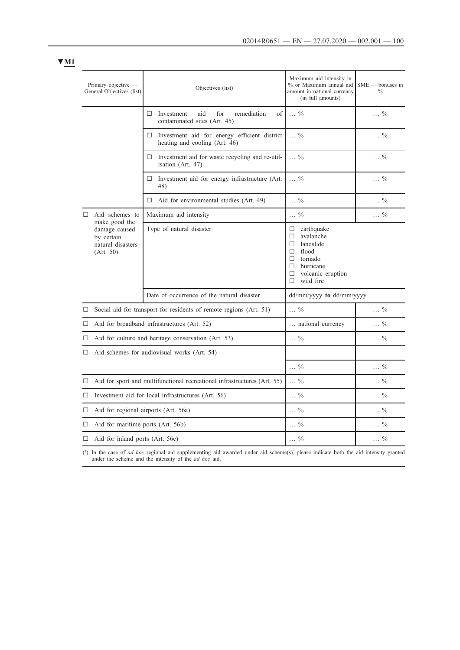| Primary objective -<br>General Objectives (list) |                                                                                                         | Objectives (list)                                                                    | Maximum aid intensity in<br>% or Maximum annual aid<br>amount in national currency<br>(in full amounts)                                                                | $SME$ — bonuses in<br>$\frac{0}{0}$ |
|--------------------------------------------------|---------------------------------------------------------------------------------------------------------|--------------------------------------------------------------------------------------|------------------------------------------------------------------------------------------------------------------------------------------------------------------------|-------------------------------------|
|                                                  |                                                                                                         | remediation<br>of<br>Investment<br>aid<br>for<br>П.<br>contaminated sites (Art. 45)  | $\ldots \frac{0}{0}$                                                                                                                                                   | $\ldots \frac{0}{0}$                |
|                                                  |                                                                                                         | $\Box$ Investment aid for energy efficient district<br>heating and cooling (Art. 46) | $\ldots \frac{0}{0}$                                                                                                                                                   | $\ldots$ %                          |
|                                                  |                                                                                                         | $\Box$ Investment aid for waste recycling and re-util-<br>isation (Art. 47)          | $\ldots \frac{0}{0}$                                                                                                                                                   | $\ldots \frac{0}{0}$                |
|                                                  |                                                                                                         | Investment aid for energy infrastructure (Art.<br>$\Box$<br>48)                      | $\ldots \frac{0}{0}$                                                                                                                                                   | $\ldots \frac{0}{0}$                |
|                                                  |                                                                                                         | Aid for environmental studies (Art. 49)<br>$\Box$                                    | $\ldots \frac{0}{0}$                                                                                                                                                   | $\ldots \frac{0}{0}$                |
|                                                  | $\Box$ Aid schemes to<br>make good the<br>damage caused<br>by certain<br>natural disasters<br>(Art. 50) | Maximum aid intensity                                                                | $\ldots \frac{0}{0}$                                                                                                                                                   | $\ldots \frac{0}{0}$                |
|                                                  |                                                                                                         | Type of natural disaster                                                             | $\Box$<br>earthquake<br>avalanche<br>П.<br>$\Box$ landslide<br>$\Box$<br>flood<br>$\Box$ tornado<br>$\Box$ hurricane<br>volcanic eruption<br>$\Box$<br>wild fire<br>П. |                                     |
|                                                  |                                                                                                         | Date of occurrence of the natural disaster                                           | dd/mm/yyyy to dd/mm/yyyy                                                                                                                                               |                                     |
|                                                  |                                                                                                         | $\Box$ Social aid for transport for residents of remote regions (Art. 51)            | $\ldots \frac{0}{0}$                                                                                                                                                   | $\ldots$ %                          |
|                                                  | $\Box$ Aid for broadband infrastructures (Art. 52)                                                      |                                                                                      | national currency                                                                                                                                                      | $\ldots \frac{0}{0}$                |
|                                                  | $\Box$ Aid for culture and heritage conservation (Art. 53)                                              |                                                                                      | $\ldots$ %                                                                                                                                                             | $\ldots$ %                          |
|                                                  | $\Box$ Aid schemes for audiovisual works (Art. 54)                                                      |                                                                                      |                                                                                                                                                                        |                                     |
|                                                  |                                                                                                         |                                                                                      | $\ldots \frac{0}{6}$                                                                                                                                                   | $\ldots \frac{0}{0}$                |
| $\Box$                                           | Aid for sport and multifunctional recreational infrastructures (Art. 55)                                |                                                                                      | $\ldots \frac{0}{0}$                                                                                                                                                   | $\ldots \frac{0}{0}$                |
| П                                                | Investment aid for local infrastructures (Art. 56)                                                      |                                                                                      | $\ldots \frac{0}{0}$                                                                                                                                                   | $\ldots \frac{0}{0}$                |
| □                                                | Aid for regional airports (Art. 56a)                                                                    |                                                                                      | $\ldots \frac{0}{0}$                                                                                                                                                   | $\ldots \frac{0}{0}$                |
| □                                                | Aid for maritime ports (Art. 56b)                                                                       |                                                                                      | $\ldots \frac{0}{0}$                                                                                                                                                   | $\ldots \frac{0}{0}$                |
|                                                  | $\Box$ Aid for inland ports (Art. 56c)                                                                  |                                                                                      | $\ldots \frac{0}{0}$                                                                                                                                                   | $\ldots \frac{0}{0}$                |

(1) In the case of *ad hoc* regional aid supplementing aid awarded under aid scheme(s), please indicate both the aid intensity granted under the scheme and the intensity of the *ad hoc* aid.